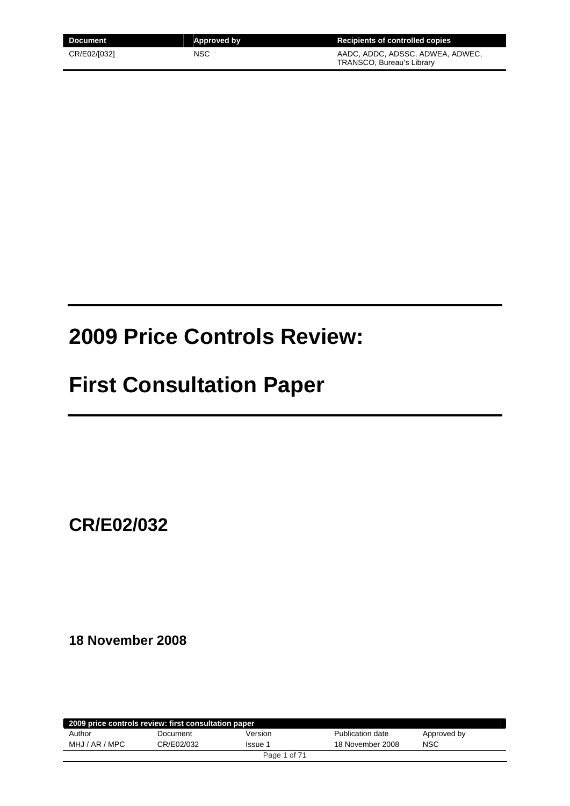| <b>Document</b> | Approved by | Recipients of controlled copies                               |
|-----------------|-------------|---------------------------------------------------------------|
| CR/E02/[032]    | NSC         | AADC. ADDC. ADSSC. ADWEA. ADWEC.<br>TRANSCO, Bureau's Library |

# **2009 Price Controls Review:**

# **First Consultation Paper**

**CR/E02/032** 

**18 November 2008** 

| 2009 price controls review: first consultation paper |            |              |                  |             |
|------------------------------------------------------|------------|--------------|------------------|-------------|
| Author                                               | Document   | Version      | Publication date | Approved by |
| MHJ / AR / MPC                                       | CR/E02/032 | Issue 1      | 18 November 2008 | <b>NSC</b>  |
|                                                      |            | Page 1 of 71 |                  |             |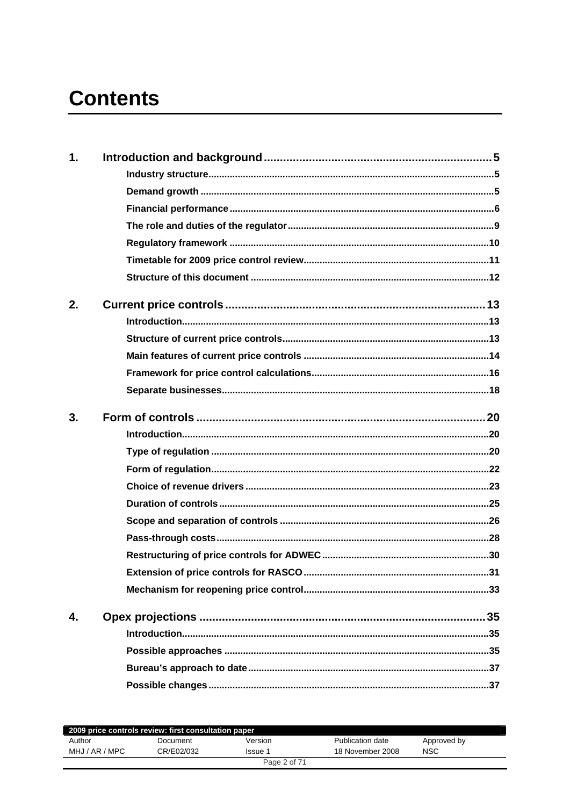# **Contents**

| 1. |  |
|----|--|
|    |  |
|    |  |
|    |  |
|    |  |
|    |  |
|    |  |
|    |  |
| 2. |  |
|    |  |
|    |  |
|    |  |
|    |  |
|    |  |
| 3. |  |
|    |  |
|    |  |
|    |  |
|    |  |
|    |  |
|    |  |
|    |  |
|    |  |
|    |  |
|    |  |
| 4. |  |
|    |  |
|    |  |
|    |  |
|    |  |
|    |  |

| 2009 price controls review: first consultation paper |            |              |                  |             |
|------------------------------------------------------|------------|--------------|------------------|-------------|
| Author                                               | Document   | Version      | Publication date | Approved by |
| MHJ / AR / MPC                                       | CR/E02/032 | Issue 1      | 18 November 2008 | <b>NSC</b>  |
|                                                      |            | Page 2 of 71 |                  |             |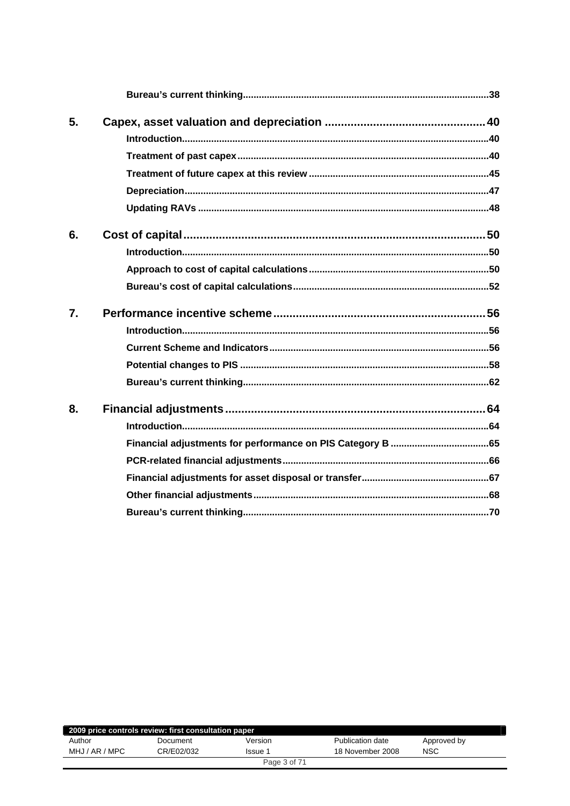| 5. |  |
|----|--|
|    |  |
|    |  |
|    |  |
|    |  |
|    |  |
| 6. |  |
|    |  |
|    |  |
|    |  |
| 7. |  |
|    |  |
|    |  |
|    |  |
|    |  |
| 8. |  |
|    |  |
|    |  |
|    |  |
|    |  |
|    |  |
|    |  |

|                | 2009 price controls review: first consultation paper |              |                  |             |
|----------------|------------------------------------------------------|--------------|------------------|-------------|
| Author         | Document                                             | Version      | Publication date | Approved by |
| MHJ / AR / MPC | CR/E02/032                                           | Issue 1      | 18 November 2008 | <b>NSC</b>  |
|                |                                                      | Page 3 of 71 |                  |             |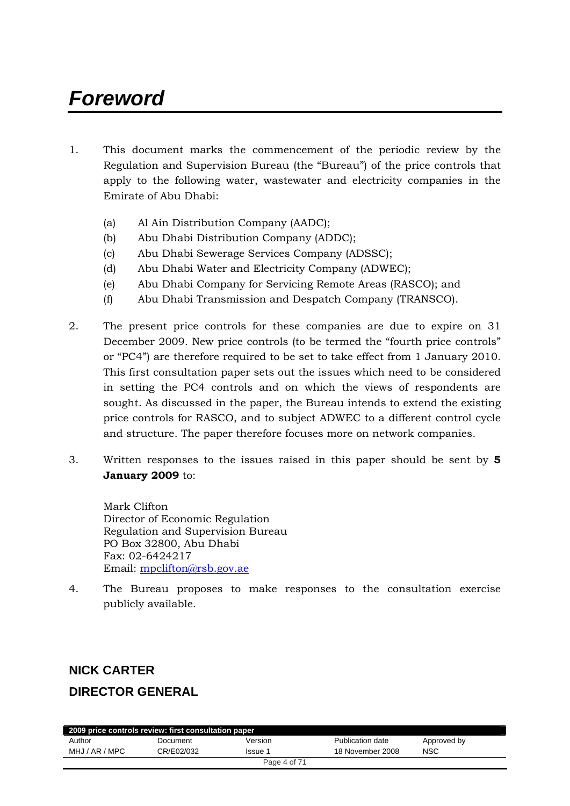# *Foreword*

- 1. This document marks the commencement of the periodic review by the Regulation and Supervision Bureau (the "Bureau") of the price controls that apply to the following water, wastewater and electricity companies in the Emirate of Abu Dhabi:
	- (a) Al Ain Distribution Company (AADC);
	- (b) Abu Dhabi Distribution Company (ADDC);
	- (c) Abu Dhabi Sewerage Services Company (ADSSC);
	- (d) Abu Dhabi Water and Electricity Company (ADWEC);
	- (e) Abu Dhabi Company for Servicing Remote Areas (RASCO); and
	- (f) Abu Dhabi Transmission and Despatch Company (TRANSCO).
- 2. The present price controls for these companies are due to expire on 31 December 2009. New price controls (to be termed the "fourth price controls" or "PC4") are therefore required to be set to take effect from 1 January 2010. This first consultation paper sets out the issues which need to be considered in setting the PC4 controls and on which the views of respondents are sought. As discussed in the paper, the Bureau intends to extend the existing price controls for RASCO, and to subject ADWEC to a different control cycle and structure. The paper therefore focuses more on network companies.
- 3. Written responses to the issues raised in this paper should be sent by **5 January 2009** to:

Mark Clifton Director of Economic Regulation Regulation and Supervision Bureau PO Box 32800, Abu Dhabi Fax: 02-6424217 Email: [mpclifton@rsb.gov.ae](mailto:mpclifton@rsb.gov.ae)

4. The Bureau proposes to make responses to the consultation exercise publicly available.

# **NICK CARTER**

# **DIRECTOR GENERAL**

| 2009 price controls review: first consultation paper |            |              |                  |             |  |
|------------------------------------------------------|------------|--------------|------------------|-------------|--|
| Author                                               | Document   | Version      | Publication date | Approved by |  |
| MHJ / AR / MPC                                       | CR/E02/032 | Issue 1      | 18 November 2008 | <b>NSC</b>  |  |
|                                                      |            | Page 4 of 71 |                  |             |  |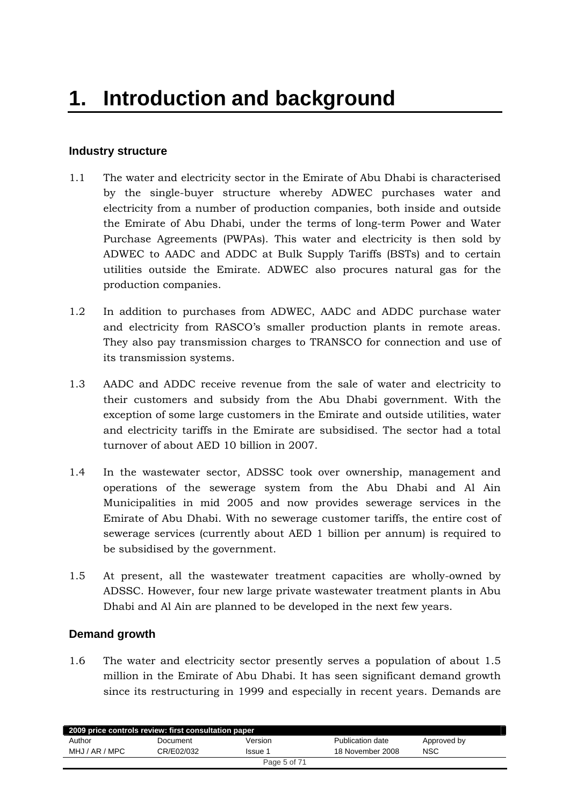# <span id="page-4-0"></span>**Industry structure**

- 1.1 The water and electricity sector in the Emirate of Abu Dhabi is characterised by the single-buyer structure whereby ADWEC purchases water and electricity from a number of production companies, both inside and outside the Emirate of Abu Dhabi, under the terms of long-term Power and Water Purchase Agreements (PWPAs). This water and electricity is then sold by ADWEC to AADC and ADDC at Bulk Supply Tariffs (BSTs) and to certain utilities outside the Emirate. ADWEC also procures natural gas for the production companies.
- 1.2 In addition to purchases from ADWEC, AADC and ADDC purchase water and electricity from RASCO's smaller production plants in remote areas. They also pay transmission charges to TRANSCO for connection and use of its transmission systems.
- 1.3 AADC and ADDC receive revenue from the sale of water and electricity to their customers and subsidy from the Abu Dhabi government. With the exception of some large customers in the Emirate and outside utilities, water and electricity tariffs in the Emirate are subsidised. The sector had a total turnover of about AED 10 billion in 2007.
- 1.4 In the wastewater sector, ADSSC took over ownership, management and operations of the sewerage system from the Abu Dhabi and Al Ain Municipalities in mid 2005 and now provides sewerage services in the Emirate of Abu Dhabi. With no sewerage customer tariffs, the entire cost of sewerage services (currently about AED 1 billion per annum) is required to be subsidised by the government.
- 1.5 At present, all the wastewater treatment capacities are wholly-owned by ADSSC. However, four new large private wastewater treatment plants in Abu Dhabi and Al Ain are planned to be developed in the next few years.

# **Demand growth**

1.6 The water and electricity sector presently serves a population of about 1.5 million in the Emirate of Abu Dhabi. It has seen significant demand growth since its restructuring in 1999 and especially in recent years. Demands are

|                | 2009 price controls review: first consultation paper |              |                  |             |
|----------------|------------------------------------------------------|--------------|------------------|-------------|
| Author         | Document                                             | Version      | Publication date | Approved by |
| MHJ / AR / MPC | CR/E02/032                                           | lssue 1      | 18 November 2008 | NSC         |
|                |                                                      | Page 5 of 71 |                  |             |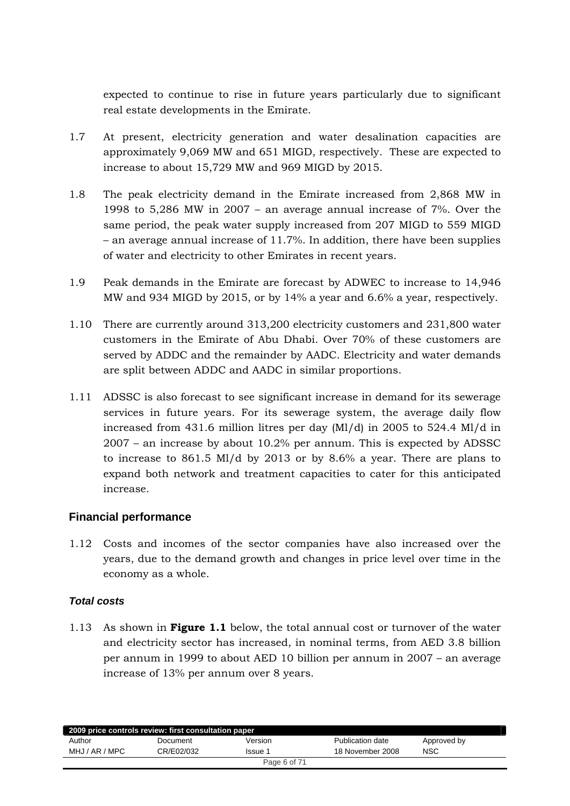<span id="page-5-0"></span>expected to continue to rise in future years particularly due to significant real estate developments in the Emirate.

- 1.7 At present, electricity generation and water desalination capacities are approximately 9,069 MW and 651 MIGD, respectively. These are expected to increase to about 15,729 MW and 969 MIGD by 2015.
- 1.8 The peak electricity demand in the Emirate increased from 2,868 MW in 1998 to 5,286 MW in 2007 – an average annual increase of 7%. Over the same period, the peak water supply increased from 207 MIGD to 559 MIGD – an average annual increase of 11.7%. In addition, there have been supplies of water and electricity to other Emirates in recent years.
- 1.9 Peak demands in the Emirate are forecast by ADWEC to increase to 14,946 MW and 934 MIGD by 2015, or by 14% a year and 6.6% a year, respectively.
- 1.10 There are currently around 313,200 electricity customers and 231,800 water customers in the Emirate of Abu Dhabi. Over 70% of these customers are served by ADDC and the remainder by AADC. Electricity and water demands are split between ADDC and AADC in similar proportions.
- 1.11 ADSSC is also forecast to see significant increase in demand for its sewerage services in future years. For its sewerage system, the average daily flow increased from 431.6 million litres per day (Ml/d) in 2005 to 524.4 Ml/d in 2007 – an increase by about 10.2% per annum. This is expected by ADSSC to increase to 861.5 Ml/d by 2013 or by 8.6% a year. There are plans to expand both network and treatment capacities to cater for this anticipated increase.

# **Financial performance**

1.12 Costs and incomes of the sector companies have also increased over the years, due to the demand growth and changes in price level over time in the economy as a whole.

# *Total costs*

1.13 As shown in **Figure 1.1** below, the total annual cost or turnover of the water and electricity sector has increased, in nominal terms, from AED 3.8 billion per annum in 1999 to about AED 10 billion per annum in 2007 – an average increase of 13% per annum over 8 years.

|                | 2009 price controls review: first consultation paper |              |                  |             |
|----------------|------------------------------------------------------|--------------|------------------|-------------|
| Author         | Document                                             | Version      | Publication date | Approved by |
| MHJ / AR / MPC | CR/E02/032                                           | Issue 1      | 18 November 2008 | <b>NSC</b>  |
|                |                                                      | Page 6 of 71 |                  |             |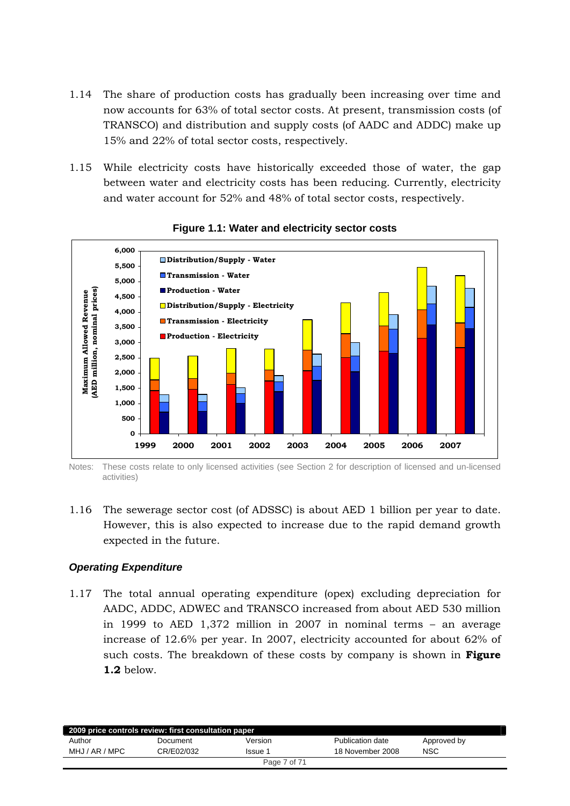- 1.14 The share of production costs has gradually been increasing over time and now accounts for 63% of total sector costs. At present, transmission costs (of TRANSCO) and distribution and supply costs (of AADC and ADDC) make up 15% and 22% of total sector costs, respectively.
- 1.15 While electricity costs have historically exceeded those of water, the gap between water and electricity costs has been reducing. Currently, electricity and water account for 52% and 48% of total sector costs, respectively.



#### **Figure 1.1: Water and electricity sector costs**

Notes: These costs relate to only licensed activities (see Section 2 for description of licensed and un-licensed activities)

1.16 The sewerage sector cost (of ADSSC) is about AED 1 billion per year to date. However, this is also expected to increase due to the rapid demand growth expected in the future.

# *Operating Expenditure*

1.17 The total annual operating expenditure (opex) excluding depreciation for AADC, ADDC, ADWEC and TRANSCO increased from about AED 530 million in 1999 to AED 1,372 million in 2007 in nominal terms – an average increase of 12.6% per year. In 2007, electricity accounted for about 62% of such costs. The breakdown of these costs by company is shown in **Figure 1.2** below.

| 2009 price controls review: first consultation paper |            |              |                  |             |
|------------------------------------------------------|------------|--------------|------------------|-------------|
| Author                                               | Document   | Version      | Publication date | Approved by |
| MHJ / AR / MPC                                       | CR/E02/032 | Issue 1      | 18 November 2008 | <b>NSC</b>  |
|                                                      |            | Page 7 of 71 |                  |             |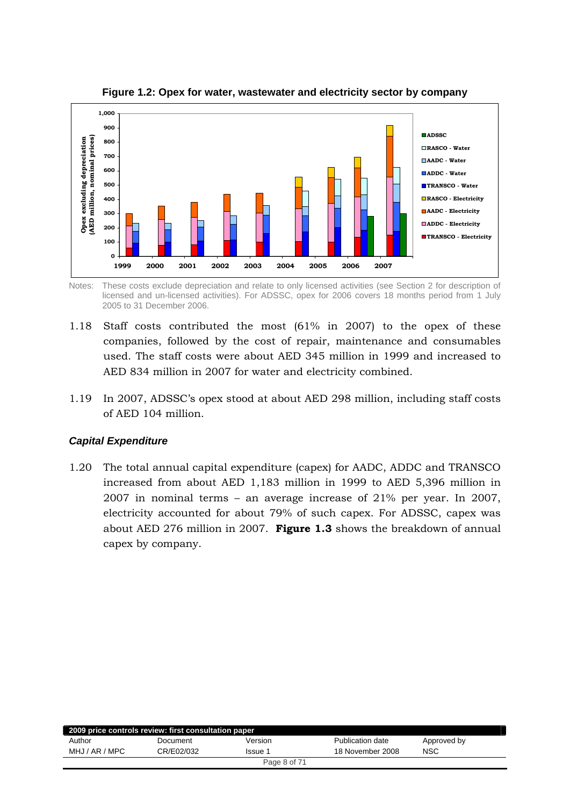

**Figure 1.2: Opex for water, wastewater and electricity sector by company** 

Notes: These costs exclude depreciation and relate to only licensed activities (see Section 2 for description of licensed and un-licensed activities). For ADSSC, opex for 2006 covers 18 months period from 1 July 2005 to 31 December 2006.

- 1.18 Staff costs contributed the most (61% in 2007) to the opex of these companies, followed by the cost of repair, maintenance and consumables used. The staff costs were about AED 345 million in 1999 and increased to AED 834 million in 2007 for water and electricity combined.
- 1.19 In 2007, ADSSC's opex stood at about AED 298 million, including staff costs of AED 104 million.

# *Capital Expenditure*

1.20 The total annual capital expenditure (capex) for AADC, ADDC and TRANSCO increased from about AED 1,183 million in 1999 to AED 5,396 million in 2007 in nominal terms – an average increase of 21% per year. In 2007, electricity accounted for about 79% of such capex. For ADSSC, capex was about AED 276 million in 2007. **Figure 1.3** shows the breakdown of annual capex by company.

|                | 2009 price controls review: first consultation paper |              |                  |             |
|----------------|------------------------------------------------------|--------------|------------------|-------------|
| Author         | Document                                             | Version      | Publication date | Approved by |
| MHJ / AR / MPC | CR/E02/032                                           | Issue 1      | 18 November 2008 | <b>NSC</b>  |
|                |                                                      | Page 8 of 71 |                  |             |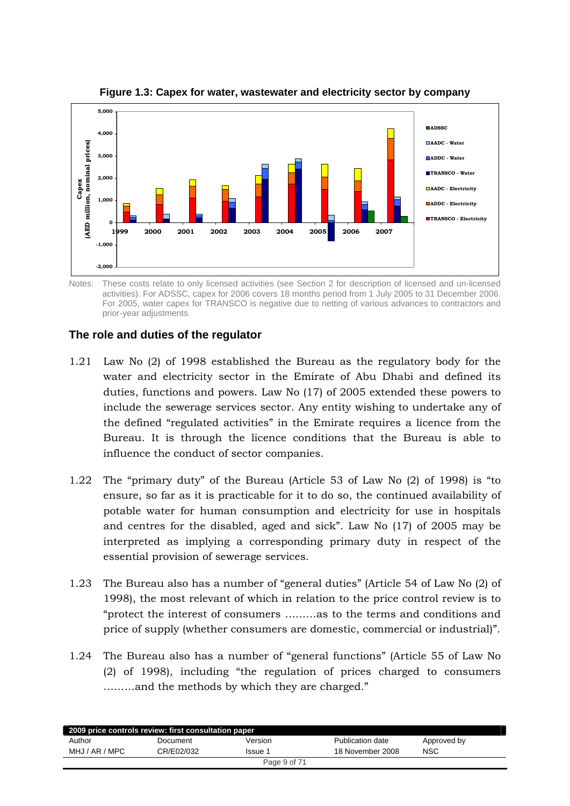<span id="page-8-0"></span>

**Figure 1.3: Capex for water, wastewater and electricity sector by company** 

Notes: These costs relate to only licensed activities (see Section 2 for description of licensed and un-licensed activities). For ADSSC, capex for 2006 covers 18 months period from 1 July 2005 to 31 December 2006. For 2005, water capex for TRANSCO is negative due to netting of various advances to contractors and prior-year adjustments.

# **The role and duties of the regulator**

- 1.21 Law No (2) of 1998 established the Bureau as the regulatory body for the water and electricity sector in the Emirate of Abu Dhabi and defined its duties, functions and powers. Law No (17) of 2005 extended these powers to include the sewerage services sector. Any entity wishing to undertake any of the defined "regulated activities" in the Emirate requires a licence from the Bureau. It is through the licence conditions that the Bureau is able to influence the conduct of sector companies.
- 1.22 The "primary duty" of the Bureau (Article 53 of Law No (2) of 1998) is "to ensure, so far as it is practicable for it to do so, the continued availability of potable water for human consumption and electricity for use in hospitals and centres for the disabled, aged and sick". Law No (17) of 2005 may be interpreted as implying a corresponding primary duty in respect of the essential provision of sewerage services.
- 1.23 The Bureau also has a number of "general duties" (Article 54 of Law No (2) of 1998), the most relevant of which in relation to the price control review is to "protect the interest of consumers ………as to the terms and conditions and price of supply (whether consumers are domestic, commercial or industrial)".
- 1.24 The Bureau also has a number of "general functions" (Article 55 of Law No (2) of 1998), including "the regulation of prices charged to consumers ………and the methods by which they are charged."

|                | 2009 price controls review: first consultation paper |              |                  |             |  |
|----------------|------------------------------------------------------|--------------|------------------|-------------|--|
| Author         | Document                                             | Version      | Publication date | Approved by |  |
| MHJ / AR / MPC | CR/E02/032                                           | lssue 1      | 18 November 2008 | NSC         |  |
|                |                                                      | Page 9 of 71 |                  |             |  |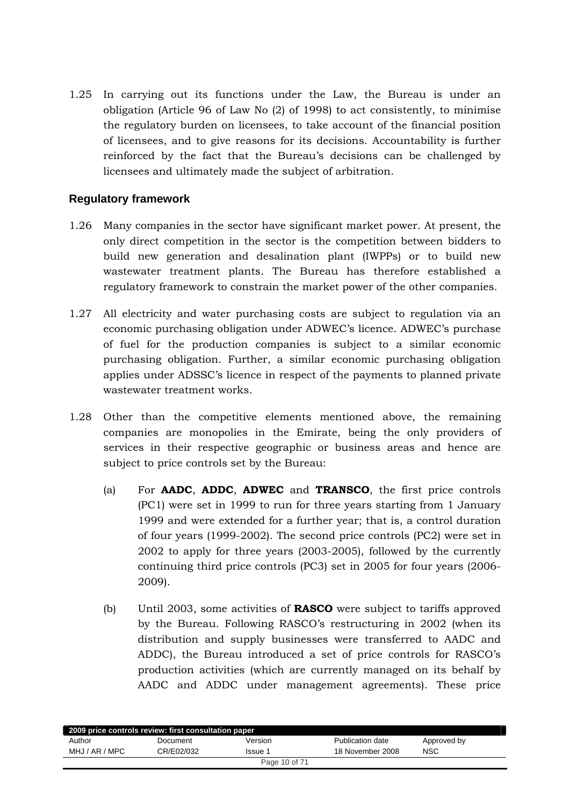<span id="page-9-0"></span>1.25 In carrying out its functions under the Law, the Bureau is under an obligation (Article 96 of Law No (2) of 1998) to act consistently, to minimise the regulatory burden on licensees, to take account of the financial position of licensees, and to give reasons for its decisions. Accountability is further reinforced by the fact that the Bureau's decisions can be challenged by licensees and ultimately made the subject of arbitration.

# **Regulatory framework**

- 1.26 Many companies in the sector have significant market power. At present, the only direct competition in the sector is the competition between bidders to build new generation and desalination plant (IWPPs) or to build new wastewater treatment plants. The Bureau has therefore established a regulatory framework to constrain the market power of the other companies.
- 1.27 All electricity and water purchasing costs are subject to regulation via an economic purchasing obligation under ADWEC's licence. ADWEC's purchase of fuel for the production companies is subject to a similar economic purchasing obligation. Further, a similar economic purchasing obligation applies under ADSSC's licence in respect of the payments to planned private wastewater treatment works.
- 1.28 Other than the competitive elements mentioned above, the remaining companies are monopolies in the Emirate, being the only providers of services in their respective geographic or business areas and hence are subject to price controls set by the Bureau:
	- (a) For **AADC**, **ADDC**, **ADWEC** and **TRANSCO**, the first price controls (PC1) were set in 1999 to run for three years starting from 1 January 1999 and were extended for a further year; that is, a control duration of four years (1999-2002). The second price controls (PC2) were set in 2002 to apply for three years (2003-2005), followed by the currently continuing third price controls (PC3) set in 2005 for four years (2006- 2009).
	- (b) Until 2003, some activities of **RASCO** were subject to tariffs approved by the Bureau. Following RASCO's restructuring in 2002 (when its distribution and supply businesses were transferred to AADC and ADDC), the Bureau introduced a set of price controls for RASCO's production activities (which are currently managed on its behalf by AADC and ADDC under management agreements). These price

| 2009 price controls review: first consultation paper |            |         |                  |             |  |  |
|------------------------------------------------------|------------|---------|------------------|-------------|--|--|
| Author                                               | Document   | Version | Publication date | Approved by |  |  |
| MHJ / AR / MPC                                       | CR/E02/032 | lssue 1 | 18 November 2008 | <b>NSC</b>  |  |  |
| Page 10 of 71                                        |            |         |                  |             |  |  |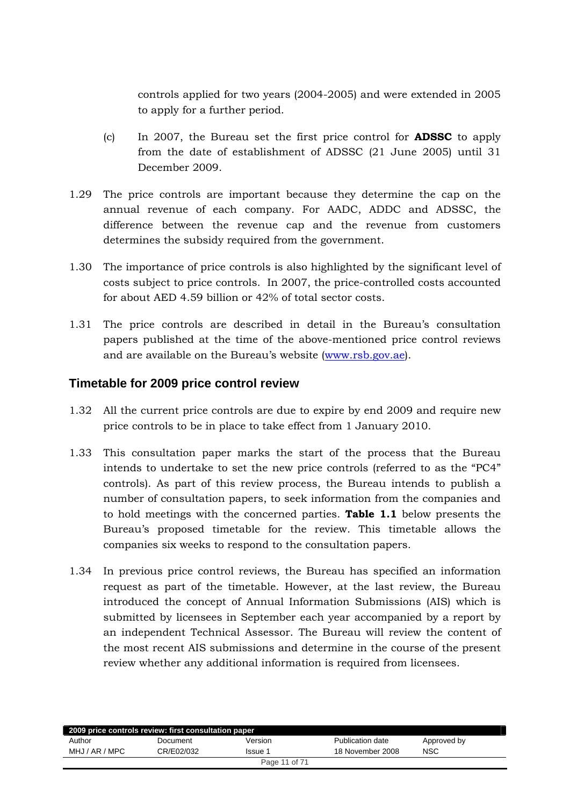<span id="page-10-0"></span>controls applied for two years (2004-2005) and were extended in 2005 to apply for a further period.

- (c) In 2007, the Bureau set the first price control for **ADSSC** to apply from the date of establishment of ADSSC (21 June 2005) until 31 December 2009.
- 1.29 The price controls are important because they determine the cap on the annual revenue of each company. For AADC, ADDC and ADSSC, the difference between the revenue cap and the revenue from customers determines the subsidy required from the government.
- 1.30 The importance of price controls is also highlighted by the significant level of costs subject to price controls. In 2007, the price-controlled costs accounted for about AED 4.59 billion or 42% of total sector costs.
- 1.31 The price controls are described in detail in the Bureau's consultation papers published at the time of the above-mentioned price control reviews and are available on the Bureau's website [\(www.rsb.gov.ae\)](http://www.rsb.gov.ae/).

# **Timetable for 2009 price control review**

- 1.32 All the current price controls are due to expire by end 2009 and require new price controls to be in place to take effect from 1 January 2010.
- 1.33 This consultation paper marks the start of the process that the Bureau intends to undertake to set the new price controls (referred to as the "PC4" controls). As part of this review process, the Bureau intends to publish a number of consultation papers, to seek information from the companies and to hold meetings with the concerned parties. **Table 1.1** below presents the Bureau's proposed timetable for the review. This timetable allows the companies six weeks to respond to the consultation papers.
- 1.34 In previous price control reviews, the Bureau has specified an information request as part of the timetable. However, at the last review, the Bureau introduced the concept of Annual Information Submissions (AIS) which is submitted by licensees in September each year accompanied by a report by an independent Technical Assessor. The Bureau will review the content of the most recent AIS submissions and determine in the course of the present review whether any additional information is required from licensees.

| 2009 price controls review: first consultation paper |            |         |                  |             |  |  |  |
|------------------------------------------------------|------------|---------|------------------|-------------|--|--|--|
| Author                                               | Document   | Version | Publication date | Approved by |  |  |  |
| MHJ / AR / MPC                                       | CR/E02/032 | Issue 1 | 18 November 2008 | <b>NSC</b>  |  |  |  |
| Page 11 of 71                                        |            |         |                  |             |  |  |  |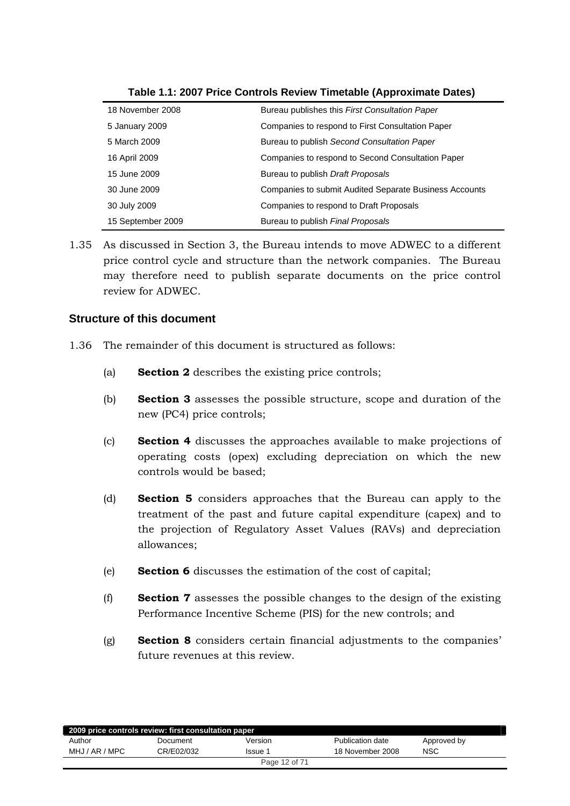<span id="page-11-0"></span>

| 18 November 2008  | Bureau publishes this <i>First Consultation Paper</i>  |
|-------------------|--------------------------------------------------------|
| 5 January 2009    | Companies to respond to First Consultation Paper       |
| 5 March 2009      | Bureau to publish Second Consultation Paper            |
| 16 April 2009     | Companies to respond to Second Consultation Paper      |
| 15 June 2009      | Bureau to publish Draft Proposals                      |
| 30 June 2009      | Companies to submit Audited Separate Business Accounts |
| 30 July 2009      | Companies to respond to Draft Proposals                |
| 15 September 2009 | Bureau to publish <i>Final Proposals</i>               |

**Table 1.1: 2007 Price Controls Review Timetable (Approximate Dates)** 

1.35 As discussed in Section 3, the Bureau intends to move ADWEC to a different price control cycle and structure than the network companies. The Bureau may therefore need to publish separate documents on the price control review for ADWEC.

# **Structure of this document**

- 1.36 The remainder of this document is structured as follows:
	- (a) **Section 2** describes the existing price controls;
	- (b) **Section 3** assesses the possible structure, scope and duration of the new (PC4) price controls;
	- (c) **Section 4** discusses the approaches available to make projections of operating costs (opex) excluding depreciation on which the new controls would be based;
	- (d) **Section 5** considers approaches that the Bureau can apply to the treatment of the past and future capital expenditure (capex) and to the projection of Regulatory Asset Values (RAVs) and depreciation allowances;
	- (e) **Section 6** discusses the estimation of the cost of capital;
	- (f) **Section 7** assesses the possible changes to the design of the existing Performance Incentive Scheme (PIS) for the new controls; and
	- (g) **Section 8** considers certain financial adjustments to the companies' future revenues at this review.

| 2009 price controls review: first consultation paper |            |         |                  |             |  |  |
|------------------------------------------------------|------------|---------|------------------|-------------|--|--|
| Author                                               | Document   | Version | Publication date | Approved by |  |  |
| MHJ / AR / MPC                                       | CR/E02/032 | lssue 1 | 18 November 2008 | <b>NSC</b>  |  |  |
| Page 12 of 71                                        |            |         |                  |             |  |  |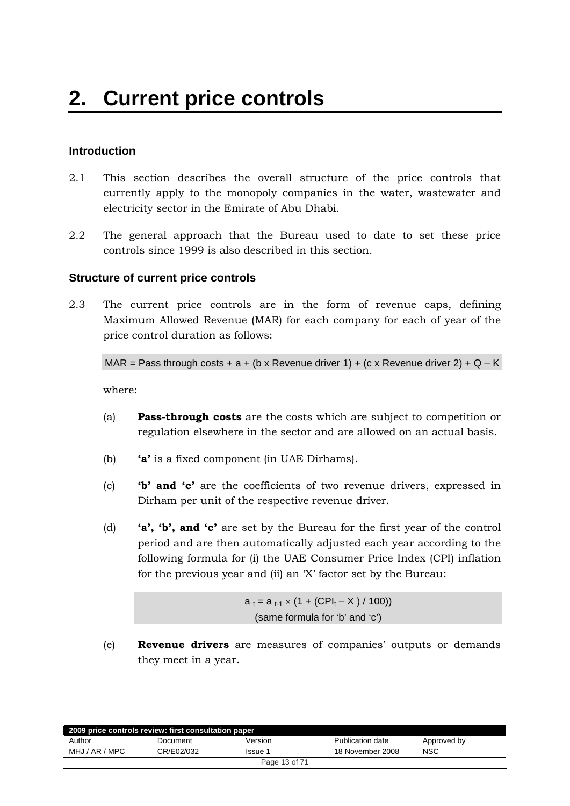# <span id="page-12-0"></span>**Introduction**

- 2.1 This section describes the overall structure of the price controls that currently apply to the monopoly companies in the water, wastewater and electricity sector in the Emirate of Abu Dhabi.
- 2.2 The general approach that the Bureau used to date to set these price controls since 1999 is also described in this section.

## **Structure of current price controls**

2.3 The current price controls are in the form of revenue caps, defining Maximum Allowed Revenue (MAR) for each company for each of year of the price control duration as follows:

MAR = Pass through costs + a + (b x Revenue driver 1) + (c x Revenue driver 2) + Q – K

where:

- (a) **Pass-through costs** are the costs which are subject to competition or regulation elsewhere in the sector and are allowed on an actual basis.
- (b) **'a'** is a fixed component (in UAE Dirhams).
- (c) **'b' and 'c'** are the coefficients of two revenue drivers, expressed in Dirham per unit of the respective revenue driver.
- (d) **'a', 'b', and 'c'** are set by the Bureau for the first year of the control period and are then automatically adjusted each year according to the following formula for (i) the UAE Consumer Price Index (CPI) inflation for the previous year and (ii) an 'X' factor set by the Bureau:

 $a_t = a_{t-1} \times (1 + (CPI_t - X) / 100)$ (same formula for 'b' and 'c')

(e) **Revenue drivers** are measures of companies' outputs or demands they meet in a year.

| 2009 price controls review: first consultation paper |            |               |                  |             |  |  |
|------------------------------------------------------|------------|---------------|------------------|-------------|--|--|
| Author                                               | Document   | Version       | Publication date | Approved by |  |  |
| MHJ / AR / MPC                                       | CR/E02/032 | Issue 1       | 18 November 2008 | <b>NSC</b>  |  |  |
|                                                      |            | Page 13 of 71 |                  |             |  |  |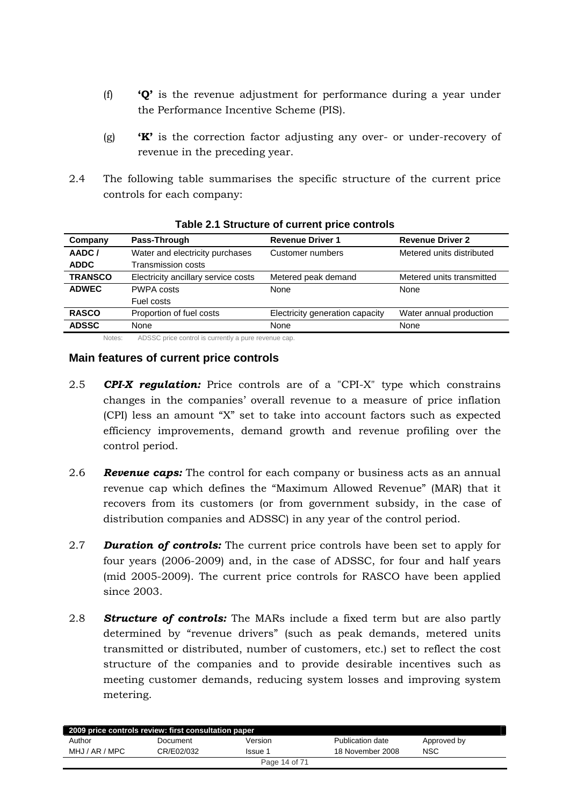- <span id="page-13-0"></span>(f) **'Q'** is the revenue adjustment for performance during a year under the Performance Incentive Scheme (PIS).
- (g) **'K'** is the correction factor adjusting any over- or under-recovery of revenue in the preceding year.
- 2.4 The following table summarises the specific structure of the current price controls for each company:

| Company        | Pass-Through                        | <b>Revenue Driver 1</b>         | <b>Revenue Driver 2</b>   |
|----------------|-------------------------------------|---------------------------------|---------------------------|
| AADC/          | Water and electricity purchases     | Customer numbers                | Metered units distributed |
| <b>ADDC</b>    | <b>Transmission costs</b>           |                                 |                           |
| <b>TRANSCO</b> | Electricity ancillary service costs | Metered peak demand             | Metered units transmitted |
| <b>ADWEC</b>   | <b>PWPA costs</b>                   | None                            | None                      |
|                | Fuel costs                          |                                 |                           |
| <b>RASCO</b>   | Proportion of fuel costs            | Electricity generation capacity | Water annual production   |
| <b>ADSSC</b>   | None                                | None                            | None                      |

**Table 2.1 Structure of current price controls** 

Notes: ADSSC price control is currently a pure revenue cap.

#### **Main features of current price controls**

- 2.5 *CPI-X regulation:* Price controls are of a "CPI-X" type which constrains changes in the companies' overall revenue to a measure of price inflation (CPI) less an amount "X" set to take into account factors such as expected efficiency improvements, demand growth and revenue profiling over the control period.
- 2.6 *Revenue caps:* The control for each company or business acts as an annual revenue cap which defines the "Maximum Allowed Revenue" (MAR) that it recovers from its customers (or from government subsidy, in the case of distribution companies and ADSSC) in any year of the control period.
- 2.7 *Duration of controls:* The current price controls have been set to apply for four years (2006-2009) and, in the case of ADSSC, for four and half years (mid 2005-2009). The current price controls for RASCO have been applied since 2003.
- 2.8 *Structure of controls:* The MARs include a fixed term but are also partly determined by "revenue drivers" (such as peak demands, metered units transmitted or distributed, number of customers, etc.) set to reflect the cost structure of the companies and to provide desirable incentives such as meeting customer demands, reducing system losses and improving system metering.

| 2009 price controls review: first consultation paper |            |         |                  |             |  |  |  |
|------------------------------------------------------|------------|---------|------------------|-------------|--|--|--|
| Author                                               | Document   | Version | Publication date | Approved by |  |  |  |
| MHJ / AR / MPC                                       | CR/E02/032 | Issue 1 | 18 November 2008 | <b>NSC</b>  |  |  |  |
| Page 14 of 71                                        |            |         |                  |             |  |  |  |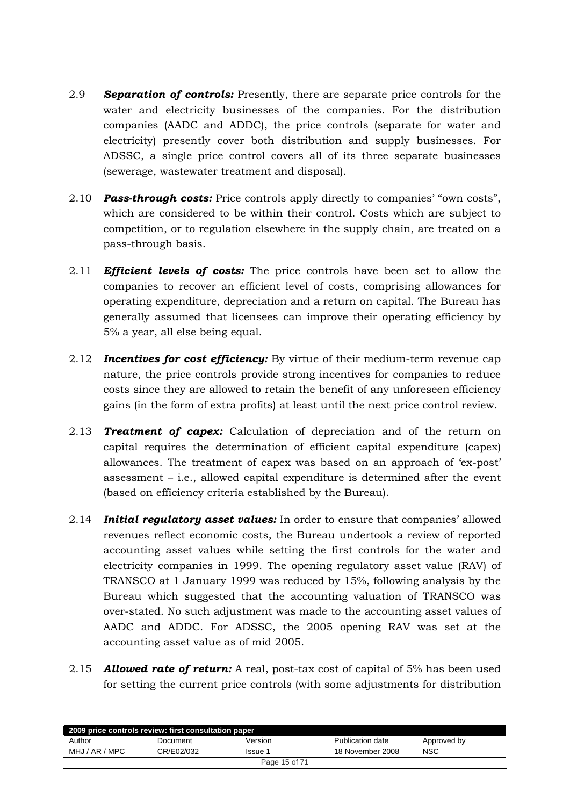- 2.9 *Separation of controls:* Presently, there are separate price controls for the water and electricity businesses of the companies. For the distribution companies (AADC and ADDC), the price controls (separate for water and electricity) presently cover both distribution and supply businesses. For ADSSC, a single price control covers all of its three separate businesses (sewerage, wastewater treatment and disposal).
- 2.10 *Pass-through costs:* Price controls apply directly to companies' "own costs", which are considered to be within their control. Costs which are subject to competition, or to regulation elsewhere in the supply chain, are treated on a pass-through basis.
- 2.11 *Efficient levels of costs:* The price controls have been set to allow the companies to recover an efficient level of costs, comprising allowances for operating expenditure, depreciation and a return on capital. The Bureau has generally assumed that licensees can improve their operating efficiency by 5% a year, all else being equal.
- 2.12 *Incentives for cost efficiency:* By virtue of their medium-term revenue cap nature, the price controls provide strong incentives for companies to reduce costs since they are allowed to retain the benefit of any unforeseen efficiency gains (in the form of extra profits) at least until the next price control review.
- 2.13 *Treatment of capex:* Calculation of depreciation and of the return on capital requires the determination of efficient capital expenditure (capex) allowances. The treatment of capex was based on an approach of 'ex-post' assessment – i.e., allowed capital expenditure is determined after the event (based on efficiency criteria established by the Bureau).
- 2.14 *Initial regulatory asset values:* In order to ensure that companies' allowed revenues reflect economic costs, the Bureau undertook a review of reported accounting asset values while setting the first controls for the water and electricity companies in 1999. The opening regulatory asset value (RAV) of TRANSCO at 1 January 1999 was reduced by 15%, following analysis by the Bureau which suggested that the accounting valuation of TRANSCO was over-stated. No such adjustment was made to the accounting asset values of AADC and ADDC. For ADSSC, the 2005 opening RAV was set at the accounting asset value as of mid 2005.
- 2.15 *Allowed rate of return:* A real, post-tax cost of capital of 5% has been used for setting the current price controls (with some adjustments for distribution

| 2009 price controls review: first consultation paper |            |         |                  |             |  |  |
|------------------------------------------------------|------------|---------|------------------|-------------|--|--|
| Author                                               | Document   | Version | Publication date | Approved by |  |  |
| MHJ / AR / MPC                                       | CR/E02/032 | Issue 1 | 18 November 2008 | NSC         |  |  |
| Page 15 of 71                                        |            |         |                  |             |  |  |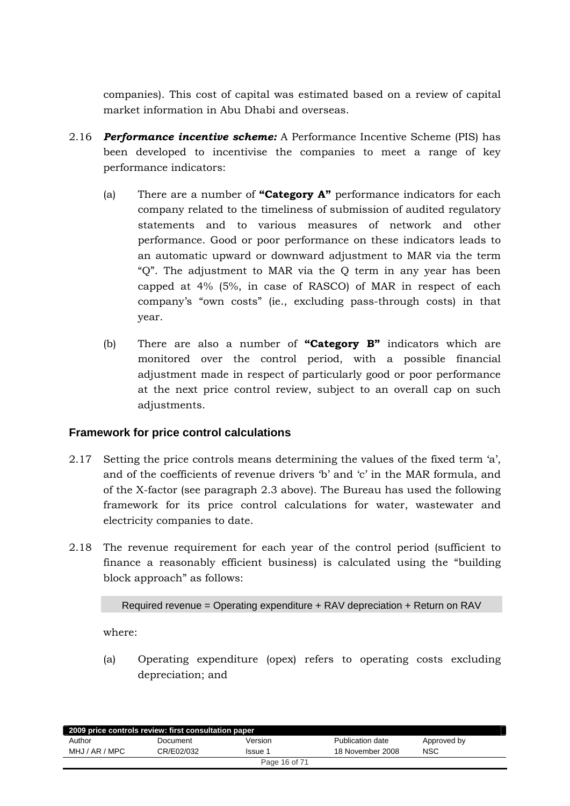<span id="page-15-0"></span>companies). This cost of capital was estimated based on a review of capital market information in Abu Dhabi and overseas.

- 2.16 *Performance incentive scheme:* A Performance Incentive Scheme (PIS) has been developed to incentivise the companies to meet a range of key performance indicators:
	- (a) There are a number of **"Category A"** performance indicators for each company related to the timeliness of submission of audited regulatory statements and to various measures of network and other performance. Good or poor performance on these indicators leads to an automatic upward or downward adjustment to MAR via the term "Q". The adjustment to MAR via the Q term in any year has been capped at 4% (5%, in case of RASCO) of MAR in respect of each company's "own costs" (ie., excluding pass-through costs) in that year.
	- (b) There are also a number of **"Category B"** indicators which are monitored over the control period, with a possible financial adjustment made in respect of particularly good or poor performance at the next price control review, subject to an overall cap on such adjustments.

# **Framework for price control calculations**

- 2.17 Setting the price controls means determining the values of the fixed term 'a', and of the coefficients of revenue drivers 'b' and 'c' in the MAR formula, and of the X-factor (see paragraph 2.3 above). The Bureau has used the following framework for its price control calculations for water, wastewater and electricity companies to date.
- 2.18 The revenue requirement for each year of the control period (sufficient to finance a reasonably efficient business) is calculated using the "building block approach" as follows:

```
Required revenue = Operating expenditure + RAV depreciation + Return on RAV
```
where:

(a) Operating expenditure (opex) refers to operating costs excluding depreciation; and

| 2009 price controls review: first consultation paper |            |         |                  |             |  |  |  |
|------------------------------------------------------|------------|---------|------------------|-------------|--|--|--|
| Author                                               | Document   | Version | Publication date | Approved by |  |  |  |
| MHJ / AR / MPC                                       | CR/E02/032 | Issue 1 | 18 November 2008 | NSC         |  |  |  |
| Page 16 of 71                                        |            |         |                  |             |  |  |  |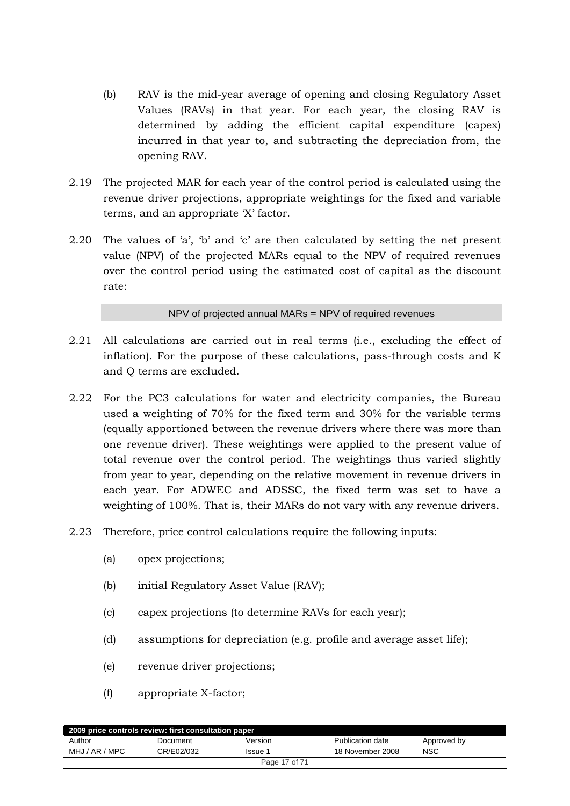- (b) RAV is the mid-year average of opening and closing Regulatory Asset Values (RAVs) in that year. For each year, the closing RAV is determined by adding the efficient capital expenditure (capex) incurred in that year to, and subtracting the depreciation from, the opening RAV.
- 2.19 The projected MAR for each year of the control period is calculated using the revenue driver projections, appropriate weightings for the fixed and variable terms, and an appropriate 'X' factor.
- 2.20 The values of 'a', 'b' and 'c' are then calculated by setting the net present value (NPV) of the projected MARs equal to the NPV of required revenues over the control period using the estimated cost of capital as the discount rate:

NPV of projected annual MARs = NPV of required revenues

- 2.21 All calculations are carried out in real terms (i.e., excluding the effect of inflation). For the purpose of these calculations, pass-through costs and K and Q terms are excluded.
- 2.22 For the PC3 calculations for water and electricity companies, the Bureau used a weighting of 70% for the fixed term and 30% for the variable terms (equally apportioned between the revenue drivers where there was more than one revenue driver). These weightings were applied to the present value of total revenue over the control period. The weightings thus varied slightly from year to year, depending on the relative movement in revenue drivers in each year. For ADWEC and ADSSC, the fixed term was set to have a weighting of 100%. That is, their MARs do not vary with any revenue drivers.
- 2.23 Therefore, price control calculations require the following inputs:
	- (a) opex projections;
	- (b) initial Regulatory Asset Value (RAV);
	- (c) capex projections (to determine RAVs for each year);
	- (d) assumptions for depreciation (e.g. profile and average asset life);
	- (e) revenue driver projections;
	- (f) appropriate X-factor;

| 2009 price controls review: first consultation paper |            |         |                  |             |  |  |
|------------------------------------------------------|------------|---------|------------------|-------------|--|--|
| Author                                               | Document   | Version | Publication date | Approved by |  |  |
| MHJ / AR / MPC                                       | CR/E02/032 | Issue 1 | 18 November 2008 | <b>NSC</b>  |  |  |
| Page 17 of 71                                        |            |         |                  |             |  |  |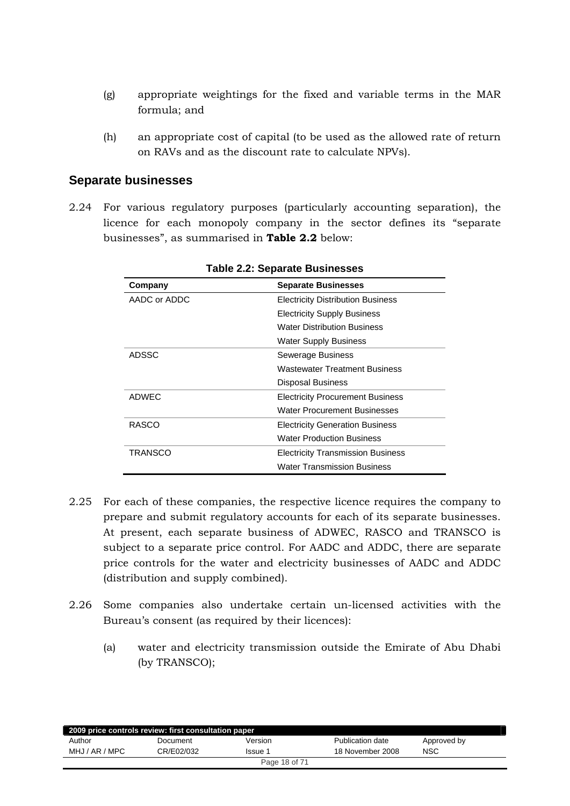- <span id="page-17-0"></span>(g) appropriate weightings for the fixed and variable terms in the MAR formula; and
- (h) an appropriate cost of capital (to be used as the allowed rate of return on RAVs and as the discount rate to calculate NPVs).

# **Separate businesses**

2.24 For various regulatory purposes (particularly accounting separation), the licence for each monopoly company in the sector defines its "separate businesses", as summarised in **Table 2.2** below:

| Company      | <b>Separate Businesses</b>               |
|--------------|------------------------------------------|
| AADC or ADDC | <b>Electricity Distribution Business</b> |
|              | <b>Electricity Supply Business</b>       |
|              | <b>Water Distribution Business</b>       |
|              | <b>Water Supply Business</b>             |
| ADSSC        | Sewerage Business                        |
|              | <b>Wastewater Treatment Business</b>     |
|              | <b>Disposal Business</b>                 |
| ADWEC        | <b>Electricity Procurement Business</b>  |
|              | <b>Water Procurement Businesses</b>      |
| RASCO        | <b>Electricity Generation Business</b>   |
|              | <b>Water Production Business</b>         |
| TRANSCO      | <b>Electricity Transmission Business</b> |
|              | <b>Water Transmission Business</b>       |

**Table 2.2: Separate Businesses** 

- 2.25 For each of these companies, the respective licence requires the company to prepare and submit regulatory accounts for each of its separate businesses. At present, each separate business of ADWEC, RASCO and TRANSCO is subject to a separate price control. For AADC and ADDC, there are separate price controls for the water and electricity businesses of AADC and ADDC (distribution and supply combined).
- 2.26 Some companies also undertake certain un-licensed activities with the Bureau's consent (as required by their licences):
	- (a) water and electricity transmission outside the Emirate of Abu Dhabi (by TRANSCO);

| 2009 price controls review: first consultation paper |            |         |                  |             |  |  |
|------------------------------------------------------|------------|---------|------------------|-------------|--|--|
| Author                                               | Document   | Version | Publication date | Approved by |  |  |
| MHJ / AR / MPC                                       | CR/E02/032 | Issue 1 | 18 November 2008 | <b>NSC</b>  |  |  |
| Page 18 of 71                                        |            |         |                  |             |  |  |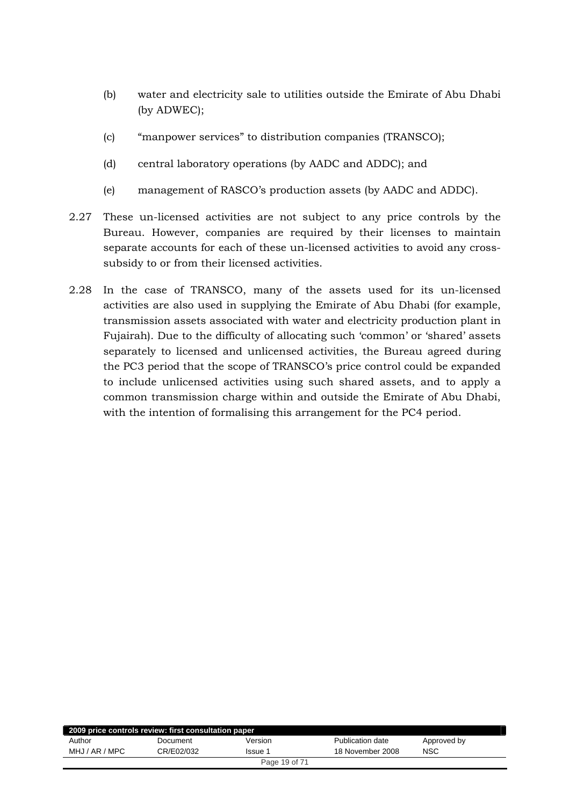- (b) water and electricity sale to utilities outside the Emirate of Abu Dhabi (by ADWEC);
- (c) "manpower services" to distribution companies (TRANSCO);
- (d) central laboratory operations (by AADC and ADDC); and
- (e) management of RASCO's production assets (by AADC and ADDC).
- 2.27 These un-licensed activities are not subject to any price controls by the Bureau. However, companies are required by their licenses to maintain separate accounts for each of these un-licensed activities to avoid any crosssubsidy to or from their licensed activities.
- 2.28 In the case of TRANSCO, many of the assets used for its un-licensed activities are also used in supplying the Emirate of Abu Dhabi (for example, transmission assets associated with water and electricity production plant in Fujairah). Due to the difficulty of allocating such 'common' or 'shared' assets separately to licensed and unlicensed activities, the Bureau agreed during the PC3 period that the scope of TRANSCO's price control could be expanded to include unlicensed activities using such shared assets, and to apply a common transmission charge within and outside the Emirate of Abu Dhabi, with the intention of formalising this arrangement for the PC4 period.

| 2009 price controls review: first consultation paper |            |               |                  |             |
|------------------------------------------------------|------------|---------------|------------------|-------------|
| Author                                               | Document   | Version       | Publication date | Approved by |
| MHJ / AR / MPC                                       | CR/E02/032 | Issue 1       | 18 November 2008 | <b>NSC</b>  |
|                                                      |            | Page 19 of 71 |                  |             |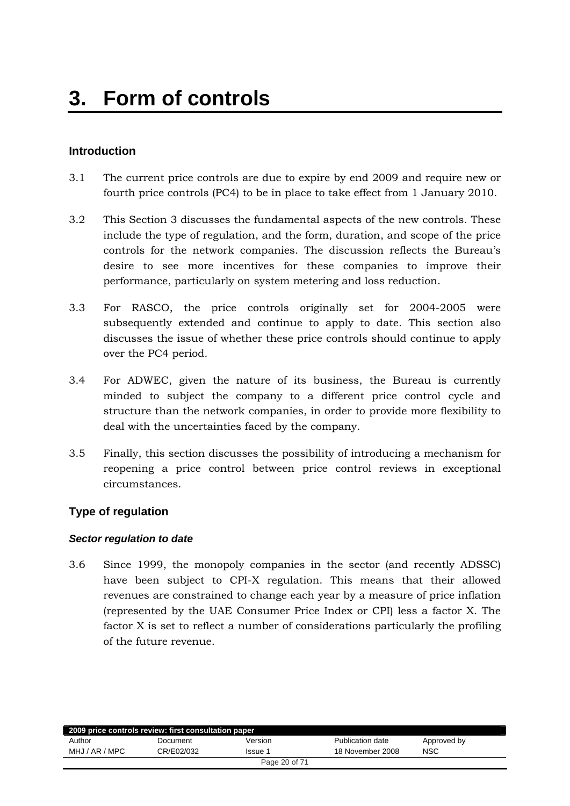# <span id="page-19-0"></span>**Introduction**

- 3.1 The current price controls are due to expire by end 2009 and require new or fourth price controls (PC4) to be in place to take effect from 1 January 2010.
- 3.2 This Section 3 discusses the fundamental aspects of the new controls. These include the type of regulation, and the form, duration, and scope of the price controls for the network companies. The discussion reflects the Bureau's desire to see more incentives for these companies to improve their performance, particularly on system metering and loss reduction.
- 3.3 For RASCO, the price controls originally set for 2004-2005 were subsequently extended and continue to apply to date. This section also discusses the issue of whether these price controls should continue to apply over the PC4 period.
- 3.4 For ADWEC, given the nature of its business, the Bureau is currently minded to subject the company to a different price control cycle and structure than the network companies, in order to provide more flexibility to deal with the uncertainties faced by the company.
- 3.5 Finally, this section discusses the possibility of introducing a mechanism for reopening a price control between price control reviews in exceptional circumstances.

# **Type of regulation**

#### *Sector regulation to date*

3.6 Since 1999, the monopoly companies in the sector (and recently ADSSC) have been subject to CPI-X regulation. This means that their allowed revenues are constrained to change each year by a measure of price inflation (represented by the UAE Consumer Price Index or CPI) less a factor X. The factor X is set to reflect a number of considerations particularly the profiling of the future revenue.

| 2009 price controls review: first consultation paper |            |                |                  |             |
|------------------------------------------------------|------------|----------------|------------------|-------------|
| Author                                               | Document   | Version        | Publication date | Approved by |
| MHJ / AR / MPC                                       | CR/E02/032 | <b>Issue 1</b> | 18 November 2008 | NSC         |
|                                                      |            | Page 20 of 71  |                  |             |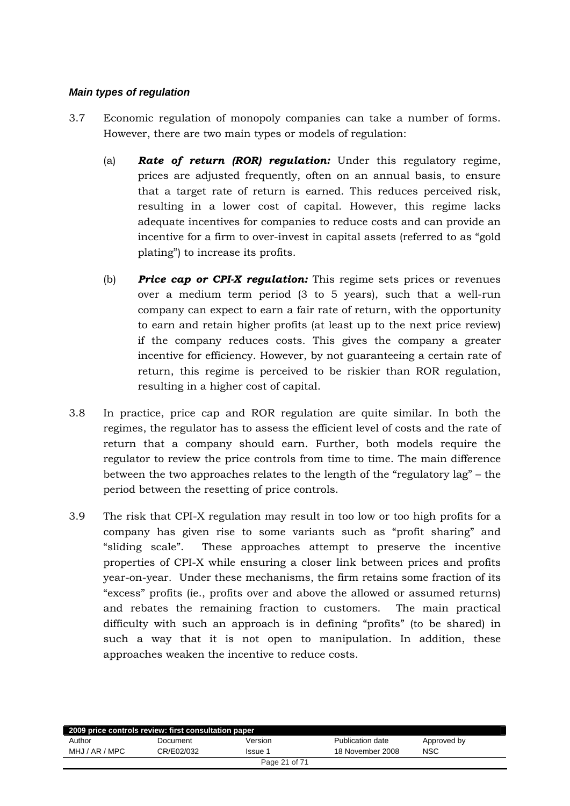#### *Main types of regulation*

- 3.7 Economic regulation of monopoly companies can take a number of forms. However, there are two main types or models of regulation:
	- (a) *Rate of return (ROR) regulation:* Under this regulatory regime, prices are adjusted frequently, often on an annual basis, to ensure that a target rate of return is earned. This reduces perceived risk, resulting in a lower cost of capital. However, this regime lacks adequate incentives for companies to reduce costs and can provide an incentive for a firm to over-invest in capital assets (referred to as "gold plating") to increase its profits.
	- (b) *Price cap or CPI-X regulation:* This regime sets prices or revenues over a medium term period (3 to 5 years), such that a well-run company can expect to earn a fair rate of return, with the opportunity to earn and retain higher profits (at least up to the next price review) if the company reduces costs. This gives the company a greater incentive for efficiency. However, by not guaranteeing a certain rate of return, this regime is perceived to be riskier than ROR regulation, resulting in a higher cost of capital.
- 3.8 In practice, price cap and ROR regulation are quite similar. In both the regimes, the regulator has to assess the efficient level of costs and the rate of return that a company should earn. Further, both models require the regulator to review the price controls from time to time. The main difference between the two approaches relates to the length of the "regulatory lag" – the period between the resetting of price controls.
- 3.9 The risk that CPI-X regulation may result in too low or too high profits for a company has given rise to some variants such as "profit sharing" and "sliding scale". These approaches attempt to preserve the incentive properties of CPI-X while ensuring a closer link between prices and profits year-on-year. Under these mechanisms, the firm retains some fraction of its "excess" profits (ie., profits over and above the allowed or assumed returns) and rebates the remaining fraction to customers. The main practical difficulty with such an approach is in defining "profits" (to be shared) in such a way that it is not open to manipulation. In addition, these approaches weaken the incentive to reduce costs.

| 2009 price controls review: first consultation paper |            |               |                  |             |
|------------------------------------------------------|------------|---------------|------------------|-------------|
| Author                                               | Document   | Version       | Publication date | Approved by |
| MHJ / AR / MPC                                       | CR/E02/032 | Issue 1       | 18 November 2008 | <b>NSC</b>  |
|                                                      |            | Page 21 of 71 |                  |             |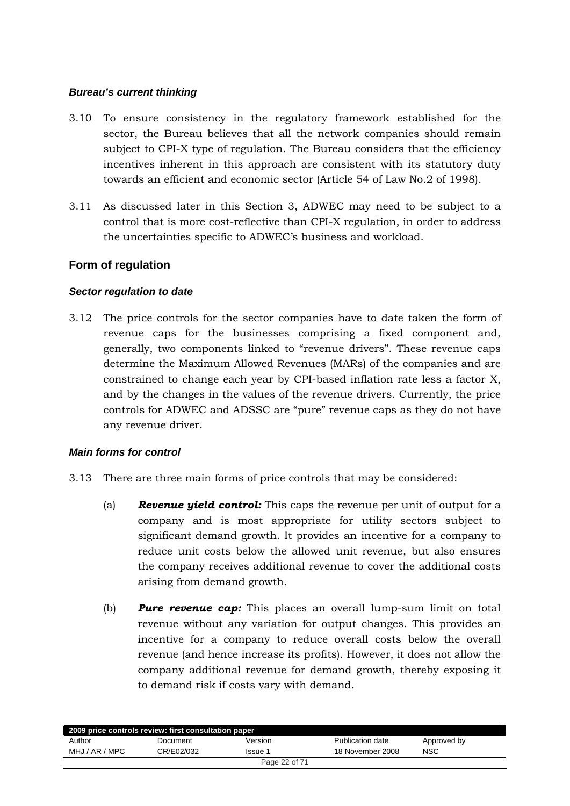## <span id="page-21-0"></span>*Bureau's current thinking*

- 3.10 To ensure consistency in the regulatory framework established for the sector, the Bureau believes that all the network companies should remain subject to CPI-X type of regulation. The Bureau considers that the efficiency incentives inherent in this approach are consistent with its statutory duty towards an efficient and economic sector (Article 54 of Law No.2 of 1998).
- 3.11 As discussed later in this Section 3, ADWEC may need to be subject to a control that is more cost-reflective than CPI-X regulation, in order to address the uncertainties specific to ADWEC's business and workload.

# **Form of regulation**

# *Sector regulation to date*

3.12 The price controls for the sector companies have to date taken the form of revenue caps for the businesses comprising a fixed component and, generally, two components linked to "revenue drivers". These revenue caps determine the Maximum Allowed Revenues (MARs) of the companies and are constrained to change each year by CPI-based inflation rate less a factor X, and by the changes in the values of the revenue drivers. Currently, the price controls for ADWEC and ADSSC are "pure" revenue caps as they do not have any revenue driver.

# *Main forms for control*

- 3.13 There are three main forms of price controls that may be considered:
	- (a) *Revenue yield control:* This caps the revenue per unit of output for a company and is most appropriate for utility sectors subject to significant demand growth. It provides an incentive for a company to reduce unit costs below the allowed unit revenue, but also ensures the company receives additional revenue to cover the additional costs arising from demand growth.
	- (b) *Pure revenue cap:* This places an overall lump-sum limit on total revenue without any variation for output changes. This provides an incentive for a company to reduce overall costs below the overall revenue (and hence increase its profits). However, it does not allow the company additional revenue for demand growth, thereby exposing it to demand risk if costs vary with demand.

| 2009 price controls review: first consultation paper |            |               |                  |             |  |
|------------------------------------------------------|------------|---------------|------------------|-------------|--|
| Author                                               | Document   | Version       | Publication date | Approved by |  |
| MHJ / AR / MPC                                       | CR/E02/032 | Issue 1       | 18 November 2008 | <b>NSC</b>  |  |
|                                                      |            | Page 22 of 71 |                  |             |  |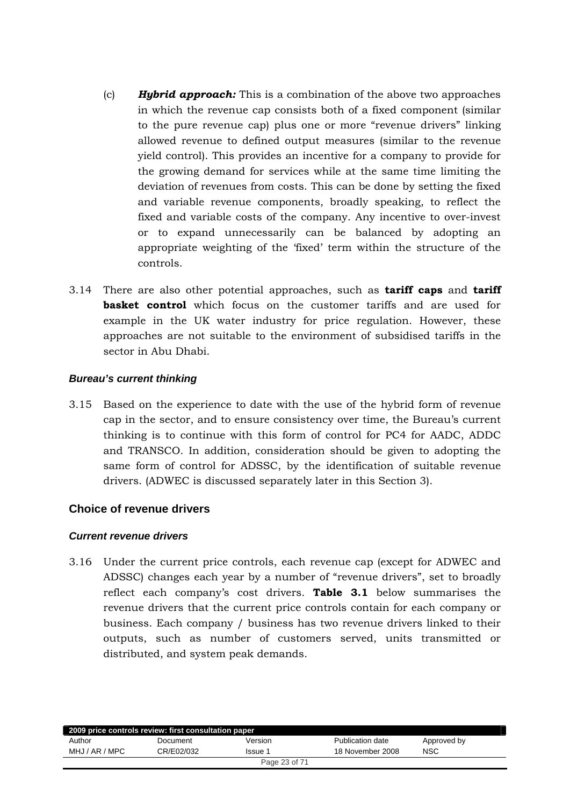- <span id="page-22-0"></span>(c) *Hybrid approach:* This is a combination of the above two approaches in which the revenue cap consists both of a fixed component (similar to the pure revenue cap) plus one or more "revenue drivers" linking allowed revenue to defined output measures (similar to the revenue yield control). This provides an incentive for a company to provide for the growing demand for services while at the same time limiting the deviation of revenues from costs. This can be done by setting the fixed and variable revenue components, broadly speaking, to reflect the fixed and variable costs of the company. Any incentive to over-invest or to expand unnecessarily can be balanced by adopting an appropriate weighting of the 'fixed' term within the structure of the controls.
- 3.14 There are also other potential approaches, such as **tariff caps** and **tariff basket control** which focus on the customer tariffs and are used for example in the UK water industry for price regulation. However, these approaches are not suitable to the environment of subsidised tariffs in the sector in Abu Dhabi.

# *Bureau's current thinking*

3.15 Based on the experience to date with the use of the hybrid form of revenue cap in the sector, and to ensure consistency over time, the Bureau's current thinking is to continue with this form of control for PC4 for AADC, ADDC and TRANSCO. In addition, consideration should be given to adopting the same form of control for ADSSC, by the identification of suitable revenue drivers. (ADWEC is discussed separately later in this Section 3).

# **Choice of revenue drivers**

# *Current revenue drivers*

3.16 Under the current price controls, each revenue cap (except for ADWEC and ADSSC) changes each year by a number of "revenue drivers", set to broadly reflect each company's cost drivers. **Table 3.1** below summarises the revenue drivers that the current price controls contain for each company or business. Each company / business has two revenue drivers linked to their outputs, such as number of customers served, units transmitted or distributed, and system peak demands.

| 2009 price controls review: first consultation paper |            |               |                  |             |  |
|------------------------------------------------------|------------|---------------|------------------|-------------|--|
| Author                                               | Document   | Version       | Publication date | Approved by |  |
| MHJ / AR / MPC                                       | CR/E02/032 | Issue 1       | 18 November 2008 | <b>NSC</b>  |  |
|                                                      |            | Page 23 of 71 |                  |             |  |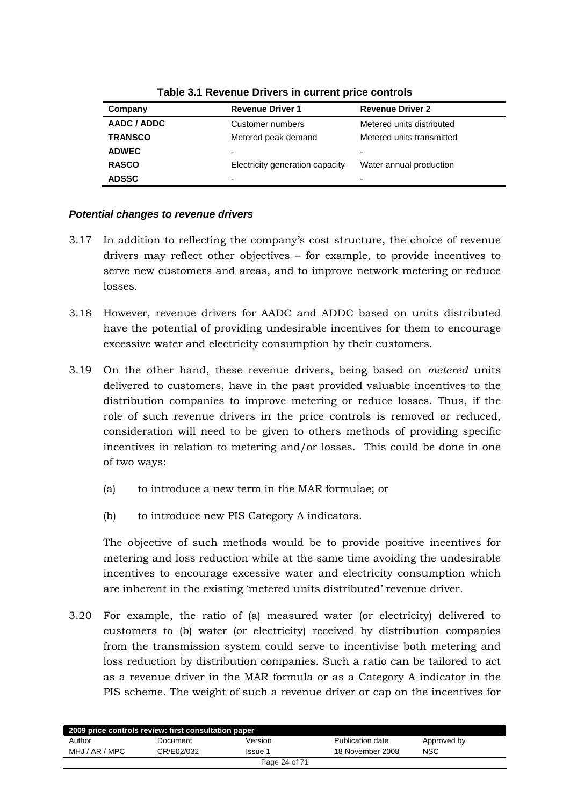| Company        | <b>Revenue Driver 1</b>         | <b>Revenue Driver 2</b>   |
|----------------|---------------------------------|---------------------------|
| AADC / ADDC    | Customer numbers                | Metered units distributed |
| <b>TRANSCO</b> | Metered peak demand             | Metered units transmitted |
| <b>ADWEC</b>   | ٠                               | -                         |
| <b>RASCO</b>   | Electricity generation capacity | Water annual production   |
| <b>ADSSC</b>   | ٠                               | ۰                         |

**Table 3.1 Revenue Drivers in current price controls** 

## *Potential changes to revenue drivers*

- 3.17 In addition to reflecting the company's cost structure, the choice of revenue drivers may reflect other objectives – for example, to provide incentives to serve new customers and areas, and to improve network metering or reduce losses.
- 3.18 However, revenue drivers for AADC and ADDC based on units distributed have the potential of providing undesirable incentives for them to encourage excessive water and electricity consumption by their customers.
- 3.19 On the other hand, these revenue drivers, being based on *metered* units delivered to customers, have in the past provided valuable incentives to the distribution companies to improve metering or reduce losses. Thus, if the role of such revenue drivers in the price controls is removed or reduced, consideration will need to be given to others methods of providing specific incentives in relation to metering and/or losses. This could be done in one of two ways:
	- (a) to introduce a new term in the MAR formulae; or
	- (b) to introduce new PIS Category A indicators.

The objective of such methods would be to provide positive incentives for metering and loss reduction while at the same time avoiding the undesirable incentives to encourage excessive water and electricity consumption which are inherent in the existing 'metered units distributed' revenue driver.

3.20 For example, the ratio of (a) measured water (or electricity) delivered to customers to (b) water (or electricity) received by distribution companies from the transmission system could serve to incentivise both metering and loss reduction by distribution companies. Such a ratio can be tailored to act as a revenue driver in the MAR formula or as a Category A indicator in the PIS scheme. The weight of such a revenue driver or cap on the incentives for

| 2009 price controls review: first consultation paper |            |               |                  |             |
|------------------------------------------------------|------------|---------------|------------------|-------------|
| Author                                               | Document   | Version       | Publication date | Approved by |
| MHJ / AR / MPC                                       | CR/E02/032 | Issue 1       | 18 November 2008 | <b>NSC</b>  |
|                                                      |            | Page 24 of 71 |                  |             |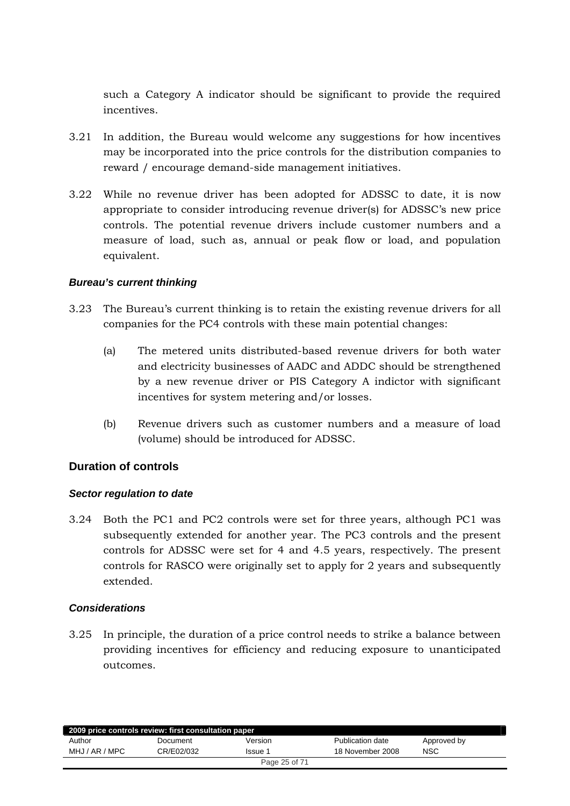<span id="page-24-0"></span>such a Category A indicator should be significant to provide the required incentives.

- 3.21 In addition, the Bureau would welcome any suggestions for how incentives may be incorporated into the price controls for the distribution companies to reward / encourage demand-side management initiatives.
- 3.22 While no revenue driver has been adopted for ADSSC to date, it is now appropriate to consider introducing revenue driver(s) for ADSSC's new price controls. The potential revenue drivers include customer numbers and a measure of load, such as, annual or peak flow or load, and population equivalent.

## *Bureau's current thinking*

- 3.23 The Bureau's current thinking is to retain the existing revenue drivers for all companies for the PC4 controls with these main potential changes:
	- (a) The metered units distributed-based revenue drivers for both water and electricity businesses of AADC and ADDC should be strengthened by a new revenue driver or PIS Category A indictor with significant incentives for system metering and/or losses.
	- (b) Revenue drivers such as customer numbers and a measure of load (volume) should be introduced for ADSSC.

# **Duration of controls**

#### *Sector regulation to date*

3.24 Both the PC1 and PC2 controls were set for three years, although PC1 was subsequently extended for another year. The PC3 controls and the present controls for ADSSC were set for 4 and 4.5 years, respectively. The present controls for RASCO were originally set to apply for 2 years and subsequently extended.

#### *Considerations*

3.25 In principle, the duration of a price control needs to strike a balance between providing incentives for efficiency and reducing exposure to unanticipated outcomes.

| 2009 price controls review: first consultation paper |            |               |                  |             |
|------------------------------------------------------|------------|---------------|------------------|-------------|
| Author                                               | Document   | Version       | Publication date | Approved by |
| MHJ / AR / MPC                                       | CR/E02/032 | Issue 1       | 18 November 2008 | NSC         |
|                                                      |            | Page 25 of 71 |                  |             |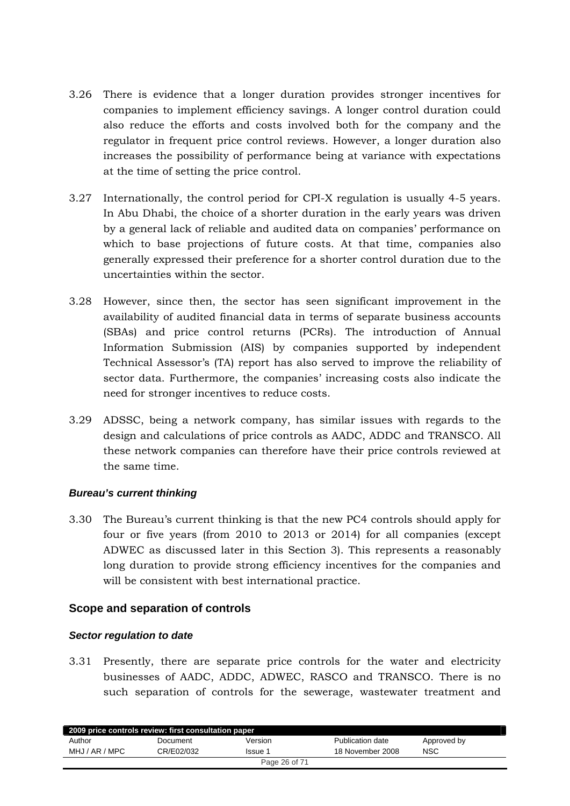- <span id="page-25-0"></span>3.26 There is evidence that a longer duration provides stronger incentives for companies to implement efficiency savings. A longer control duration could also reduce the efforts and costs involved both for the company and the regulator in frequent price control reviews. However, a longer duration also increases the possibility of performance being at variance with expectations at the time of setting the price control.
- 3.27 Internationally, the control period for CPI-X regulation is usually 4-5 years. In Abu Dhabi, the choice of a shorter duration in the early years was driven by a general lack of reliable and audited data on companies' performance on which to base projections of future costs. At that time, companies also generally expressed their preference for a shorter control duration due to the uncertainties within the sector.
- 3.28 However, since then, the sector has seen significant improvement in the availability of audited financial data in terms of separate business accounts (SBAs) and price control returns (PCRs). The introduction of Annual Information Submission (AIS) by companies supported by independent Technical Assessor's (TA) report has also served to improve the reliability of sector data. Furthermore, the companies' increasing costs also indicate the need for stronger incentives to reduce costs.
- 3.29 ADSSC, being a network company, has similar issues with regards to the design and calculations of price controls as AADC, ADDC and TRANSCO. All these network companies can therefore have their price controls reviewed at the same time.

#### *Bureau's current thinking*

3.30 The Bureau's current thinking is that the new PC4 controls should apply for four or five years (from 2010 to 2013 or 2014) for all companies (except ADWEC as discussed later in this Section 3). This represents a reasonably long duration to provide strong efficiency incentives for the companies and will be consistent with best international practice.

# **Scope and separation of controls**

#### *Sector regulation to date*

3.31 Presently, there are separate price controls for the water and electricity businesses of AADC, ADDC, ADWEC, RASCO and TRANSCO. There is no such separation of controls for the sewerage, wastewater treatment and

| 2009 price controls review: first consultation paper |            |               |                  |             |
|------------------------------------------------------|------------|---------------|------------------|-------------|
| Author                                               | Document   | Version       | Publication date | Approved by |
| MHJ / AR / MPC                                       | CR/E02/032 | Issue 1       | 18 November 2008 | <b>NSC</b>  |
|                                                      |            | Page 26 of 71 |                  |             |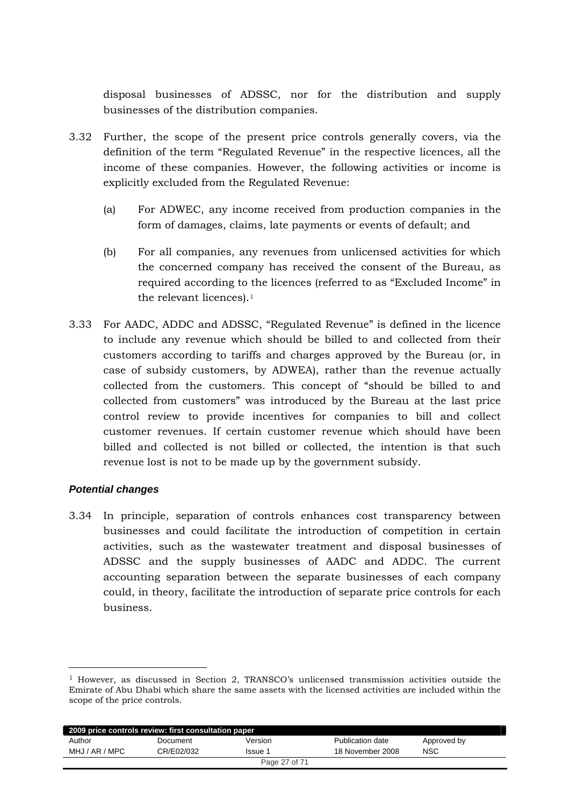disposal businesses of ADSSC, nor for the distribution and supply businesses of the distribution companies.

- 3.32 Further, the scope of the present price controls generally covers, via the definition of the term "Regulated Revenue" in the respective licences, all the income of these companies. However, the following activities or income is explicitly excluded from the Regulated Revenue:
	- (a) For ADWEC, any income received from production companies in the form of damages, claims, late payments or events of default; and
	- (b) For all companies, any revenues from unlicensed activities for which the concerned company has received the consent of the Bureau, as required according to the licences (referred to as "Excluded Income" in the relevant licences).<sup>[1](#page-26-0)</sup>
- 3.33 For AADC, ADDC and ADSSC, "Regulated Revenue" is defined in the licence to include any revenue which should be billed to and collected from their customers according to tariffs and charges approved by the Bureau (or, in case of subsidy customers, by ADWEA), rather than the revenue actually collected from the customers. This concept of "should be billed to and collected from customers" was introduced by the Bureau at the last price control review to provide incentives for companies to bill and collect customer revenues. If certain customer revenue which should have been billed and collected is not billed or collected, the intention is that such revenue lost is not to be made up by the government subsidy.

# *Potential changes*

-

3.34 In principle, separation of controls enhances cost transparency between businesses and could facilitate the introduction of competition in certain activities, such as the wastewater treatment and disposal businesses of ADSSC and the supply businesses of AADC and ADDC. The current accounting separation between the separate businesses of each company could, in theory, facilitate the introduction of separate price controls for each business.

<span id="page-26-0"></span> $1$  However, as discussed in Section 2, TRANSCO's unlicensed transmission activities outside the Emirate of Abu Dhabi which share the same assets with the licensed activities are included within the scope of the price controls.

| 2009 price controls review: first consultation paper |            |               |                  |             |  |
|------------------------------------------------------|------------|---------------|------------------|-------------|--|
| Author                                               | Document   | Version       | Publication date | Approved by |  |
| MHJ / AR / MPC                                       | CR/E02/032 | Issue 1       | 18 November 2008 | <b>NSC</b>  |  |
|                                                      |            | Page 27 of 71 |                  |             |  |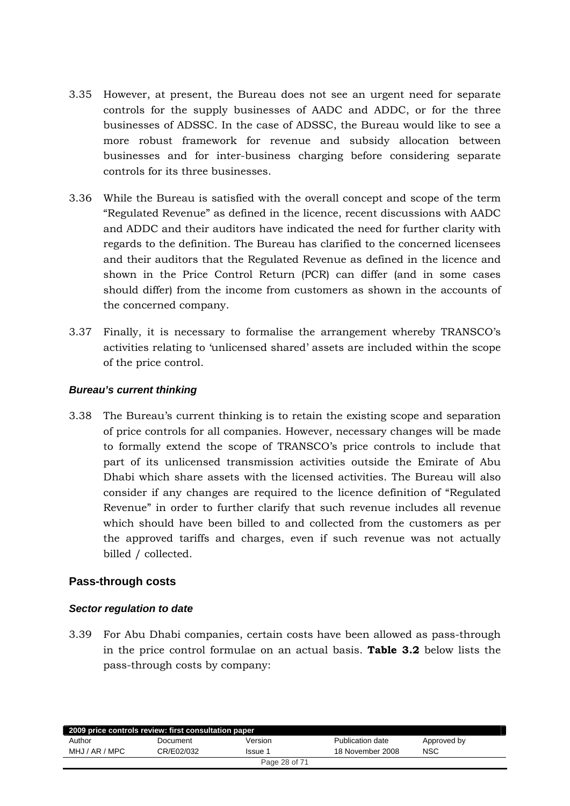- <span id="page-27-0"></span>3.35 However, at present, the Bureau does not see an urgent need for separate controls for the supply businesses of AADC and ADDC, or for the three businesses of ADSSC. In the case of ADSSC, the Bureau would like to see a more robust framework for revenue and subsidy allocation between businesses and for inter-business charging before considering separate controls for its three businesses.
- 3.36 While the Bureau is satisfied with the overall concept and scope of the term "Regulated Revenue" as defined in the licence, recent discussions with AADC and ADDC and their auditors have indicated the need for further clarity with regards to the definition. The Bureau has clarified to the concerned licensees and their auditors that the Regulated Revenue as defined in the licence and shown in the Price Control Return (PCR) can differ (and in some cases should differ) from the income from customers as shown in the accounts of the concerned company.
- 3.37 Finally, it is necessary to formalise the arrangement whereby TRANSCO's activities relating to 'unlicensed shared' assets are included within the scope of the price control.

## *Bureau's current thinking*

3.38 The Bureau's current thinking is to retain the existing scope and separation of price controls for all companies. However, necessary changes will be made to formally extend the scope of TRANSCO's price controls to include that part of its unlicensed transmission activities outside the Emirate of Abu Dhabi which share assets with the licensed activities. The Bureau will also consider if any changes are required to the licence definition of "Regulated Revenue" in order to further clarify that such revenue includes all revenue which should have been billed to and collected from the customers as per the approved tariffs and charges, even if such revenue was not actually billed / collected.

# **Pass-through costs**

# *Sector regulation to date*

3.39 For Abu Dhabi companies, certain costs have been allowed as pass-through in the price control formulae on an actual basis. **Table 3.2** below lists the pass-through costs by company:

| 2009 price controls review: first consultation paper |            |               |                  |             |  |
|------------------------------------------------------|------------|---------------|------------------|-------------|--|
| Author                                               | Document   | Version       | Publication date | Approved by |  |
| MHJ / AR / MPC                                       | CR/E02/032 | Issue 1       | 18 November 2008 | <b>NSC</b>  |  |
|                                                      |            | Page 28 of 71 |                  |             |  |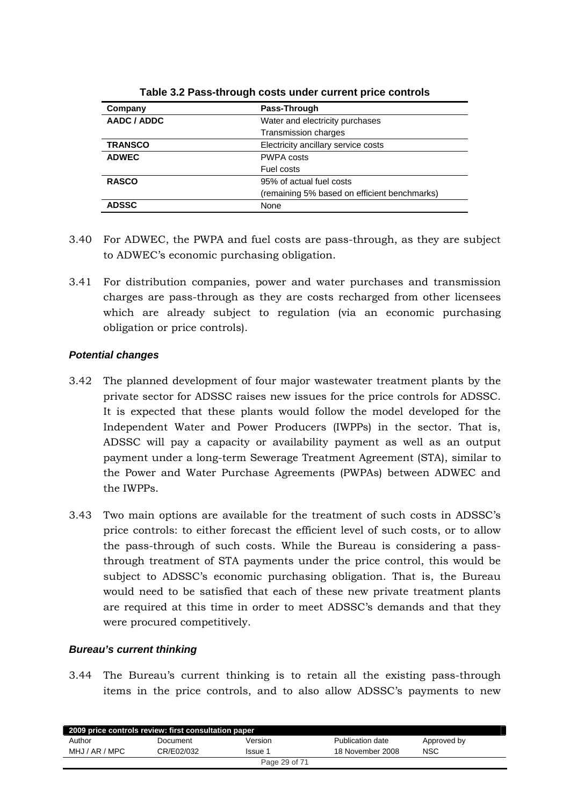| Company        | Pass-Through                                 |  |
|----------------|----------------------------------------------|--|
| AADC / ADDC    | Water and electricity purchases              |  |
|                | <b>Transmission charges</b>                  |  |
| <b>TRANSCO</b> | Electricity ancillary service costs          |  |
| <b>ADWEC</b>   | <b>PWPA costs</b>                            |  |
|                | Fuel costs                                   |  |
| <b>RASCO</b>   | 95% of actual fuel costs                     |  |
|                | (remaining 5% based on efficient benchmarks) |  |
| <b>ADSSC</b>   | None                                         |  |

**Table 3.2 Pass-through costs under current price controls** 

- 3.40 For ADWEC, the PWPA and fuel costs are pass-through, as they are subject to ADWEC's economic purchasing obligation.
- 3.41 For distribution companies, power and water purchases and transmission charges are pass-through as they are costs recharged from other licensees which are already subject to regulation (via an economic purchasing obligation or price controls).

# *Potential changes*

- 3.42 The planned development of four major wastewater treatment plants by the private sector for ADSSC raises new issues for the price controls for ADSSC. It is expected that these plants would follow the model developed for the Independent Water and Power Producers (IWPPs) in the sector. That is, ADSSC will pay a capacity or availability payment as well as an output payment under a long-term Sewerage Treatment Agreement (STA), similar to the Power and Water Purchase Agreements (PWPAs) between ADWEC and the IWPPs.
- 3.43 Two main options are available for the treatment of such costs in ADSSC's price controls: to either forecast the efficient level of such costs, or to allow the pass-through of such costs. While the Bureau is considering a passthrough treatment of STA payments under the price control, this would be subject to ADSSC's economic purchasing obligation. That is, the Bureau would need to be satisfied that each of these new private treatment plants are required at this time in order to meet ADSSC's demands and that they were procured competitively.

# *Bureau's current thinking*

3.44 The Bureau's current thinking is to retain all the existing pass-through items in the price controls, and to also allow ADSSC's payments to new

| 2009 price controls review: first consultation paper |            |               |                  |             |  |  |
|------------------------------------------------------|------------|---------------|------------------|-------------|--|--|
| Author                                               | Document   | Version       | Publication date | Approved by |  |  |
| MHJ / AR / MPC                                       | CR/E02/032 | lssue 1       | 18 November 2008 | NSC         |  |  |
|                                                      |            | Page 29 of 71 |                  |             |  |  |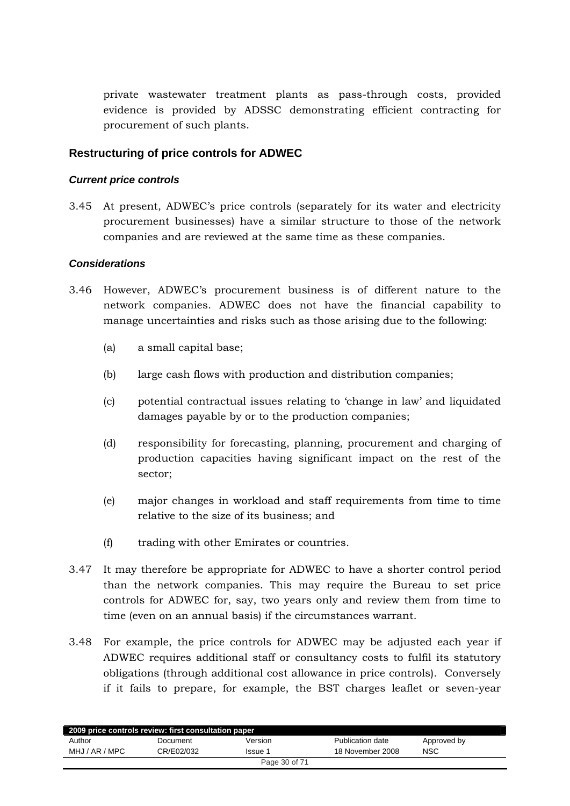<span id="page-29-0"></span>private wastewater treatment plants as pass-through costs, provided evidence is provided by ADSSC demonstrating efficient contracting for procurement of such plants.

# **Restructuring of price controls for ADWEC**

#### *Current price controls*

3.45 At present, ADWEC's price controls (separately for its water and electricity procurement businesses) have a similar structure to those of the network companies and are reviewed at the same time as these companies.

## *Considerations*

- 3.46 However, ADWEC's procurement business is of different nature to the network companies. ADWEC does not have the financial capability to manage uncertainties and risks such as those arising due to the following:
	- (a) a small capital base;
	- (b) large cash flows with production and distribution companies;
	- (c) potential contractual issues relating to 'change in law' and liquidated damages payable by or to the production companies;
	- (d) responsibility for forecasting, planning, procurement and charging of production capacities having significant impact on the rest of the sector;
	- (e) major changes in workload and staff requirements from time to time relative to the size of its business; and
	- (f) trading with other Emirates or countries.
- 3.47 It may therefore be appropriate for ADWEC to have a shorter control period than the network companies. This may require the Bureau to set price controls for ADWEC for, say, two years only and review them from time to time (even on an annual basis) if the circumstances warrant.
- 3.48 For example, the price controls for ADWEC may be adjusted each year if ADWEC requires additional staff or consultancy costs to fulfil its statutory obligations (through additional cost allowance in price controls). Conversely if it fails to prepare, for example, the BST charges leaflet or seven-year

| 2009 price controls review: first consultation paper |            |               |                  |             |  |
|------------------------------------------------------|------------|---------------|------------------|-------------|--|
| Author                                               | Document   | Version       | Publication date | Approved by |  |
| MHJ / AR / MPC                                       | CR/E02/032 | Issue 1       | 18 November 2008 | NSC         |  |
|                                                      |            | Page 30 of 71 |                  |             |  |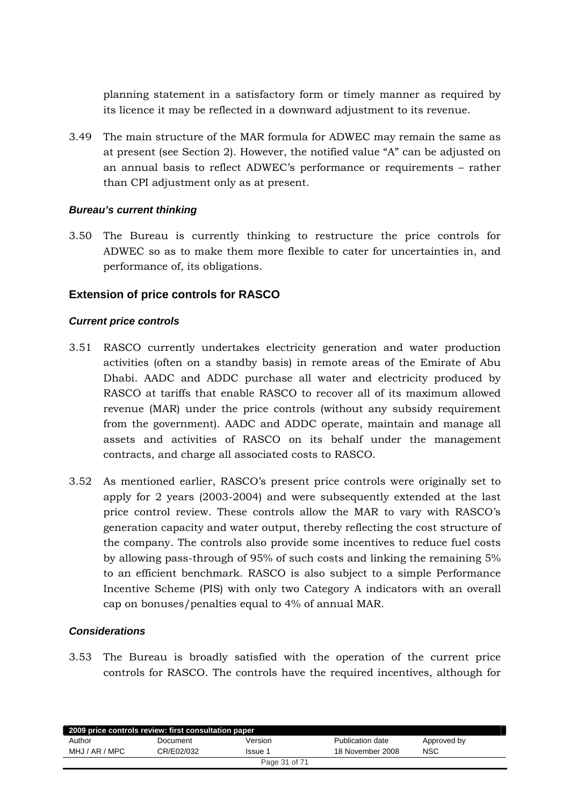<span id="page-30-0"></span>planning statement in a satisfactory form or timely manner as required by its licence it may be reflected in a downward adjustment to its revenue.

3.49 The main structure of the MAR formula for ADWEC may remain the same as at present (see Section 2). However, the notified value "A" can be adjusted on an annual basis to reflect ADWEC's performance or requirements – rather than CPI adjustment only as at present.

## *Bureau's current thinking*

3.50 The Bureau is currently thinking to restructure the price controls for ADWEC so as to make them more flexible to cater for uncertainties in, and performance of, its obligations.

# **Extension of price controls for RASCO**

## *Current price controls*

- 3.51 RASCO currently undertakes electricity generation and water production activities (often on a standby basis) in remote areas of the Emirate of Abu Dhabi. AADC and ADDC purchase all water and electricity produced by RASCO at tariffs that enable RASCO to recover all of its maximum allowed revenue (MAR) under the price controls (without any subsidy requirement from the government). AADC and ADDC operate, maintain and manage all assets and activities of RASCO on its behalf under the management contracts, and charge all associated costs to RASCO.
- 3.52 As mentioned earlier, RASCO's present price controls were originally set to apply for 2 years (2003-2004) and were subsequently extended at the last price control review. These controls allow the MAR to vary with RASCO's generation capacity and water output, thereby reflecting the cost structure of the company. The controls also provide some incentives to reduce fuel costs by allowing pass-through of 95% of such costs and linking the remaining 5% to an efficient benchmark. RASCO is also subject to a simple Performance Incentive Scheme (PIS) with only two Category A indicators with an overall cap on bonuses/penalties equal to 4% of annual MAR.

#### *Considerations*

3.53 The Bureau is broadly satisfied with the operation of the current price controls for RASCO. The controls have the required incentives, although for

| 2009 price controls review: first consultation paper |            |               |                  |             |  |
|------------------------------------------------------|------------|---------------|------------------|-------------|--|
| Author                                               | Document   | Version       | Publication date | Approved by |  |
| MHJ / AR / MPC                                       | CR/E02/032 | Issue 1       | 18 November 2008 | <b>NSC</b>  |  |
|                                                      |            | Page 31 of 71 |                  |             |  |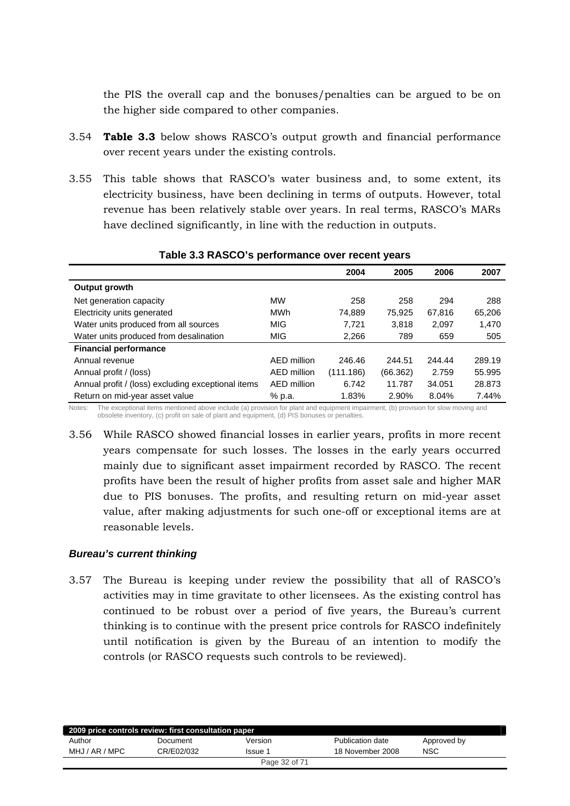the PIS the overall cap and the bonuses/penalties can be argued to be on the higher side compared to other companies.

- 3.54 **Table 3.3** below shows RASCO's output growth and financial performance over recent years under the existing controls.
- 3.55 This table shows that RASCO's water business and, to some extent, its electricity business, have been declining in terms of outputs. However, total revenue has been relatively stable over years. In real terms, RASCO's MARs have declined significantly, in line with the reduction in outputs.

|                                                    |             | 2004      | 2005     | 2006   | 2007   |
|----------------------------------------------------|-------------|-----------|----------|--------|--------|
| Output growth                                      |             |           |          |        |        |
| Net generation capacity                            | MW          | 258       | 258      | 294    | 288    |
| Electricity units generated                        | <b>MWh</b>  | 74,889    | 75.925   | 67.816 | 65,206 |
| Water units produced from all sources              | <b>MIG</b>  | 7.721     | 3.818    | 2,097  | 1,470  |
| Water units produced from desalination             | <b>MIG</b>  | 2.266     | 789      | 659    | 505    |
| <b>Financial performance</b>                       |             |           |          |        |        |
| Annual revenue                                     | AED million | 246.46    | 244.51   | 244.44 | 289.19 |
| Annual profit / (loss)                             | AED million | (111.186) | (66.362) | 2.759  | 55.995 |
| Annual profit / (loss) excluding exceptional items | AED million | 6.742     | 11.787   | 34.051 | 28.873 |
| Return on mid-year asset value                     | % p.a.      | 1.83%     | 2.90%    | 8.04%  | 7.44%  |

#### **Table 3.3 RASCO's performance over recent years**

Notes: The exceptional items mentioned above include (a) provision for plant and equipment impairment, (b) provision for slow moving and obsolete inventory, (c) profit on sale of plant and equipment, (d) PIS bonuses or penalties.

3.56 While RASCO showed financial losses in earlier years, profits in more recent years compensate for such losses. The losses in the early years occurred mainly due to significant asset impairment recorded by RASCO. The recent profits have been the result of higher profits from asset sale and higher MAR due to PIS bonuses. The profits, and resulting return on mid-year asset value, after making adjustments for such one-off or exceptional items are at reasonable levels.

#### *Bureau's current thinking*

3.57 The Bureau is keeping under review the possibility that all of RASCO's activities may in time gravitate to other licensees. As the existing control has continued to be robust over a period of five years, the Bureau's current thinking is to continue with the present price controls for RASCO indefinitely until notification is given by the Bureau of an intention to modify the controls (or RASCO requests such controls to be reviewed).

| 2009 price controls review: first consultation paper |            |               |                  |             |  |
|------------------------------------------------------|------------|---------------|------------------|-------------|--|
| Author                                               | Document   | Version       | Publication date | Approved by |  |
| MHJ / AR / MPC                                       | CR/E02/032 | Issue 1       | 18 November 2008 | <b>NSC</b>  |  |
|                                                      |            | Page 32 of 71 |                  |             |  |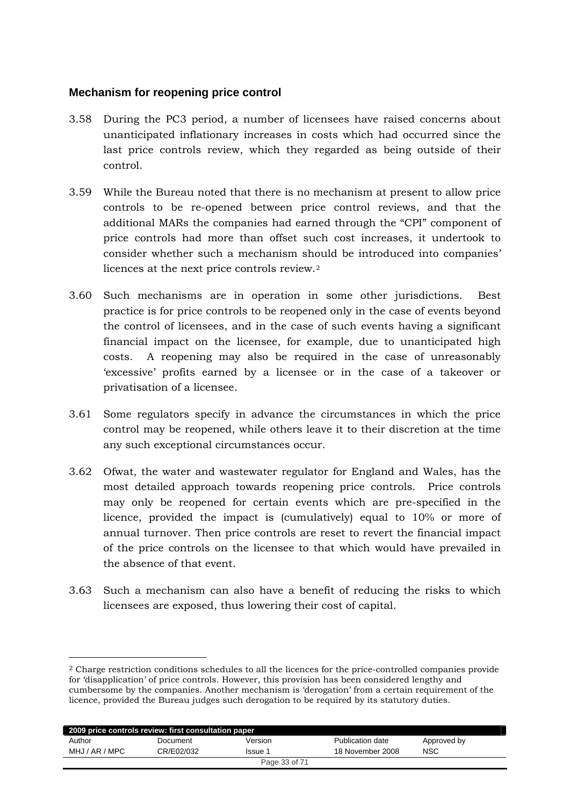# <span id="page-32-0"></span>**Mechanism for reopening price control**

-

- 3.58 During the PC3 period, a number of licensees have raised concerns about unanticipated inflationary increases in costs which had occurred since the last price controls review, which they regarded as being outside of their control.
- 3.59 While the Bureau noted that there is no mechanism at present to allow price controls to be re-opened between price control reviews, and that the additional MARs the companies had earned through the "CPI" component of price controls had more than offset such cost increases, it undertook to consider whether such a mechanism should be introduced into companies' licences at the next price controls review.[2](#page-32-1)
- 3.60 Such mechanisms are in operation in some other jurisdictions. Best practice is for price controls to be reopened only in the case of events beyond the control of licensees, and in the case of such events having a significant financial impact on the licensee, for example, due to unanticipated high costs. A reopening may also be required in the case of unreasonably 'excessive' profits earned by a licensee or in the case of a takeover or privatisation of a licensee.
- 3.61 Some regulators specify in advance the circumstances in which the price control may be reopened, while others leave it to their discretion at the time any such exceptional circumstances occur.
- 3.62 Ofwat, the water and wastewater regulator for England and Wales, has the most detailed approach towards reopening price controls. Price controls may only be reopened for certain events which are pre-specified in the licence, provided the impact is (cumulatively) equal to 10% or more of annual turnover. Then price controls are reset to revert the financial impact of the price controls on the licensee to that which would have prevailed in the absence of that event.
- 3.63 Such a mechanism can also have a benefit of reducing the risks to which licensees are exposed, thus lowering their cost of capital.

<span id="page-32-1"></span><sup>2</sup> Charge restriction conditions schedules to all the licences for the price-controlled companies provide for 'disapplication' of price controls. However, this provision has been considered lengthy and cumbersome by the companies. Another mechanism is 'derogation' from a certain requirement of the licence, provided the Bureau judges such derogation to be required by its statutory duties.

| 2009 price controls review: first consultation paper |            |               |                  |             |  |  |
|------------------------------------------------------|------------|---------------|------------------|-------------|--|--|
| Author                                               | Document   | Version       | Publication date | Approved by |  |  |
| MHJ / AR / MPC                                       | CR/E02/032 | Issue 1       | 18 November 2008 | <b>NSC</b>  |  |  |
|                                                      |            | Page 33 of 71 |                  |             |  |  |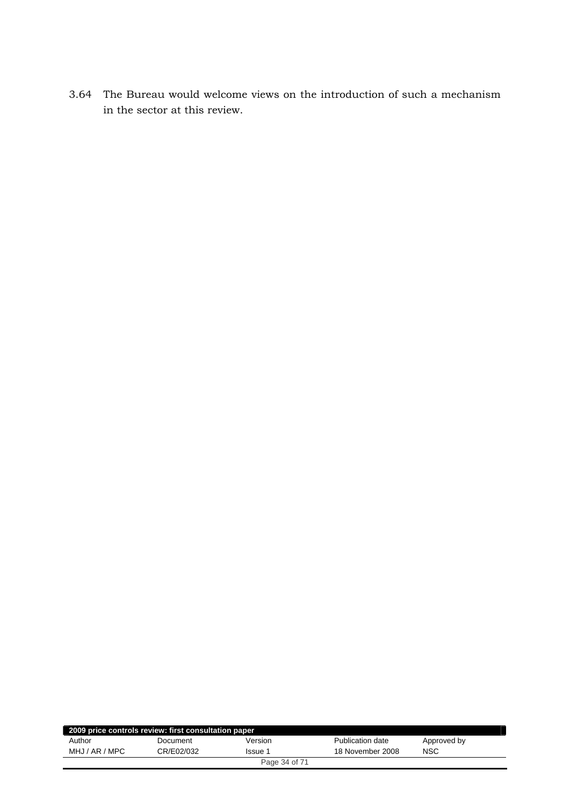3.64 The Bureau would welcome views on the introduction of such a mechanism in the sector at this review.

| 2009 price controls review: first consultation paper |            |               |                  |             |  |  |
|------------------------------------------------------|------------|---------------|------------------|-------------|--|--|
| Author                                               | Document   | Version       | Publication date | Approved by |  |  |
| MHJ / AR / MPC                                       | CR/E02/032 | lssue 1       | 18 November 2008 | NSC         |  |  |
|                                                      |            | Page 34 of 71 |                  |             |  |  |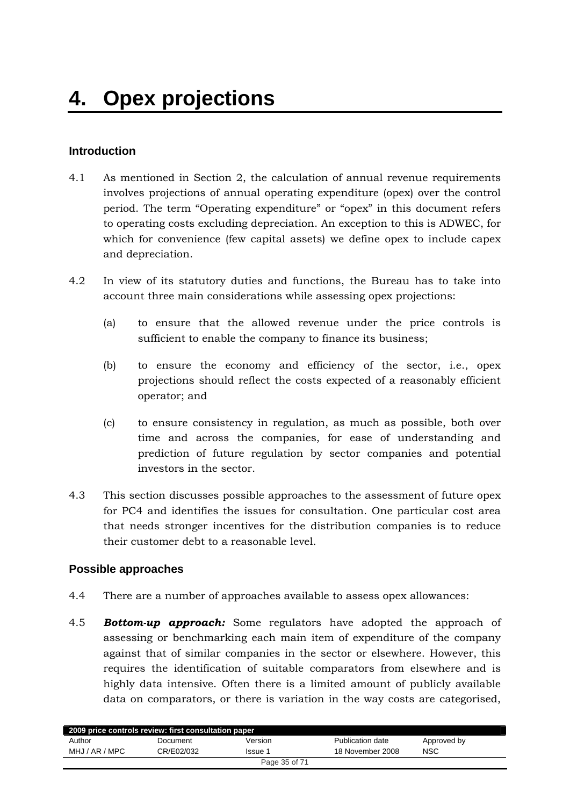# <span id="page-34-0"></span>**Introduction**

- 4.1 As mentioned in Section 2, the calculation of annual revenue requirements involves projections of annual operating expenditure (opex) over the control period. The term "Operating expenditure" or "opex" in this document refers to operating costs excluding depreciation. An exception to this is ADWEC, for which for convenience (few capital assets) we define opex to include capex and depreciation.
- 4.2 In view of its statutory duties and functions, the Bureau has to take into account three main considerations while assessing opex projections:
	- (a) to ensure that the allowed revenue under the price controls is sufficient to enable the company to finance its business;
	- (b) to ensure the economy and efficiency of the sector, i.e., opex projections should reflect the costs expected of a reasonably efficient operator; and
	- (c) to ensure consistency in regulation, as much as possible, both over time and across the companies, for ease of understanding and prediction of future regulation by sector companies and potential investors in the sector.
- 4.3 This section discusses possible approaches to the assessment of future opex for PC4 and identifies the issues for consultation. One particular cost area that needs stronger incentives for the distribution companies is to reduce their customer debt to a reasonable level.

# **Possible approaches**

- 4.4 There are a number of approaches available to assess opex allowances:
- 4.5 *Bottom-up approach:* Some regulators have adopted the approach of assessing or benchmarking each main item of expenditure of the company against that of similar companies in the sector or elsewhere. However, this requires the identification of suitable comparators from elsewhere and is highly data intensive. Often there is a limited amount of publicly available data on comparators, or there is variation in the way costs are categorised,

| 2009 price controls review: first consultation paper |            |               |                  |             |  |  |
|------------------------------------------------------|------------|---------------|------------------|-------------|--|--|
| Author                                               | Document   | Version       | Publication date | Approved by |  |  |
| MHJ / AR / MPC                                       | CR/E02/032 | Issue 1       | 18 November 2008 | <b>NSC</b>  |  |  |
|                                                      |            | Page 35 of 71 |                  |             |  |  |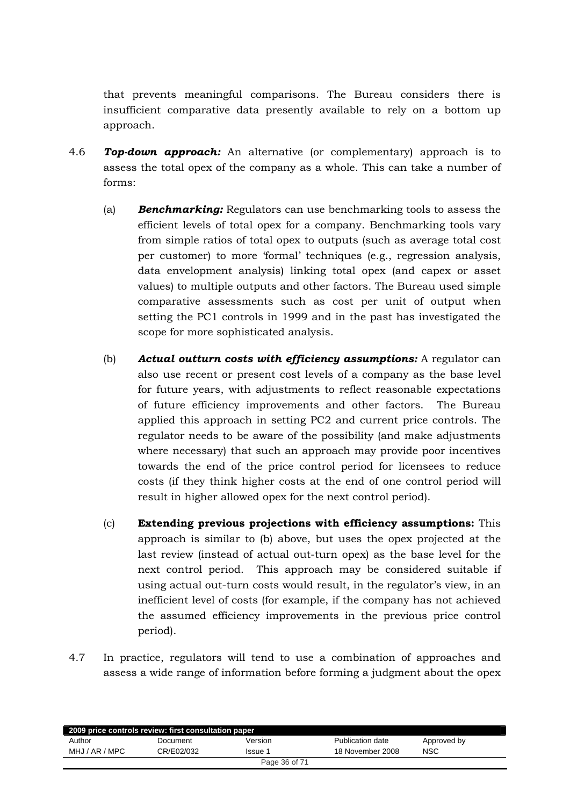that prevents meaningful comparisons. The Bureau considers there is insufficient comparative data presently available to rely on a bottom up approach.

- 4.6 *Top-down approach:* An alternative (or complementary) approach is to assess the total opex of the company as a whole. This can take a number of forms:
	- (a) *Benchmarking:* Regulators can use benchmarking tools to assess the efficient levels of total opex for a company. Benchmarking tools vary from simple ratios of total opex to outputs (such as average total cost per customer) to more 'formal' techniques (e.g., regression analysis, data envelopment analysis) linking total opex (and capex or asset values) to multiple outputs and other factors. The Bureau used simple comparative assessments such as cost per unit of output when setting the PC1 controls in 1999 and in the past has investigated the scope for more sophisticated analysis.
	- (b) *Actual outturn costs with efficiency assumptions:* A regulator can also use recent or present cost levels of a company as the base level for future years, with adjustments to reflect reasonable expectations of future efficiency improvements and other factors. The Bureau applied this approach in setting PC2 and current price controls. The regulator needs to be aware of the possibility (and make adjustments where necessary) that such an approach may provide poor incentives towards the end of the price control period for licensees to reduce costs (if they think higher costs at the end of one control period will result in higher allowed opex for the next control period).
	- (c) **Extending previous projections with efficiency assumptions:** This approach is similar to (b) above, but uses the opex projected at the last review (instead of actual out-turn opex) as the base level for the next control period. This approach may be considered suitable if using actual out-turn costs would result, in the regulator's view, in an inefficient level of costs (for example, if the company has not achieved the assumed efficiency improvements in the previous price control period).
- 4.7 In practice, regulators will tend to use a combination of approaches and assess a wide range of information before forming a judgment about the opex

| 2009 price controls review: first consultation paper |            |               |                  |             |  |  |
|------------------------------------------------------|------------|---------------|------------------|-------------|--|--|
| Author                                               | Document   | Version       | Publication date | Approved by |  |  |
| MHJ / AR / MPC                                       | CR/E02/032 | Issue 1       | 18 November 2008 | <b>NSC</b>  |  |  |
|                                                      |            | Page 36 of 71 |                  |             |  |  |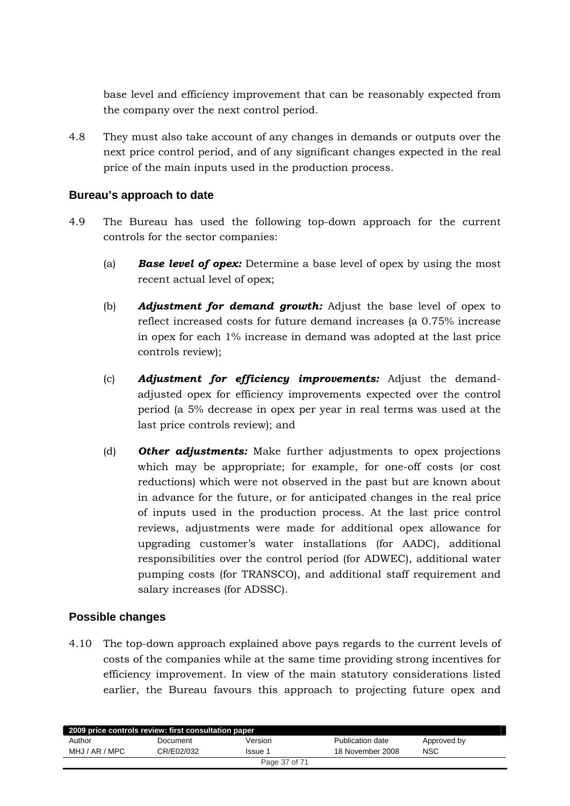<span id="page-36-0"></span>base level and efficiency improvement that can be reasonably expected from the company over the next control period.

4.8 They must also take account of any changes in demands or outputs over the next price control period, and of any significant changes expected in the real price of the main inputs used in the production process.

# **Bureau's approach to date**

- 4.9 The Bureau has used the following top-down approach for the current controls for the sector companies:
	- (a) *Base level of opex:* Determine a base level of opex by using the most recent actual level of opex;
	- (b) *Adjustment for demand growth:* Adjust the base level of opex to reflect increased costs for future demand increases (a 0.75% increase in opex for each 1% increase in demand was adopted at the last price controls review);
	- (c) *Adjustment for efficiency improvements:* Adjust the demandadjusted opex for efficiency improvements expected over the control period (a 5% decrease in opex per year in real terms was used at the last price controls review); and
	- (d) *Other adjustments:* Make further adjustments to opex projections which may be appropriate; for example, for one-off costs (or cost reductions) which were not observed in the past but are known about in advance for the future, or for anticipated changes in the real price of inputs used in the production process. At the last price control reviews, adjustments were made for additional opex allowance for upgrading customer's water installations (for AADC), additional responsibilities over the control period (for ADWEC), additional water pumping costs (for TRANSCO), and additional staff requirement and salary increases (for ADSSC).

# **Possible changes**

4.10 The top-down approach explained above pays regards to the current levels of costs of the companies while at the same time providing strong incentives for efficiency improvement. In view of the main statutory considerations listed earlier, the Bureau favours this approach to projecting future opex and

| 2009 price controls review: first consultation paper |            |               |                  |             |  |  |
|------------------------------------------------------|------------|---------------|------------------|-------------|--|--|
| Author                                               | Document   | Version       | Publication date | Approved by |  |  |
| MHJ / AR / MPC                                       | CR/E02/032 | Issue 1       | 18 November 2008 | <b>NSC</b>  |  |  |
|                                                      |            | Page 37 of 71 |                  |             |  |  |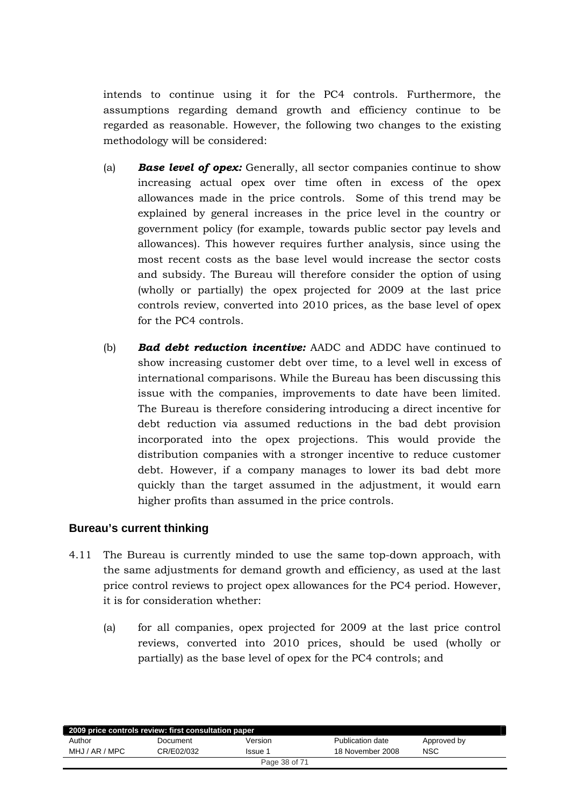<span id="page-37-0"></span>intends to continue using it for the PC4 controls. Furthermore, the assumptions regarding demand growth and efficiency continue to be regarded as reasonable. However, the following two changes to the existing methodology will be considered:

- (a) *Base level of opex:* Generally, all sector companies continue to show increasing actual opex over time often in excess of the opex allowances made in the price controls. Some of this trend may be explained by general increases in the price level in the country or government policy (for example, towards public sector pay levels and allowances). This however requires further analysis, since using the most recent costs as the base level would increase the sector costs and subsidy. The Bureau will therefore consider the option of using (wholly or partially) the opex projected for 2009 at the last price controls review, converted into 2010 prices, as the base level of opex for the PC4 controls.
- (b) *Bad debt reduction incentive:* AADC and ADDC have continued to show increasing customer debt over time, to a level well in excess of international comparisons. While the Bureau has been discussing this issue with the companies, improvements to date have been limited. The Bureau is therefore considering introducing a direct incentive for debt reduction via assumed reductions in the bad debt provision incorporated into the opex projections. This would provide the distribution companies with a stronger incentive to reduce customer debt. However, if a company manages to lower its bad debt more quickly than the target assumed in the adjustment, it would earn higher profits than assumed in the price controls.

# **Bureau's current thinking**

- 4.11 The Bureau is currently minded to use the same top-down approach, with the same adjustments for demand growth and efficiency, as used at the last price control reviews to project opex allowances for the PC4 period. However, it is for consideration whether:
	- (a) for all companies, opex projected for 2009 at the last price control reviews, converted into 2010 prices, should be used (wholly or partially) as the base level of opex for the PC4 controls; and

| 2009 price controls review: first consultation paper |            |               |                  |             |  |
|------------------------------------------------------|------------|---------------|------------------|-------------|--|
| Author                                               | Document   | Version       | Publication date | Approved by |  |
| MHJ / AR / MPC                                       | CR/E02/032 | Issue 1       | 18 November 2008 | <b>NSC</b>  |  |
|                                                      |            | Page 38 of 71 |                  |             |  |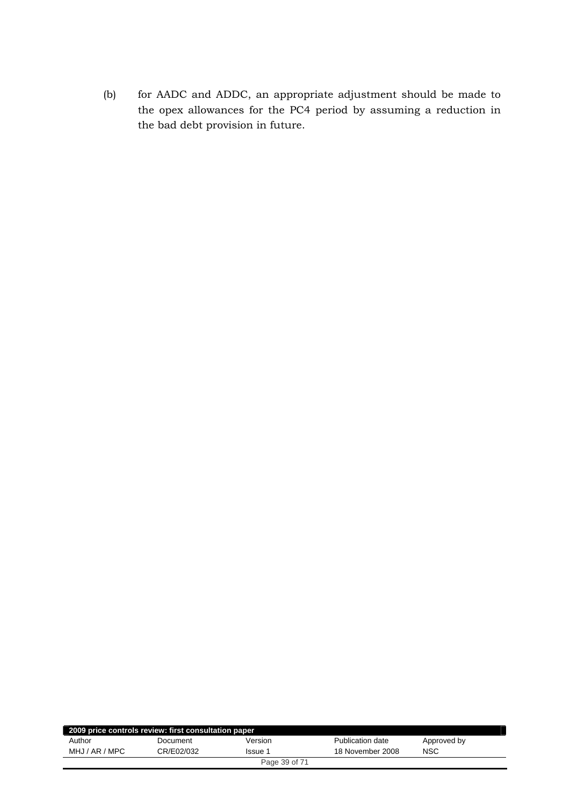(b) for AADC and ADDC, an appropriate adjustment should be made to the opex allowances for the PC4 period by assuming a reduction in the bad debt provision in future.

| 2009 price controls review: first consultation paper |            |               |                  |             |  |  |
|------------------------------------------------------|------------|---------------|------------------|-------------|--|--|
| Author                                               | Document   | Version       | Publication date | Approved by |  |  |
| MHJ / AR / MPC                                       | CR/E02/032 | Issue 1       | 18 November 2008 | NSC         |  |  |
|                                                      |            | Page 39 of 71 |                  |             |  |  |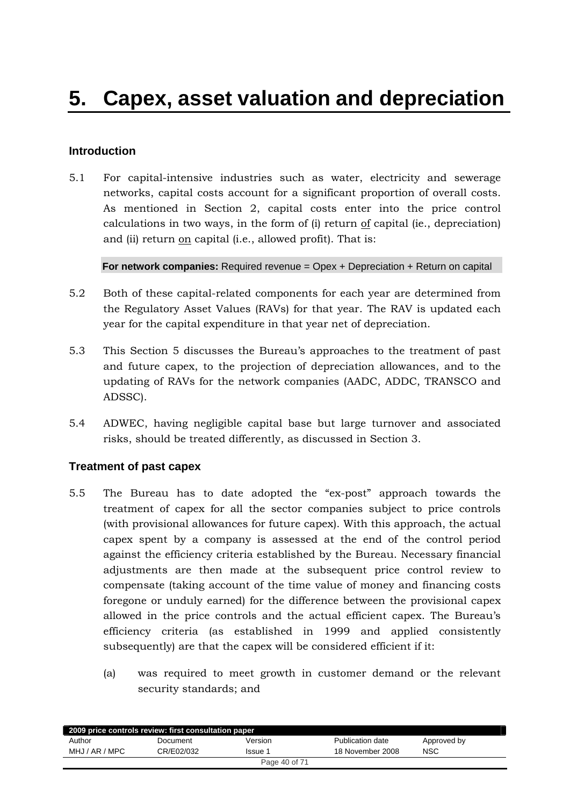# <span id="page-39-0"></span>**Introduction**

5.1 For capital-intensive industries such as water, electricity and sewerage networks, capital costs account for a significant proportion of overall costs. As mentioned in Section 2, capital costs enter into the price control calculations in two ways, in the form of  $(i)$  return of capital (ie., depreciation) and (ii) return on capital (i.e., allowed profit). That is:

**For network companies:** Required revenue = Opex + Depreciation + Return on capital

- 5.2 Both of these capital-related components for each year are determined from the Regulatory Asset Values (RAVs) for that year. The RAV is updated each year for the capital expenditure in that year net of depreciation.
- 5.3 This Section 5 discusses the Bureau's approaches to the treatment of past and future capex, to the projection of depreciation allowances, and to the updating of RAVs for the network companies (AADC, ADDC, TRANSCO and ADSSC).
- 5.4 ADWEC, having negligible capital base but large turnover and associated risks, should be treated differently, as discussed in Section 3.

# **Treatment of past capex**

- 5.5 The Bureau has to date adopted the "ex-post" approach towards the treatment of capex for all the sector companies subject to price controls (with provisional allowances for future capex). With this approach, the actual capex spent by a company is assessed at the end of the control period against the efficiency criteria established by the Bureau. Necessary financial adjustments are then made at the subsequent price control review to compensate (taking account of the time value of money and financing costs foregone or unduly earned) for the difference between the provisional capex allowed in the price controls and the actual efficient capex. The Bureau's efficiency criteria (as established in 1999 and applied consistently subsequently) are that the capex will be considered efficient if it:
	- (a) was required to meet growth in customer demand or the relevant security standards; and

| 2009 price controls review: first consultation paper |            |                |                  |             |  |  |
|------------------------------------------------------|------------|----------------|------------------|-------------|--|--|
| Author                                               | Document   | Version        | Publication date | Approved by |  |  |
| MHJ / AR / MPC                                       | CR/E02/032 | <b>Issue 1</b> | 18 November 2008 | NSC         |  |  |
| Page 40 of 71                                        |            |                |                  |             |  |  |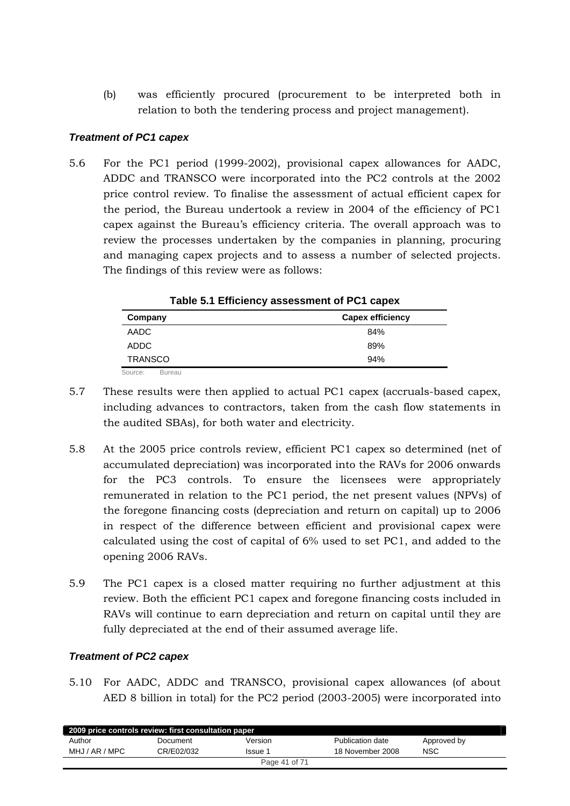(b) was efficiently procured (procurement to be interpreted both in relation to both the tendering process and project management).

## *Treatment of PC1 capex*

5.6 For the PC1 period (1999-2002), provisional capex allowances for AADC, ADDC and TRANSCO were incorporated into the PC2 controls at the 2002 price control review. To finalise the assessment of actual efficient capex for the period, the Bureau undertook a review in 2004 of the efficiency of PC1 capex against the Bureau's efficiency criteria. The overall approach was to review the processes undertaken by the companies in planning, procuring and managing capex projects and to assess a number of selected projects. The findings of this review were as follows:

| Company                  | <b>Capex efficiency</b> |
|--------------------------|-------------------------|
| AADC                     | 84%                     |
| ADDC                     | 89%                     |
| <b>TRANSCO</b>           | 94%                     |
| Source:<br><b>Bureau</b> |                         |

**Table 5.1 Efficiency assessment of PC1 capex** 

- 5.7 These results were then applied to actual PC1 capex (accruals-based capex, including advances to contractors, taken from the cash flow statements in the audited SBAs), for both water and electricity.
- 5.8 At the 2005 price controls review, efficient PC1 capex so determined (net of accumulated depreciation) was incorporated into the RAVs for 2006 onwards for the PC3 controls. To ensure the licensees were appropriately remunerated in relation to the PC1 period, the net present values (NPVs) of the foregone financing costs (depreciation and return on capital) up to 2006 in respect of the difference between efficient and provisional capex were calculated using the cost of capital of 6% used to set PC1, and added to the opening 2006 RAVs.
- 5.9 The PC1 capex is a closed matter requiring no further adjustment at this review. Both the efficient PC1 capex and foregone financing costs included in RAVs will continue to earn depreciation and return on capital until they are fully depreciated at the end of their assumed average life.

# *Treatment of PC2 capex*

5.10 For AADC, ADDC and TRANSCO, provisional capex allowances (of about AED 8 billion in total) for the PC2 period (2003-2005) were incorporated into

| 2009 price controls review: first consultation paper |            |               |                  |             |  |  |
|------------------------------------------------------|------------|---------------|------------------|-------------|--|--|
| Author                                               | Document   | Version       | Publication date | Approved by |  |  |
| MHJ / AR / MPC                                       | CR/E02/032 | lssue 1       | 18 November 2008 | NSC         |  |  |
|                                                      |            | Page 41 of 71 |                  |             |  |  |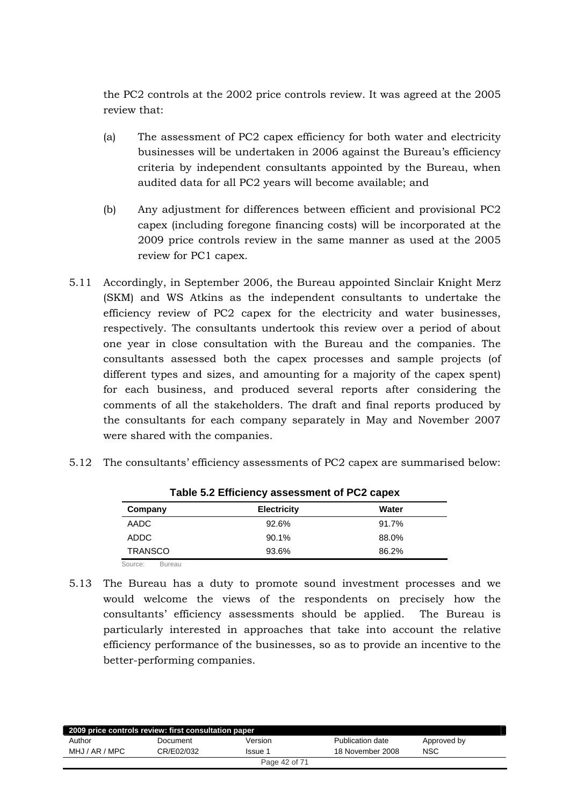the PC2 controls at the 2002 price controls review. It was agreed at the 2005 review that:

- (a) The assessment of PC2 capex efficiency for both water and electricity businesses will be undertaken in 2006 against the Bureau's efficiency criteria by independent consultants appointed by the Bureau, when audited data for all PC2 years will become available; and
- (b) Any adjustment for differences between efficient and provisional PC2 capex (including foregone financing costs) will be incorporated at the 2009 price controls review in the same manner as used at the 2005 review for PC1 capex.
- 5.11 Accordingly, in September 2006, the Bureau appointed Sinclair Knight Merz (SKM) and WS Atkins as the independent consultants to undertake the efficiency review of PC2 capex for the electricity and water businesses, respectively. The consultants undertook this review over a period of about one year in close consultation with the Bureau and the companies. The consultants assessed both the capex processes and sample projects (of different types and sizes, and amounting for a majority of the capex spent) for each business, and produced several reports after considering the comments of all the stakeholders. The draft and final reports produced by the consultants for each company separately in May and November 2007 were shared with the companies.

|  |  |  |  |  | 5.12 The consultants' efficiency assessments of PC2 capex are summarised below: |
|--|--|--|--|--|---------------------------------------------------------------------------------|
|--|--|--|--|--|---------------------------------------------------------------------------------|

| Table old Employer association of TOZ capex |                    |       |  |  |  |
|---------------------------------------------|--------------------|-------|--|--|--|
| Company                                     | <b>Electricity</b> | Water |  |  |  |
| AADC                                        | 92.6%              | 91.7% |  |  |  |
| ADDC                                        | 90.1%              | 88.0% |  |  |  |
| <b>TRANSCO</b>                              | 93.6%              | 86.2% |  |  |  |
|                                             |                    |       |  |  |  |

Source: Bureau

5.13 The Bureau has a duty to promote sound investment processes and we would welcome the views of the respondents on precisely how the consultants' efficiency assessments should be applied. The Bureau is particularly interested in approaches that take into account the relative efficiency performance of the businesses, so as to provide an incentive to the better-performing companies.

| 2009 price controls review: first consultation paper |            |               |                  |             |  |  |
|------------------------------------------------------|------------|---------------|------------------|-------------|--|--|
| Author                                               | Document   | Version       | Publication date | Approved by |  |  |
| MHJ / AR / MPC                                       | CR/E02/032 | Issue 1       | 18 November 2008 | <b>NSC</b>  |  |  |
|                                                      |            | Page 42 of 71 |                  |             |  |  |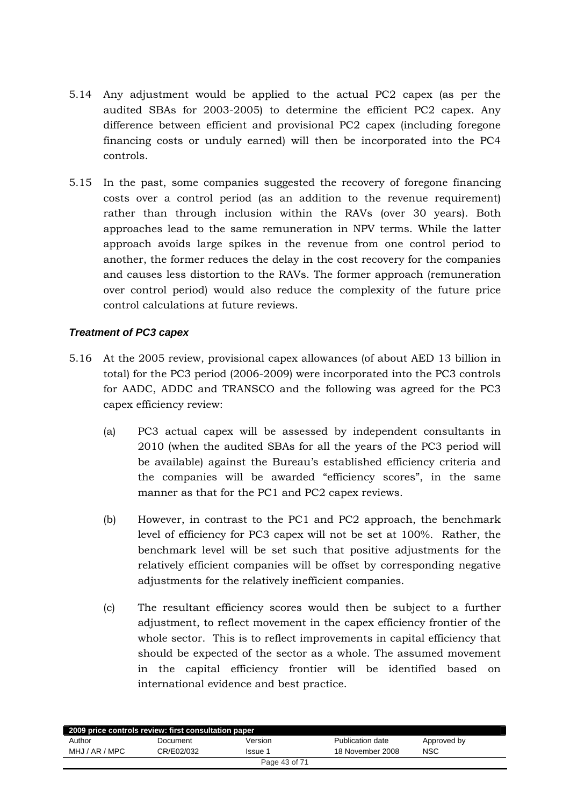- 5.14 Any adjustment would be applied to the actual PC2 capex (as per the audited SBAs for 2003-2005) to determine the efficient PC2 capex. Any difference between efficient and provisional PC2 capex (including foregone financing costs or unduly earned) will then be incorporated into the PC4 controls.
- 5.15 In the past, some companies suggested the recovery of foregone financing costs over a control period (as an addition to the revenue requirement) rather than through inclusion within the RAVs (over 30 years). Both approaches lead to the same remuneration in NPV terms. While the latter approach avoids large spikes in the revenue from one control period to another, the former reduces the delay in the cost recovery for the companies and causes less distortion to the RAVs. The former approach (remuneration over control period) would also reduce the complexity of the future price control calculations at future reviews.

## *Treatment of PC3 capex*

- 5.16 At the 2005 review, provisional capex allowances (of about AED 13 billion in total) for the PC3 period (2006-2009) were incorporated into the PC3 controls for AADC, ADDC and TRANSCO and the following was agreed for the PC3 capex efficiency review:
	- (a) PC3 actual capex will be assessed by independent consultants in 2010 (when the audited SBAs for all the years of the PC3 period will be available) against the Bureau's established efficiency criteria and the companies will be awarded "efficiency scores", in the same manner as that for the PC1 and PC2 capex reviews.
	- (b) However, in contrast to the PC1 and PC2 approach, the benchmark level of efficiency for PC3 capex will not be set at 100%. Rather, the benchmark level will be set such that positive adjustments for the relatively efficient companies will be offset by corresponding negative adjustments for the relatively inefficient companies.
	- (c) The resultant efficiency scores would then be subject to a further adjustment, to reflect movement in the capex efficiency frontier of the whole sector. This is to reflect improvements in capital efficiency that should be expected of the sector as a whole. The assumed movement in the capital efficiency frontier will be identified based on international evidence and best practice.

| 2009 price controls review: first consultation paper |            |               |                  |             |  |  |
|------------------------------------------------------|------------|---------------|------------------|-------------|--|--|
| Author                                               | Document   | Version       | Publication date | Approved by |  |  |
| MHJ / AR / MPC                                       | CR/E02/032 | Issue 1       | 18 November 2008 | <b>NSC</b>  |  |  |
|                                                      |            | Page 43 of 71 |                  |             |  |  |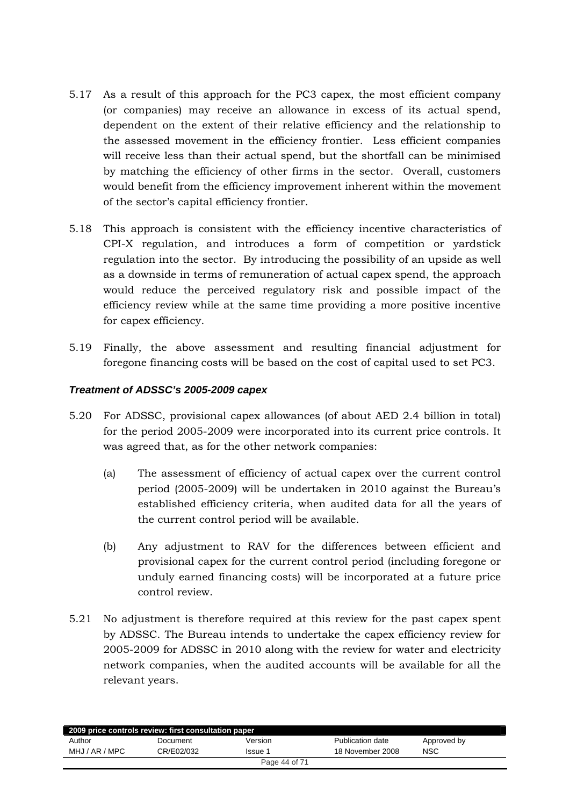- 5.17 As a result of this approach for the PC3 capex, the most efficient company (or companies) may receive an allowance in excess of its actual spend, dependent on the extent of their relative efficiency and the relationship to the assessed movement in the efficiency frontier. Less efficient companies will receive less than their actual spend, but the shortfall can be minimised by matching the efficiency of other firms in the sector. Overall, customers would benefit from the efficiency improvement inherent within the movement of the sector's capital efficiency frontier.
- 5.18 This approach is consistent with the efficiency incentive characteristics of CPI-X regulation, and introduces a form of competition or yardstick regulation into the sector. By introducing the possibility of an upside as well as a downside in terms of remuneration of actual capex spend, the approach would reduce the perceived regulatory risk and possible impact of the efficiency review while at the same time providing a more positive incentive for capex efficiency.
- 5.19 Finally, the above assessment and resulting financial adjustment for foregone financing costs will be based on the cost of capital used to set PC3.

# *Treatment of ADSSC's 2005-2009 capex*

- 5.20 For ADSSC, provisional capex allowances (of about AED 2.4 billion in total) for the period 2005-2009 were incorporated into its current price controls. It was agreed that, as for the other network companies:
	- (a) The assessment of efficiency of actual capex over the current control period (2005-2009) will be undertaken in 2010 against the Bureau's established efficiency criteria, when audited data for all the years of the current control period will be available.
	- (b) Any adjustment to RAV for the differences between efficient and provisional capex for the current control period (including foregone or unduly earned financing costs) will be incorporated at a future price control review.
- 5.21 No adjustment is therefore required at this review for the past capex spent by ADSSC. The Bureau intends to undertake the capex efficiency review for 2005-2009 for ADSSC in 2010 along with the review for water and electricity network companies, when the audited accounts will be available for all the relevant years.

| 2009 price controls review: first consultation paper |            |         |                  |             |  |  |
|------------------------------------------------------|------------|---------|------------------|-------------|--|--|
| Author                                               | Document   | Version | Publication date | Approved by |  |  |
| MHJ / AR / MPC                                       | CR/E02/032 | Issue 1 | 18 November 2008 | <b>NSC</b>  |  |  |
| Page 44 of 71                                        |            |         |                  |             |  |  |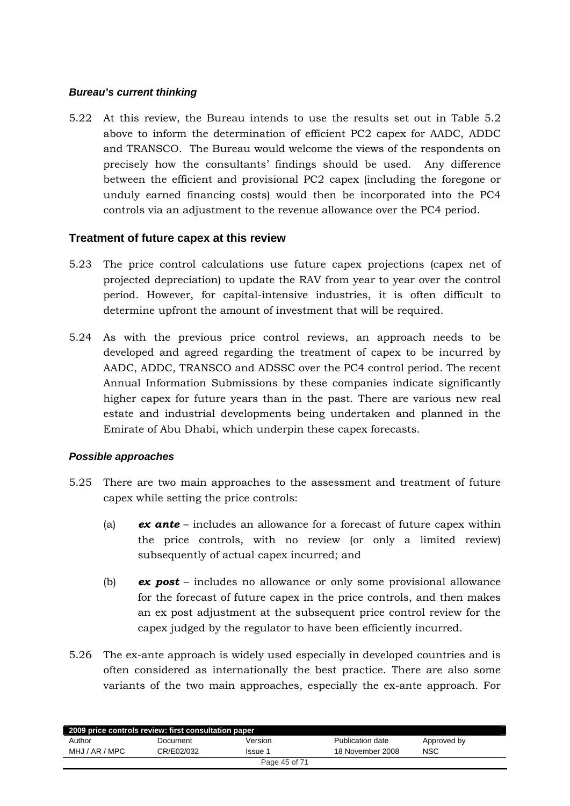## <span id="page-44-0"></span>*Bureau's current thinking*

5.22 At this review, the Bureau intends to use the results set out in Table 5.2 above to inform the determination of efficient PC2 capex for AADC, ADDC and TRANSCO. The Bureau would welcome the views of the respondents on precisely how the consultants' findings should be used. Any difference between the efficient and provisional PC2 capex (including the foregone or unduly earned financing costs) would then be incorporated into the PC4 controls via an adjustment to the revenue allowance over the PC4 period.

# **Treatment of future capex at this review**

- 5.23 The price control calculations use future capex projections (capex net of projected depreciation) to update the RAV from year to year over the control period. However, for capital-intensive industries, it is often difficult to determine upfront the amount of investment that will be required.
- 5.24 As with the previous price control reviews, an approach needs to be developed and agreed regarding the treatment of capex to be incurred by AADC, ADDC, TRANSCO and ADSSC over the PC4 control period. The recent Annual Information Submissions by these companies indicate significantly higher capex for future years than in the past. There are various new real estate and industrial developments being undertaken and planned in the Emirate of Abu Dhabi, which underpin these capex forecasts.

#### *Possible approaches*

- 5.25 There are two main approaches to the assessment and treatment of future capex while setting the price controls:
	- (a) *ex ante* includes an allowance for a forecast of future capex within the price controls, with no review (or only a limited review) subsequently of actual capex incurred; and
	- (b) *ex post* includes no allowance or only some provisional allowance for the forecast of future capex in the price controls, and then makes an ex post adjustment at the subsequent price control review for the capex judged by the regulator to have been efficiently incurred.
- 5.26 The ex-ante approach is widely used especially in developed countries and is often considered as internationally the best practice. There are also some variants of the two main approaches, especially the ex-ante approach. For

| 2009 price controls review: first consultation paper |            |               |                  |             |  |  |
|------------------------------------------------------|------------|---------------|------------------|-------------|--|--|
| Author                                               | Document   | Version       | Publication date | Approved by |  |  |
| MHJ / AR / MPC                                       | CR/E02/032 | Issue 1       | 18 November 2008 | NSC         |  |  |
|                                                      |            | Page 45 of 71 |                  |             |  |  |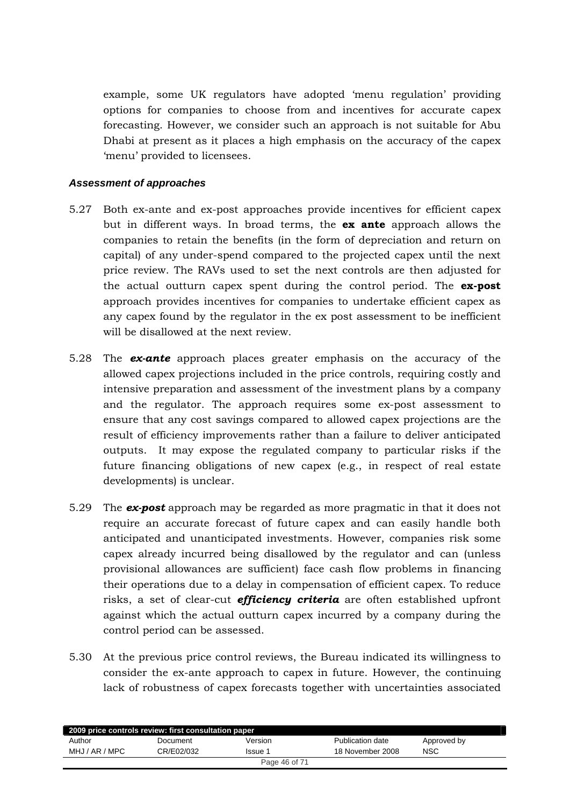example, some UK regulators have adopted 'menu regulation' providing options for companies to choose from and incentives for accurate capex forecasting. However, we consider such an approach is not suitable for Abu Dhabi at present as it places a high emphasis on the accuracy of the capex 'menu' provided to licensees.

#### *Assessment of approaches*

- 5.27 Both ex-ante and ex-post approaches provide incentives for efficient capex but in different ways. In broad terms, the **ex ante** approach allows the companies to retain the benefits (in the form of depreciation and return on capital) of any under-spend compared to the projected capex until the next price review. The RAVs used to set the next controls are then adjusted for the actual outturn capex spent during the control period. The **ex-post** approach provides incentives for companies to undertake efficient capex as any capex found by the regulator in the ex post assessment to be inefficient will be disallowed at the next review.
- 5.28 The *ex-ante* approach places greater emphasis on the accuracy of the allowed capex projections included in the price controls, requiring costly and intensive preparation and assessment of the investment plans by a company and the regulator. The approach requires some ex-post assessment to ensure that any cost savings compared to allowed capex projections are the result of efficiency improvements rather than a failure to deliver anticipated outputs. It may expose the regulated company to particular risks if the future financing obligations of new capex (e.g., in respect of real estate developments) is unclear.
- 5.29 The *ex-post* approach may be regarded as more pragmatic in that it does not require an accurate forecast of future capex and can easily handle both anticipated and unanticipated investments. However, companies risk some capex already incurred being disallowed by the regulator and can (unless provisional allowances are sufficient) face cash flow problems in financing their operations due to a delay in compensation of efficient capex. To reduce risks, a set of clear-cut *efficiency criteria* are often established upfront against which the actual outturn capex incurred by a company during the control period can be assessed.
- 5.30 At the previous price control reviews, the Bureau indicated its willingness to consider the ex-ante approach to capex in future. However, the continuing lack of robustness of capex forecasts together with uncertainties associated

| 2009 price controls review: first consultation paper |            |               |                  |             |  |  |
|------------------------------------------------------|------------|---------------|------------------|-------------|--|--|
| Author                                               | Document   | Version       | Publication date | Approved by |  |  |
| MHJ / AR / MPC                                       | CR/E02/032 | Issue 1       | 18 November 2008 | <b>NSC</b>  |  |  |
|                                                      |            | Page 46 of 71 |                  |             |  |  |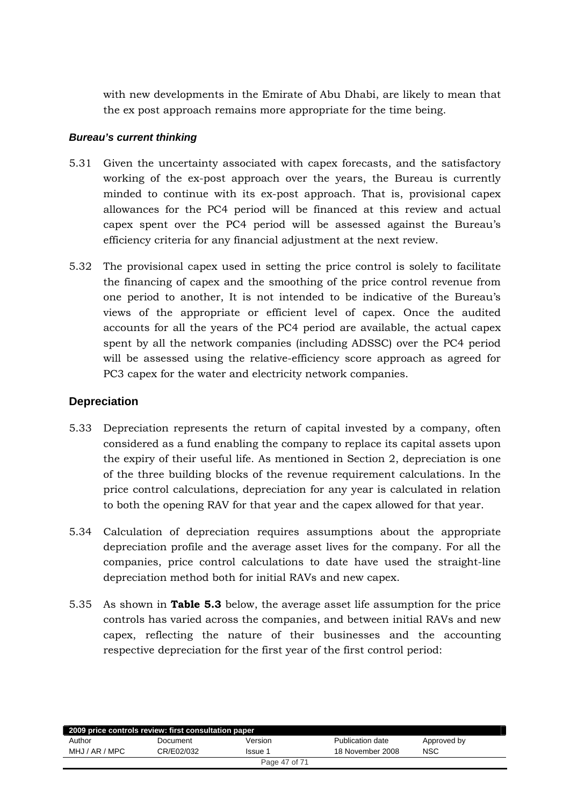<span id="page-46-0"></span>with new developments in the Emirate of Abu Dhabi, are likely to mean that the ex post approach remains more appropriate for the time being.

## *Bureau's current thinking*

- 5.31 Given the uncertainty associated with capex forecasts, and the satisfactory working of the ex-post approach over the years, the Bureau is currently minded to continue with its ex-post approach. That is, provisional capex allowances for the PC4 period will be financed at this review and actual capex spent over the PC4 period will be assessed against the Bureau's efficiency criteria for any financial adjustment at the next review.
- 5.32 The provisional capex used in setting the price control is solely to facilitate the financing of capex and the smoothing of the price control revenue from one period to another, It is not intended to be indicative of the Bureau's views of the appropriate or efficient level of capex. Once the audited accounts for all the years of the PC4 period are available, the actual capex spent by all the network companies (including ADSSC) over the PC4 period will be assessed using the relative-efficiency score approach as agreed for PC3 capex for the water and electricity network companies.

# **Depreciation**

- 5.33 Depreciation represents the return of capital invested by a company, often considered as a fund enabling the company to replace its capital assets upon the expiry of their useful life. As mentioned in Section 2, depreciation is one of the three building blocks of the revenue requirement calculations. In the price control calculations, depreciation for any year is calculated in relation to both the opening RAV for that year and the capex allowed for that year.
- 5.34 Calculation of depreciation requires assumptions about the appropriate depreciation profile and the average asset lives for the company. For all the companies, price control calculations to date have used the straight-line depreciation method both for initial RAVs and new capex.
- 5.35 As shown in **Table 5.3** below, the average asset life assumption for the price controls has varied across the companies, and between initial RAVs and new capex, reflecting the nature of their businesses and the accounting respective depreciation for the first year of the first control period:

| 2009 price controls review: first consultation paper |            |         |                  |             |  |  |
|------------------------------------------------------|------------|---------|------------------|-------------|--|--|
| Author                                               | Document   | Version | Publication date | Approved by |  |  |
| MHJ / AR / MPC                                       | CR/E02/032 | Issue 1 | 18 November 2008 | NSC         |  |  |
| Page 47 of 71                                        |            |         |                  |             |  |  |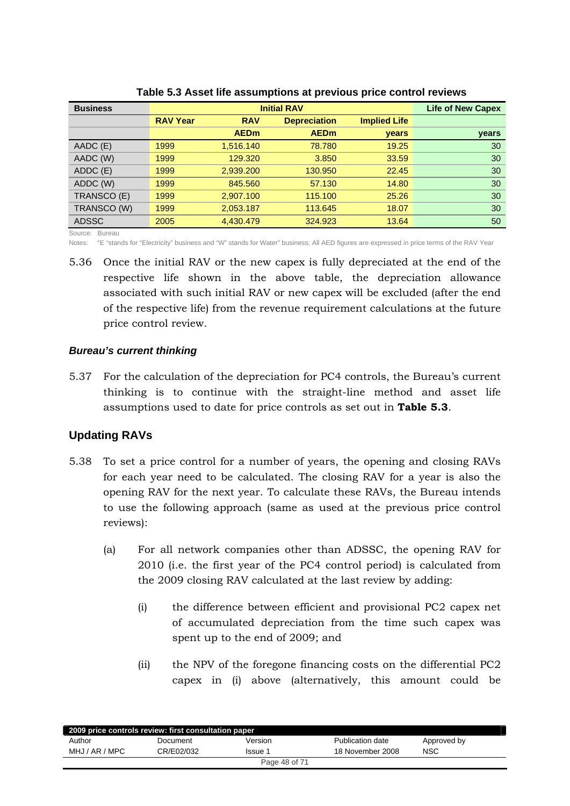<span id="page-47-0"></span>

| <b>Business</b> |                 | <b>Life of New Capex</b> |                     |                     |       |
|-----------------|-----------------|--------------------------|---------------------|---------------------|-------|
|                 | <b>RAV Year</b> | <b>RAV</b>               | <b>Depreciation</b> | <b>Implied Life</b> |       |
|                 |                 | <b>AEDm</b>              | <b>AEDm</b>         | years               | years |
| AADC (E)        | 1999            | 1,516.140                | 78.780              | 19.25               | 30    |
| AADC (W)        | 1999            | 129,320                  | 3.850               | 33.59               | 30    |
| ADDC (E)        | 1999            | 2,939.200                | 130.950             | 22.45               | 30    |
| ADDC (W)        | 1999            | 845,560                  | 57.130              | 14.80               | 30    |
| TRANSCO (E)     | 1999            | 2,907.100                | 115.100             | 25.26               | 30    |
| TRANSCO (W)     | 1999            | 2,053.187                | 113.645             | 18.07               | 30    |
| <b>ADSSC</b>    | 2005            | 4.430.479                | 324.923             | 13.64               | 50    |

**Table 5.3 Asset life assumptions at previous price control reviews** 

Source: Bureau

Notes: "E "stands for "Electricity" business and "W" stands for Water" business; All AED figures are expressed in price terms of the RAV Year

5.36 Once the initial RAV or the new capex is fully depreciated at the end of the respective life shown in the above table, the depreciation allowance associated with such initial RAV or new capex will be excluded (after the end of the respective life) from the revenue requirement calculations at the future price control review.

## *Bureau's current thinking*

5.37 For the calculation of the depreciation for PC4 controls, the Bureau's current thinking is to continue with the straight-line method and asset life assumptions used to date for price controls as set out in **Table 5.3**.

# **Updating RAVs**

- 5.38 To set a price control for a number of years, the opening and closing RAVs for each year need to be calculated. The closing RAV for a year is also the opening RAV for the next year. To calculate these RAVs, the Bureau intends to use the following approach (same as used at the previous price control reviews):
	- (a) For all network companies other than ADSSC, the opening RAV for 2010 (i.e. the first year of the PC4 control period) is calculated from the 2009 closing RAV calculated at the last review by adding:
		- (i) the difference between efficient and provisional PC2 capex net of accumulated depreciation from the time such capex was spent up to the end of 2009; and
		- (ii) the NPV of the foregone financing costs on the differential PC2 capex in (i) above (alternatively, this amount could be

| 2009 price controls review: first consultation paper |               |         |                  |             |  |  |
|------------------------------------------------------|---------------|---------|------------------|-------------|--|--|
| Author                                               | Document      | Version | Publication date | Approved by |  |  |
| MHJ / AR / MPC                                       | CR/E02/032    | Issue 1 | 18 November 2008 | <b>NSC</b>  |  |  |
|                                                      | Page 48 of 71 |         |                  |             |  |  |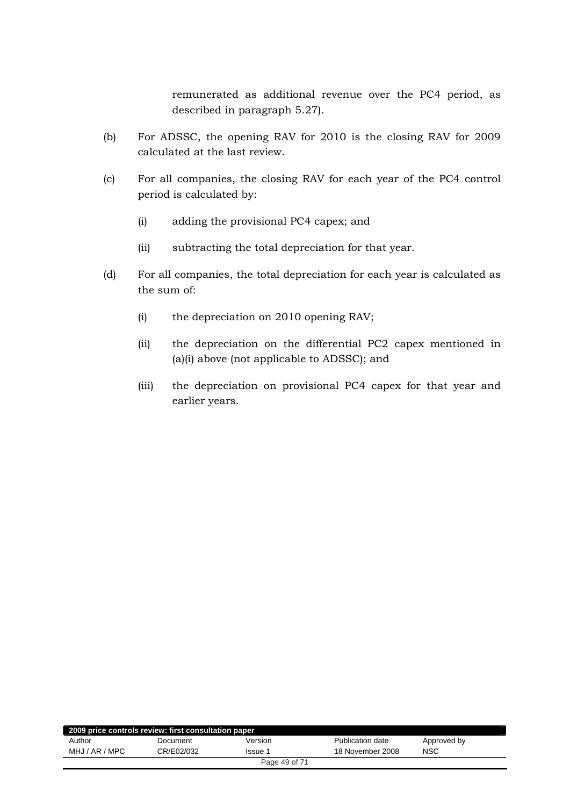remunerated as additional revenue over the PC4 period, as described in paragraph 5.27).

- (b) For ADSSC, the opening RAV for 2010 is the closing RAV for 2009 calculated at the last review.
- (c) For all companies, the closing RAV for each year of the PC4 control period is calculated by:
	- (i) adding the provisional PC4 capex; and
	- (ii) subtracting the total depreciation for that year.
- (d) For all companies, the total depreciation for each year is calculated as the sum of:
	- (i) the depreciation on 2010 opening RAV;
	- (ii) the depreciation on the differential PC2 capex mentioned in (a)(i) above (not applicable to ADSSC); and
	- (iii) the depreciation on provisional PC4 capex for that year and earlier years.

| 2009 price controls review: first consultation paper |            |              |                  |             |  |  |
|------------------------------------------------------|------------|--------------|------------------|-------------|--|--|
| Author                                               | Document   | Version      | Publication date | Approved by |  |  |
| MHJ / AR / MPC                                       | CR/E02/032 | <b>Issue</b> | 18 November 2008 | <b>NSC</b>  |  |  |
| Page 49 of 71                                        |            |              |                  |             |  |  |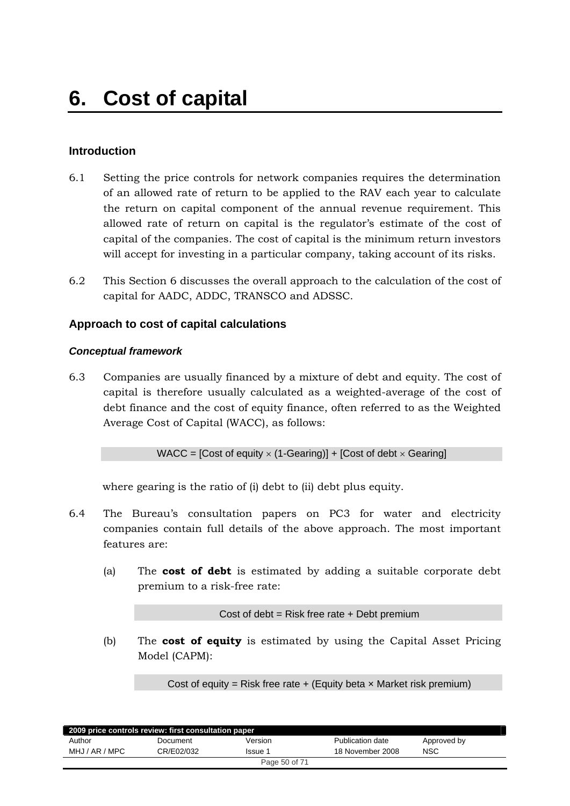# <span id="page-49-0"></span>**Introduction**

- 6.1 Setting the price controls for network companies requires the determination of an allowed rate of return to be applied to the RAV each year to calculate the return on capital component of the annual revenue requirement. This allowed rate of return on capital is the regulator's estimate of the cost of capital of the companies. The cost of capital is the minimum return investors will accept for investing in a particular company, taking account of its risks.
- 6.2 This Section 6 discusses the overall approach to the calculation of the cost of capital for AADC, ADDC, TRANSCO and ADSSC.

# **Approach to cost of capital calculations**

# *Conceptual framework*

6.3 Companies are usually financed by a mixture of debt and equity. The cost of capital is therefore usually calculated as a weighted-average of the cost of debt finance and the cost of equity finance, often referred to as the Weighted Average Cost of Capital (WACC), as follows:

# WACC = [Cost of equity  $\times$  (1-Gearing)] + [Cost of debt  $\times$  Gearing]

where gearing is the ratio of (i) debt to (ii) debt plus equity.

- 6.4 The Bureau's consultation papers on PC3 for water and electricity companies contain full details of the above approach. The most important features are:
	- (a) The **cost of debt** is estimated by adding a suitable corporate debt premium to a risk-free rate:

Cost of debt = Risk free rate + Debt premium

(b) The **cost of equity** is estimated by using the Capital Asset Pricing Model (CAPM):

Cost of equity = Risk free rate  $+$  (Equity beta  $\times$  Market risk premium)

| 2009 price controls review: first consultation paper |            |               |                  |             |  |  |
|------------------------------------------------------|------------|---------------|------------------|-------------|--|--|
| Author                                               | Document   | Version       | Publication date | Approved by |  |  |
| MHJ / AR / MPC                                       | CR/E02/032 | lssue 1       | 18 November 2008 | <b>NSC</b>  |  |  |
|                                                      |            | Page 50 of 71 |                  |             |  |  |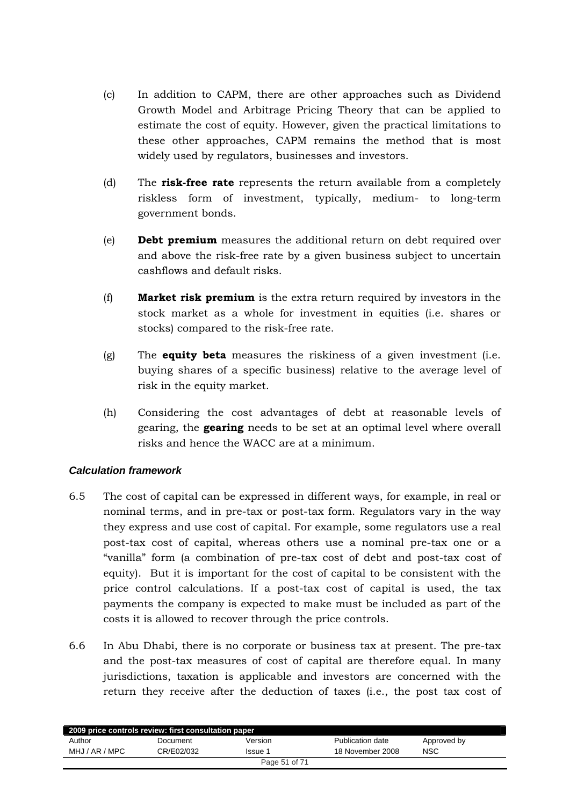- (c) In addition to CAPM, there are other approaches such as Dividend Growth Model and Arbitrage Pricing Theory that can be applied to estimate the cost of equity. However, given the practical limitations to these other approaches, CAPM remains the method that is most widely used by regulators, businesses and investors.
- (d) The **risk-free rate** represents the return available from a completely riskless form of investment, typically, medium- to long-term government bonds.
- (e) **Debt premium** measures the additional return on debt required over and above the risk-free rate by a given business subject to uncertain cashflows and default risks.
- (f) **Market risk premium** is the extra return required by investors in the stock market as a whole for investment in equities (i.e. shares or stocks) compared to the risk-free rate.
- (g) The **equity beta** measures the riskiness of a given investment (i.e. buying shares of a specific business) relative to the average level of risk in the equity market.
- (h) Considering the cost advantages of debt at reasonable levels of gearing, the **gearing** needs to be set at an optimal level where overall risks and hence the WACC are at a minimum.

# *Calculation framework*

- 6.5 The cost of capital can be expressed in different ways, for example, in real or nominal terms, and in pre-tax or post-tax form. Regulators vary in the way they express and use cost of capital. For example, some regulators use a real post-tax cost of capital, whereas others use a nominal pre-tax one or a "vanilla" form (a combination of pre-tax cost of debt and post-tax cost of equity). But it is important for the cost of capital to be consistent with the price control calculations. If a post-tax cost of capital is used, the tax payments the company is expected to make must be included as part of the costs it is allowed to recover through the price controls.
- 6.6 In Abu Dhabi, there is no corporate or business tax at present. The pre-tax and the post-tax measures of cost of capital are therefore equal. In many jurisdictions, taxation is applicable and investors are concerned with the return they receive after the deduction of taxes (i.e., the post tax cost of

| 2009 price controls review: first consultation paper |            |               |                  |             |  |  |
|------------------------------------------------------|------------|---------------|------------------|-------------|--|--|
| Author                                               | Document   | Version       | Publication date | Approved by |  |  |
| MHJ / AR / MPC                                       | CR/E02/032 | Issue 1       | 18 November 2008 | <b>NSC</b>  |  |  |
|                                                      |            | Page 51 of 71 |                  |             |  |  |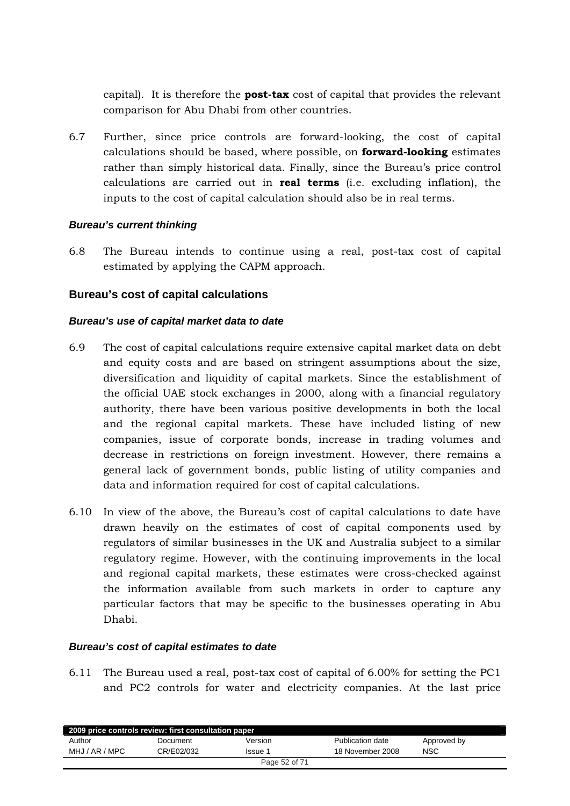<span id="page-51-0"></span>capital). It is therefore the **post-tax** cost of capital that provides the relevant comparison for Abu Dhabi from other countries.

6.7 Further, since price controls are forward-looking, the cost of capital calculations should be based, where possible, on **forward-looking** estimates rather than simply historical data. Finally, since the Bureau's price control calculations are carried out in **real terms** (i.e. excluding inflation), the inputs to the cost of capital calculation should also be in real terms.

#### *Bureau's current thinking*

6.8 The Bureau intends to continue using a real, post-tax cost of capital estimated by applying the CAPM approach.

# **Bureau's cost of capital calculations**

## *Bureau's use of capital market data to date*

- 6.9 The cost of capital calculations require extensive capital market data on debt and equity costs and are based on stringent assumptions about the size, diversification and liquidity of capital markets. Since the establishment of the official UAE stock exchanges in 2000, along with a financial regulatory authority, there have been various positive developments in both the local and the regional capital markets. These have included listing of new companies, issue of corporate bonds, increase in trading volumes and decrease in restrictions on foreign investment. However, there remains a general lack of government bonds, public listing of utility companies and data and information required for cost of capital calculations.
- 6.10 In view of the above, the Bureau's cost of capital calculations to date have drawn heavily on the estimates of cost of capital components used by regulators of similar businesses in the UK and Australia subject to a similar regulatory regime. However, with the continuing improvements in the local and regional capital markets, these estimates were cross-checked against the information available from such markets in order to capture any particular factors that may be specific to the businesses operating in Abu Dhabi.

#### *Bureau's cost of capital estimates to date*

6.11 The Bureau used a real, post-tax cost of capital of 6.00% for setting the PC1 and PC2 controls for water and electricity companies. At the last price

| 2009 price controls review: first consultation paper |            |               |                  |             |  |
|------------------------------------------------------|------------|---------------|------------------|-------------|--|
| Author                                               | Document   | Version       | Publication date | Approved by |  |
| MHJ / AR / MPC                                       | CR/E02/032 | Issue 1       | 18 November 2008 | <b>NSC</b>  |  |
|                                                      |            | Page 52 of 71 |                  |             |  |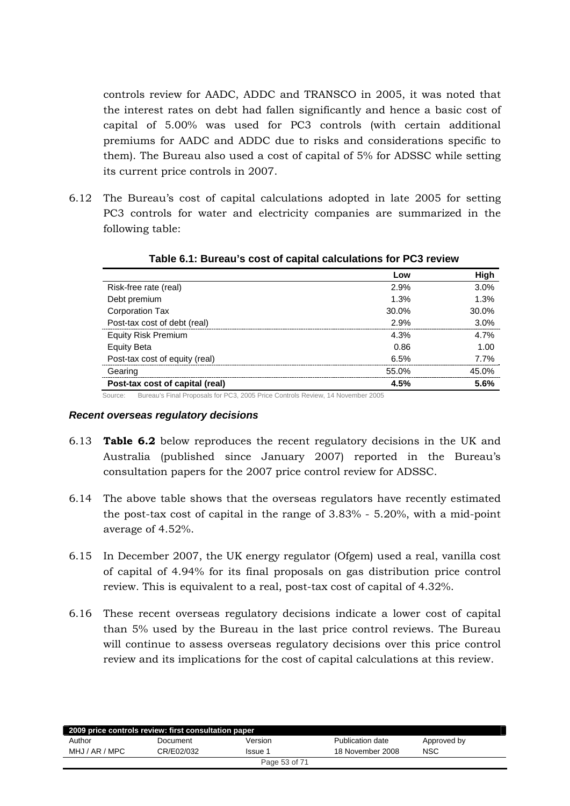controls review for AADC, ADDC and TRANSCO in 2005, it was noted that the interest rates on debt had fallen significantly and hence a basic cost of capital of 5.00% was used for PC3 controls (with certain additional premiums for AADC and ADDC due to risks and considerations specific to them). The Bureau also used a cost of capital of 5% for ADSSC while setting its current price controls in 2007.

6.12 The Bureau's cost of capital calculations adopted in late 2005 for setting PC3 controls for water and electricity companies are summarized in the following table:

|                                 | Low   | High  |
|---------------------------------|-------|-------|
| Risk-free rate (real)           | 2.9%  | 3.0%  |
| Debt premium                    | 1.3%  | 1.3%  |
| <b>Corporation Tax</b>          | 30.0% | 30.0% |
| Post-tax cost of debt (real)    | 2.9%  | 3.0%  |
| <b>Equity Risk Premium</b>      | 4.3%  | 4.7%  |
| <b>Equity Beta</b>              | 0.86  | 1.00  |
| Post-tax cost of equity (real)  | 6.5%  | 7.7%  |
| Gearing                         | 55.0% | 45.0% |
| Post-tax cost of capital (real) | 4.5%  | 5.6%  |

**Table 6.1: Bureau's cost of capital calculations for PC3 review** 

Source: Bureau's Final Proposals for PC3, 2005 Price Controls Review, 14 November 2005

#### *Recent overseas regulatory decisions*

- 6.13 **Table 6.2** below reproduces the recent regulatory decisions in the UK and Australia (published since January 2007) reported in the Bureau's consultation papers for the 2007 price control review for ADSSC.
- 6.14 The above table shows that the overseas regulators have recently estimated the post-tax cost of capital in the range of 3.83% - 5.20%, with a mid-point average of 4.52%.
- 6.15 In December 2007, the UK energy regulator (Ofgem) used a real, vanilla cost of capital of 4.94% for its final proposals on gas distribution price control review. This is equivalent to a real, post-tax cost of capital of 4.32%.
- 6.16 These recent overseas regulatory decisions indicate a lower cost of capital than 5% used by the Bureau in the last price control reviews. The Bureau will continue to assess overseas regulatory decisions over this price control review and its implications for the cost of capital calculations at this review.

| 2009 price controls review: first consultation paper |               |         |                  |             |  |  |
|------------------------------------------------------|---------------|---------|------------------|-------------|--|--|
| Author                                               | Document      | Version | Publication date | Approved by |  |  |
| MHJ / AR / MPC                                       | CR/E02/032    | Issue 1 | 18 November 2008 | <b>NSC</b>  |  |  |
|                                                      | Page 53 of 71 |         |                  |             |  |  |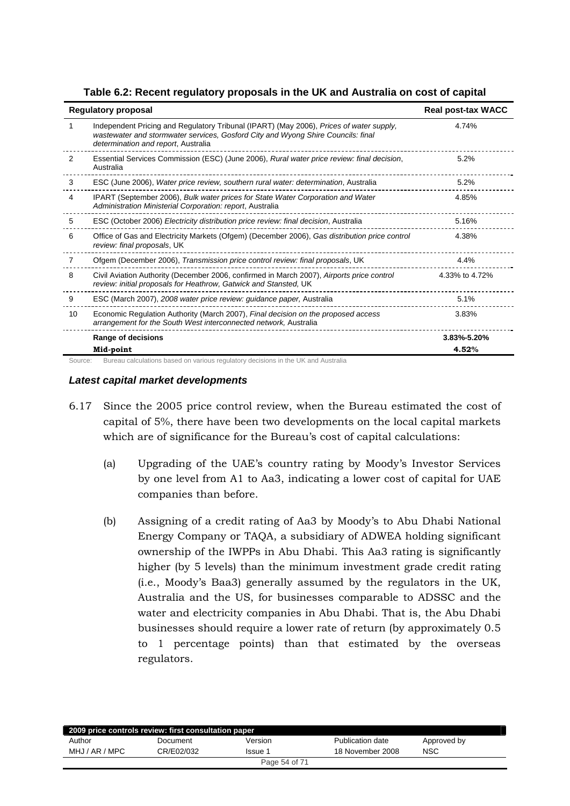|  | Table 6.2: Recent regulatory proposals in the UK and Australia on cost of capital |  |
|--|-----------------------------------------------------------------------------------|--|
|--|-----------------------------------------------------------------------------------|--|

|    | <b>Regulatory proposal</b>                                                                                                                                                                                         | <b>Real post-tax WACC</b> |
|----|--------------------------------------------------------------------------------------------------------------------------------------------------------------------------------------------------------------------|---------------------------|
| 1  | Independent Pricing and Regulatory Tribunal (IPART) (May 2006), Prices of water supply,<br>wastewater and stormwater services, Gosford City and Wyong Shire Councils: final<br>determination and report, Australia | 4.74%                     |
| 2  | Essential Services Commission (ESC) (June 2006), Rural water price review: final decision,<br>Australia                                                                                                            | 5.2%                      |
| 3  | ESC (June 2006), Water price review, southern rural water: determination, Australia                                                                                                                                | 5.2%                      |
| 4  | IPART (September 2006), Bulk water prices for State Water Corporation and Water<br>Administration Ministerial Corporation: report, Australia                                                                       | 4.85%                     |
| 5  | ESC (October 2006) Electricity distribution price review: final decision, Australia                                                                                                                                | 5.16%                     |
| 6  | Office of Gas and Electricity Markets (Ofgem) (December 2006), Gas distribution price control<br>review: final proposals, UK                                                                                       | 4.38%                     |
| 7  | Ofgem (December 2006), Transmission price control review: final proposals, UK                                                                                                                                      | 4.4%                      |
| 8  | Civil Aviation Authority (December 2006, confirmed in March 2007), Airports price control<br>review: initial proposals for Heathrow, Gatwick and Stansted, UK                                                      | 4.33% to 4.72%            |
| 9  | ESC (March 2007), 2008 water price review: guidance paper, Australia                                                                                                                                               | 5.1%                      |
| 10 | Economic Regulation Authority (March 2007), Final decision on the proposed access<br>arrangement for the South West interconnected network, Australia                                                              | 3.83%                     |
|    | Range of decisions                                                                                                                                                                                                 | 3.83%-5.20%               |
|    | Mid-point                                                                                                                                                                                                          | 4.52%                     |

## *Latest capital market developments*

- 6.17 Since the 2005 price control review, when the Bureau estimated the cost of capital of 5%, there have been two developments on the local capital markets which are of significance for the Bureau's cost of capital calculations:
	- (a) Upgrading of the UAE's country rating by Moody's Investor Services by one level from A1 to Aa3, indicating a lower cost of capital for UAE companies than before.
	- (b) Assigning of a credit rating of Aa3 by Moody's to Abu Dhabi National Energy Company or TAQA, a subsidiary of ADWEA holding significant ownership of the IWPPs in Abu Dhabi. This Aa3 rating is significantly higher (by 5 levels) than the minimum investment grade credit rating (i.e., Moody's Baa3) generally assumed by the regulators in the UK, Australia and the US, for businesses comparable to ADSSC and the water and electricity companies in Abu Dhabi. That is, the Abu Dhabi businesses should require a lower rate of return (by approximately 0.5 to 1 percentage points) than that estimated by the overseas regulators.

| 2009 price controls review: first consultation paper |            |               |                  |             |  |  |
|------------------------------------------------------|------------|---------------|------------------|-------------|--|--|
| Author                                               | Document   | Version       | Publication date | Approved by |  |  |
| MHJ / AR / MPC                                       | CR/E02/032 | Issue 1       | 18 November 2008 | <b>NSC</b>  |  |  |
|                                                      |            | Page 54 of 71 |                  |             |  |  |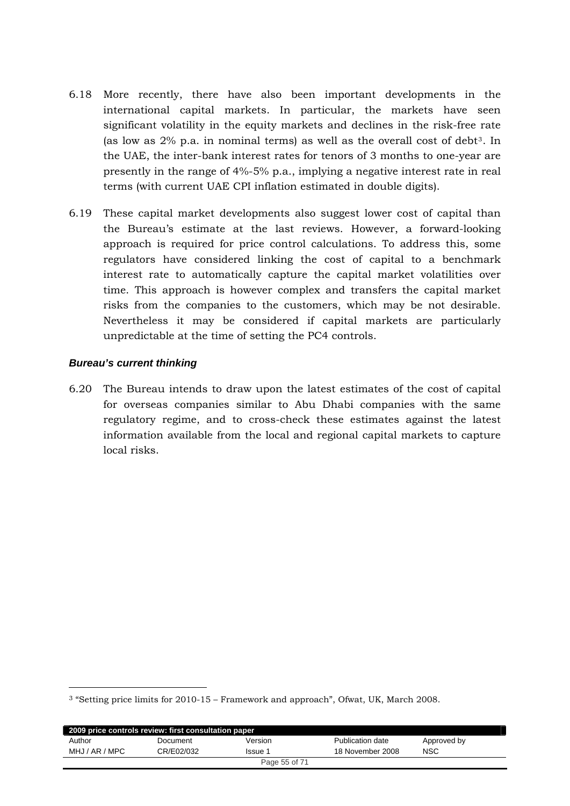- 6.18 More recently, there have also been important developments in the international capital markets. In particular, the markets have seen significant volatility in the equity markets and declines in the risk-free rate (as low as 2% p.a. in nominal terms) as well as the overall cost of debt[3](#page-54-0). In the UAE, the inter-bank interest rates for tenors of 3 months to one-year are presently in the range of 4%-5% p.a., implying a negative interest rate in real terms (with current UAE CPI inflation estimated in double digits).
- 6.19 These capital market developments also suggest lower cost of capital than the Bureau's estimate at the last reviews. However, a forward-looking approach is required for price control calculations. To address this, some regulators have considered linking the cost of capital to a benchmark interest rate to automatically capture the capital market volatilities over time. This approach is however complex and transfers the capital market risks from the companies to the customers, which may be not desirable. Nevertheless it may be considered if capital markets are particularly unpredictable at the time of setting the PC4 controls.

## *Bureau's current thinking*

-

6.20 The Bureau intends to draw upon the latest estimates of the cost of capital for overseas companies similar to Abu Dhabi companies with the same regulatory regime, and to cross-check these estimates against the latest information available from the local and regional capital markets to capture local risks.

<span id="page-54-0"></span><sup>3 &</sup>quot;Setting price limits for 2010-15 – Framework and approach", Ofwat, UK, March 2008.

| 2009 price controls review: first consultation paper |            |               |                  |             |  |  |
|------------------------------------------------------|------------|---------------|------------------|-------------|--|--|
| Author                                               | Document   | Version       | Publication date | Approved by |  |  |
| MHJ / AR / MPC                                       | CR/E02/032 | Issue 1       | 18 November 2008 | <b>NSC</b>  |  |  |
|                                                      |            | Page 55 of 71 |                  |             |  |  |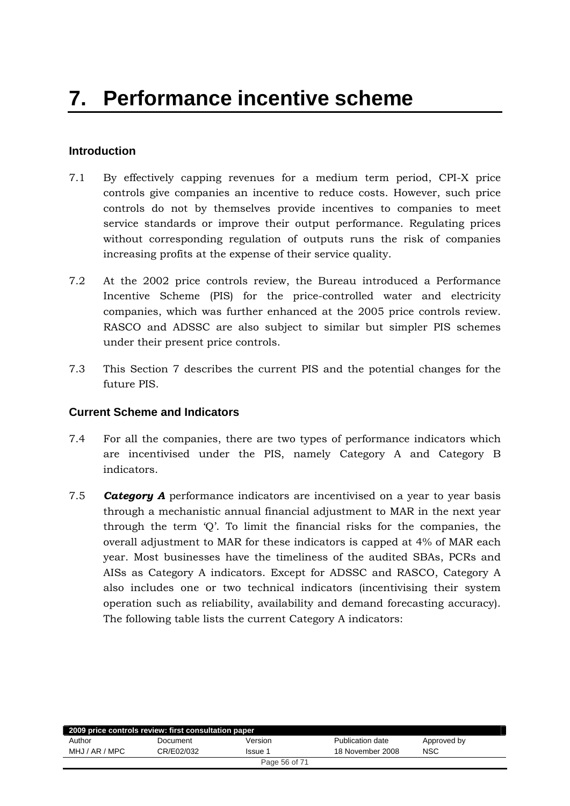# <span id="page-55-0"></span>**Introduction**

- 7.1 By effectively capping revenues for a medium term period, CPI-X price controls give companies an incentive to reduce costs. However, such price controls do not by themselves provide incentives to companies to meet service standards or improve their output performance. Regulating prices without corresponding regulation of outputs runs the risk of companies increasing profits at the expense of their service quality.
- 7.2 At the 2002 price controls review, the Bureau introduced a Performance Incentive Scheme (PIS) for the price-controlled water and electricity companies, which was further enhanced at the 2005 price controls review. RASCO and ADSSC are also subject to similar but simpler PIS schemes under their present price controls.
- 7.3 This Section 7 describes the current PIS and the potential changes for the future PIS.

# **Current Scheme and Indicators**

- 7.4 For all the companies, there are two types of performance indicators which are incentivised under the PIS, namely Category A and Category B indicators.
- 7.5 *Category A* performance indicators are incentivised on a year to year basis through a mechanistic annual financial adjustment to MAR in the next year through the term 'Q'. To limit the financial risks for the companies, the overall adjustment to MAR for these indicators is capped at 4% of MAR each year. Most businesses have the timeliness of the audited SBAs, PCRs and AISs as Category A indicators. Except for ADSSC and RASCO, Category A also includes one or two technical indicators (incentivising their system operation such as reliability, availability and demand forecasting accuracy). The following table lists the current Category A indicators:

| 2009 price controls review: first consultation paper |            |         |                  |             |  |
|------------------------------------------------------|------------|---------|------------------|-------------|--|
| Author                                               | Document   | Version | Publication date | Approved by |  |
| MHJ / AR / MPC                                       | CR/E02/032 | Issue 1 | 18 November 2008 | <b>NSC</b>  |  |
| Page 56 of 71                                        |            |         |                  |             |  |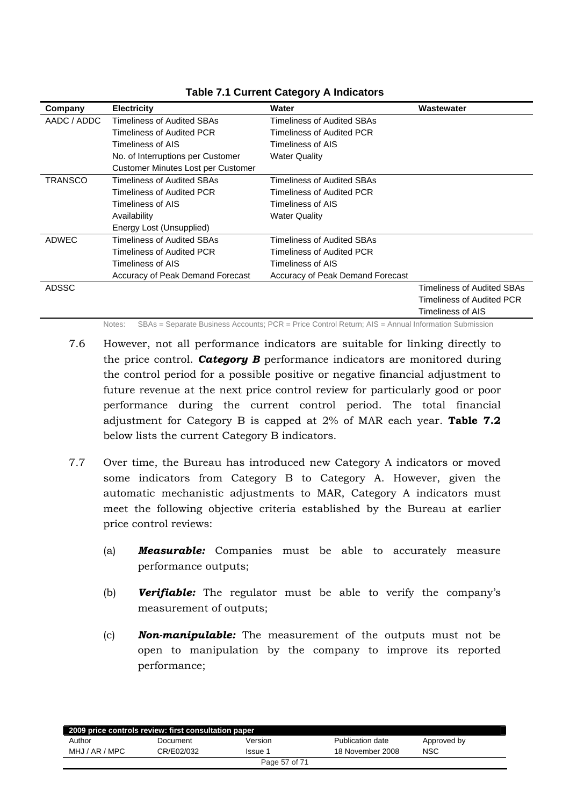| Company        | <b>Electricity</b>                 | Water                            | Wastewater                 |
|----------------|------------------------------------|----------------------------------|----------------------------|
| AADC / ADDC    | <b>Timeliness of Audited SBAs</b>  | Timeliness of Audited SBAs       |                            |
|                | Timeliness of Audited PCR          | Timeliness of Audited PCR        |                            |
|                | Timeliness of AIS                  | Timeliness of AIS                |                            |
|                | No. of Interruptions per Customer  | <b>Water Quality</b>             |                            |
|                | Customer Minutes Lost per Customer |                                  |                            |
| <b>TRANSCO</b> | Timeliness of Audited SBAs         | Timeliness of Audited SBAs.      |                            |
|                | Timeliness of Audited PCR          | Timeliness of Audited PCR        |                            |
|                | Timeliness of AIS                  | Timeliness of AIS                |                            |
|                | Availability                       | <b>Water Quality</b>             |                            |
|                | Energy Lost (Unsupplied)           |                                  |                            |
| <b>ADWEC</b>   | Timeliness of Audited SBAs         | Timeliness of Audited SBAs       |                            |
|                | Timeliness of Audited PCR          | Timeliness of Audited PCR        |                            |
|                | Timeliness of AIS                  | Timeliness of AIS                |                            |
|                | Accuracy of Peak Demand Forecast   | Accuracy of Peak Demand Forecast |                            |
| <b>ADSSC</b>   |                                    |                                  | Timeliness of Audited SBAs |
|                |                                    |                                  | Timeliness of Audited PCR  |
|                |                                    |                                  | Timeliness of AIS          |

# **Table 7.1 Current Category A Indicators**

Notes: SBAs = Separate Business Accounts; PCR = Price Control Return; AIS = Annual Information Submission

- 7.6 However, not all performance indicators are suitable for linking directly to the price control. *Category B* performance indicators are monitored during the control period for a possible positive or negative financial adjustment to future revenue at the next price control review for particularly good or poor performance during the current control period. The total financial adjustment for Category B is capped at 2% of MAR each year. **Table 7.2** below lists the current Category B indicators.
- 7.7 Over time, the Bureau has introduced new Category A indicators or moved some indicators from Category B to Category A. However, given the automatic mechanistic adjustments to MAR, Category A indicators must meet the following objective criteria established by the Bureau at earlier price control reviews:
	- (a) *Measurable:* Companies must be able to accurately measure performance outputs;
	- (b) *Verifiable:* The regulator must be able to verify the company's measurement of outputs;
	- (c) *Non-manipulable:* The measurement of the outputs must not be open to manipulation by the company to improve its reported performance;

| 2009 price controls review: first consultation paper |            |         |                  |             |  |
|------------------------------------------------------|------------|---------|------------------|-------------|--|
| Author                                               | Document   | Version | Publication date | Approved by |  |
| MHJ / AR / MPC                                       | CR/E02/032 | lssue 1 | 18 November 2008 | <b>NSC</b>  |  |
| Page 57 of 71                                        |            |         |                  |             |  |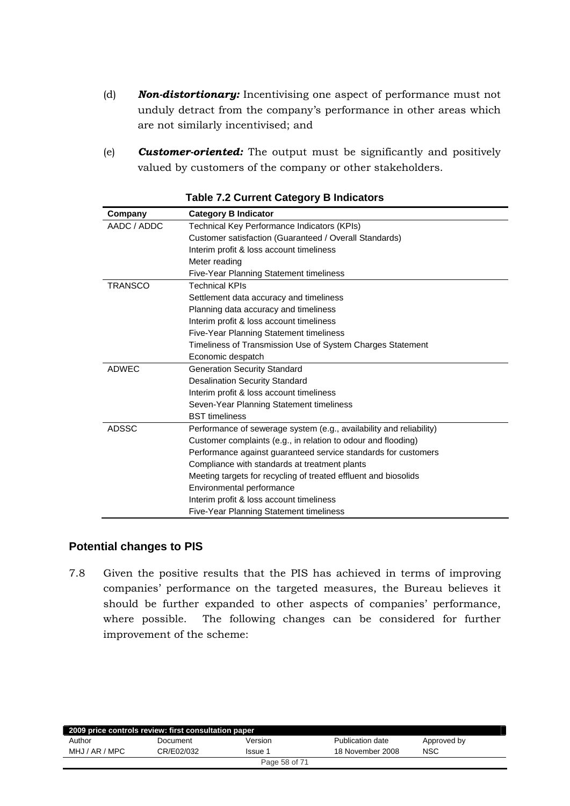- <span id="page-57-0"></span>(d) *Non-distortionary:* Incentivising one aspect of performance must not unduly detract from the company's performance in other areas which are not similarly incentivised; and
- (e) *Customer-oriented:* The output must be significantly and positively valued by customers of the company or other stakeholders.

| Company        | <b>Category B Indicator</b>                                         |
|----------------|---------------------------------------------------------------------|
| AADC / ADDC    | Technical Key Performance Indicators (KPIs)                         |
|                | Customer satisfaction (Guaranteed / Overall Standards)              |
|                | Interim profit & loss account timeliness                            |
|                | Meter reading                                                       |
|                | Five-Year Planning Statement timeliness                             |
| <b>TRANSCO</b> | <b>Technical KPIs</b>                                               |
|                | Settlement data accuracy and timeliness                             |
|                | Planning data accuracy and timeliness                               |
|                | Interim profit & loss account timeliness                            |
|                | Five-Year Planning Statement timeliness                             |
|                | Timeliness of Transmission Use of System Charges Statement          |
|                | Economic despatch                                                   |
| <b>ADWEC</b>   | <b>Generation Security Standard</b>                                 |
|                | <b>Desalination Security Standard</b>                               |
|                | Interim profit & loss account timeliness                            |
|                | Seven-Year Planning Statement timeliness                            |
|                | <b>BST</b> timeliness                                               |
| <b>ADSSC</b>   | Performance of sewerage system (e.g., availability and reliability) |
|                | Customer complaints (e.g., in relation to odour and flooding)       |
|                | Performance against guaranteed service standards for customers      |
|                | Compliance with standards at treatment plants                       |
|                | Meeting targets for recycling of treated effluent and biosolids     |
|                | Environmental performance                                           |
|                | Interim profit & loss account timeliness                            |
|                | Five-Year Planning Statement timeliness                             |

#### **Table 7.2 Current Category B Indicators**

# **Potential changes to PIS**

7.8 Given the positive results that the PIS has achieved in terms of improving companies' performance on the targeted measures, the Bureau believes it should be further expanded to other aspects of companies' performance, where possible. The following changes can be considered for further improvement of the scheme:

| 2009 price controls review: first consultation paper |            |         |                  |             |  |
|------------------------------------------------------|------------|---------|------------------|-------------|--|
| Author                                               | Document   | Version | Publication date | Approved by |  |
| MHJ / AR / MPC                                       | CR/E02/032 | Issue 1 | 18 November 2008 | NSC         |  |
| Page 58 of 71                                        |            |         |                  |             |  |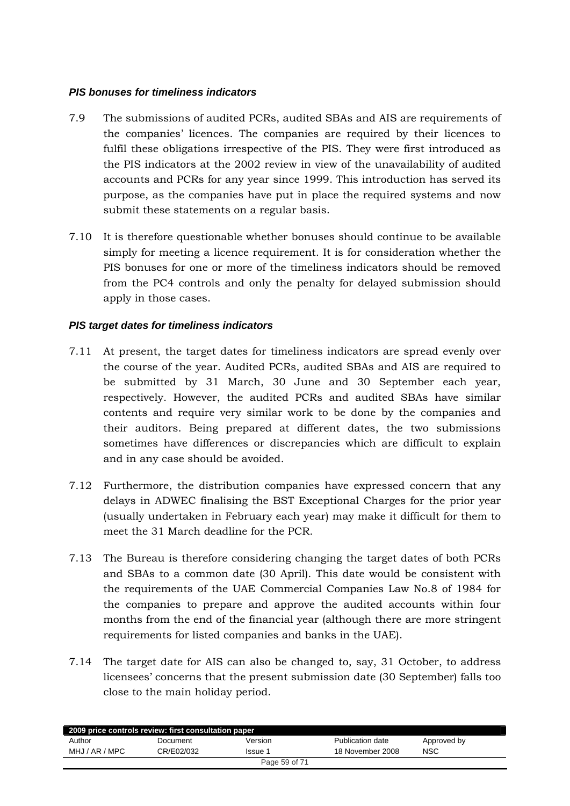## *PIS bonuses for timeliness indicators*

- 7.9 The submissions of audited PCRs, audited SBAs and AIS are requirements of the companies' licences. The companies are required by their licences to fulfil these obligations irrespective of the PIS. They were first introduced as the PIS indicators at the 2002 review in view of the unavailability of audited accounts and PCRs for any year since 1999. This introduction has served its purpose, as the companies have put in place the required systems and now submit these statements on a regular basis.
- 7.10 It is therefore questionable whether bonuses should continue to be available simply for meeting a licence requirement. It is for consideration whether the PIS bonuses for one or more of the timeliness indicators should be removed from the PC4 controls and only the penalty for delayed submission should apply in those cases.

# *PIS target dates for timeliness indicators*

- 7.11 At present, the target dates for timeliness indicators are spread evenly over the course of the year. Audited PCRs, audited SBAs and AIS are required to be submitted by 31 March, 30 June and 30 September each year, respectively. However, the audited PCRs and audited SBAs have similar contents and require very similar work to be done by the companies and their auditors. Being prepared at different dates, the two submissions sometimes have differences or discrepancies which are difficult to explain and in any case should be avoided.
- 7.12 Furthermore, the distribution companies have expressed concern that any delays in ADWEC finalising the BST Exceptional Charges for the prior year (usually undertaken in February each year) may make it difficult for them to meet the 31 March deadline for the PCR.
- 7.13 The Bureau is therefore considering changing the target dates of both PCRs and SBAs to a common date (30 April). This date would be consistent with the requirements of the UAE Commercial Companies Law No.8 of 1984 for the companies to prepare and approve the audited accounts within four months from the end of the financial year (although there are more stringent requirements for listed companies and banks in the UAE).
- 7.14 The target date for AIS can also be changed to, say, 31 October, to address licensees' concerns that the present submission date (30 September) falls too close to the main holiday period.

| 2009 price controls review: first consultation paper |            |         |                  |             |  |
|------------------------------------------------------|------------|---------|------------------|-------------|--|
| Author                                               | Document   | Version | Publication date | Approved by |  |
| MHJ / AR / MPC                                       | CR/E02/032 | Issue 1 | 18 November 2008 | <b>NSC</b>  |  |
| Page 59 of 71                                        |            |         |                  |             |  |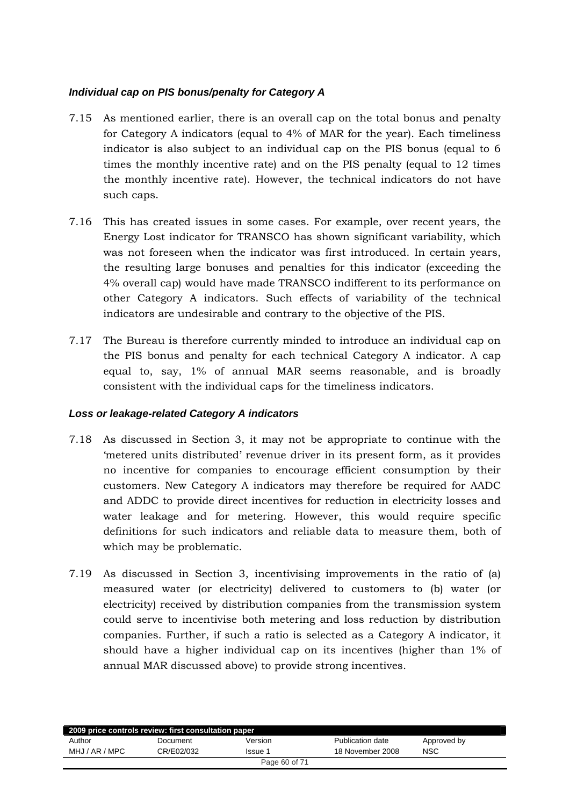# *Individual cap on PIS bonus/penalty for Category A*

- 7.15 As mentioned earlier, there is an overall cap on the total bonus and penalty for Category A indicators (equal to 4% of MAR for the year). Each timeliness indicator is also subject to an individual cap on the PIS bonus (equal to 6 times the monthly incentive rate) and on the PIS penalty (equal to 12 times the monthly incentive rate). However, the technical indicators do not have such caps.
- 7.16 This has created issues in some cases. For example, over recent years, the Energy Lost indicator for TRANSCO has shown significant variability, which was not foreseen when the indicator was first introduced. In certain years, the resulting large bonuses and penalties for this indicator (exceeding the 4% overall cap) would have made TRANSCO indifferent to its performance on other Category A indicators. Such effects of variability of the technical indicators are undesirable and contrary to the objective of the PIS.
- 7.17 The Bureau is therefore currently minded to introduce an individual cap on the PIS bonus and penalty for each technical Category A indicator. A cap equal to, say, 1% of annual MAR seems reasonable, and is broadly consistent with the individual caps for the timeliness indicators.

# *Loss or leakage-related Category A indicators*

- 7.18 As discussed in Section 3, it may not be appropriate to continue with the 'metered units distributed' revenue driver in its present form, as it provides no incentive for companies to encourage efficient consumption by their customers. New Category A indicators may therefore be required for AADC and ADDC to provide direct incentives for reduction in electricity losses and water leakage and for metering. However, this would require specific definitions for such indicators and reliable data to measure them, both of which may be problematic.
- 7.19 As discussed in Section 3, incentivising improvements in the ratio of (a) measured water (or electricity) delivered to customers to (b) water (or electricity) received by distribution companies from the transmission system could serve to incentivise both metering and loss reduction by distribution companies. Further, if such a ratio is selected as a Category A indicator, it should have a higher individual cap on its incentives (higher than 1% of annual MAR discussed above) to provide strong incentives.

| 2009 price controls review: first consultation paper |            |         |                  |             |  |
|------------------------------------------------------|------------|---------|------------------|-------------|--|
| Author                                               | Document   | Version | Publication date | Approved by |  |
| MHJ / AR / MPC                                       | CR/E02/032 | Issue 1 | 18 November 2008 | <b>NSC</b>  |  |
| Page 60 of 71                                        |            |         |                  |             |  |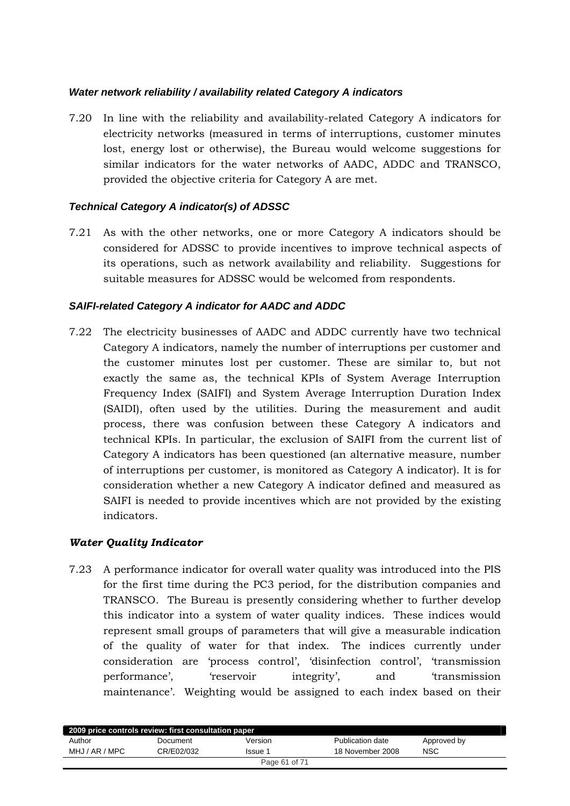## *Water network reliability / availability related Category A indicators*

7.20 In line with the reliability and availability-related Category A indicators for electricity networks (measured in terms of interruptions, customer minutes lost, energy lost or otherwise), the Bureau would welcome suggestions for similar indicators for the water networks of AADC, ADDC and TRANSCO, provided the objective criteria for Category A are met.

## *Technical Category A indicator(s) of ADSSC*

7.21 As with the other networks, one or more Category A indicators should be considered for ADSSC to provide incentives to improve technical aspects of its operations, such as network availability and reliability. Suggestions for suitable measures for ADSSC would be welcomed from respondents.

# *SAIFI-related Category A indicator for AADC and ADDC*

7.22 The electricity businesses of AADC and ADDC currently have two technical Category A indicators, namely the number of interruptions per customer and the customer minutes lost per customer. These are similar to, but not exactly the same as, the technical KPIs of System Average Interruption Frequency Index (SAIFI) and System Average Interruption Duration Index (SAIDI), often used by the utilities. During the measurement and audit process, there was confusion between these Category A indicators and technical KPIs. In particular, the exclusion of SAIFI from the current list of Category A indicators has been questioned (an alternative measure, number of interruptions per customer, is monitored as Category A indicator). It is for consideration whether a new Category A indicator defined and measured as SAIFI is needed to provide incentives which are not provided by the existing indicators.

# *Water Quality Indicator*

7.23 A performance indicator for overall water quality was introduced into the PIS for the first time during the PC3 period, for the distribution companies and TRANSCO. The Bureau is presently considering whether to further develop this indicator into a system of water quality indices. These indices would represent small groups of parameters that will give a measurable indication of the quality of water for that index. The indices currently under consideration are 'process control', 'disinfection control', 'transmission performance', 'reservoir integrity', and 'transmission maintenance'. Weighting would be assigned to each index based on their

| 2009 price controls review: first consultation paper |            |               |                  |             |  |
|------------------------------------------------------|------------|---------------|------------------|-------------|--|
| Author                                               | Document   | Version       | Publication date | Approved by |  |
| MHJ / AR / MPC                                       | CR/E02/032 | Issue 1       | 18 November 2008 | <b>NSC</b>  |  |
|                                                      |            | Page 61 of 71 |                  |             |  |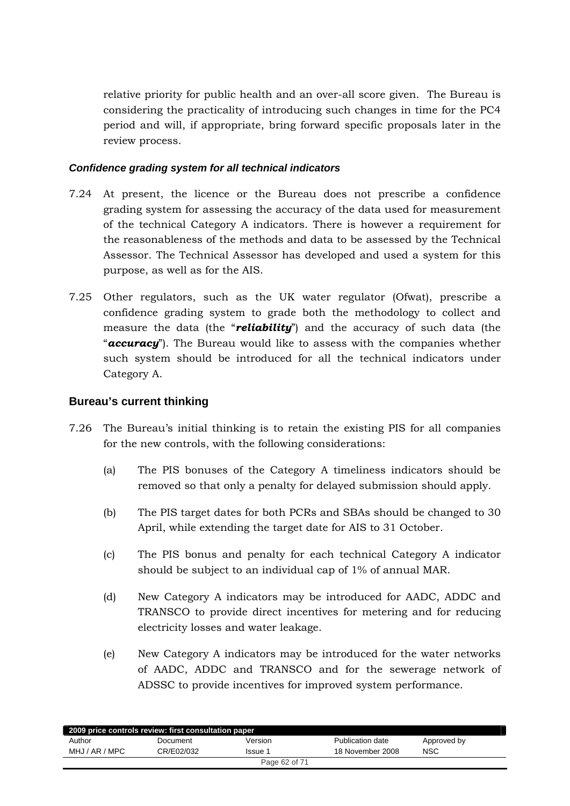<span id="page-61-0"></span>relative priority for public health and an over-all score given. The Bureau is considering the practicality of introducing such changes in time for the PC4 period and will, if appropriate, bring forward specific proposals later in the review process.

## *Confidence grading system for all technical indicators*

- 7.24 At present, the licence or the Bureau does not prescribe a confidence grading system for assessing the accuracy of the data used for measurement of the technical Category A indicators. There is however a requirement for the reasonableness of the methods and data to be assessed by the Technical Assessor. The Technical Assessor has developed and used a system for this purpose, as well as for the AIS.
- 7.25 Other regulators, such as the UK water regulator (Ofwat), prescribe a confidence grading system to grade both the methodology to collect and measure the data (the "*reliability*") and the accuracy of such data (the "*accuracy*"). The Bureau would like to assess with the companies whether such system should be introduced for all the technical indicators under Category A.

## **Bureau's current thinking**

- 7.26 The Bureau's initial thinking is to retain the existing PIS for all companies for the new controls, with the following considerations:
	- (a) The PIS bonuses of the Category A timeliness indicators should be removed so that only a penalty for delayed submission should apply.
	- (b) The PIS target dates for both PCRs and SBAs should be changed to 30 April, while extending the target date for AIS to 31 October.
	- (c) The PIS bonus and penalty for each technical Category A indicator should be subject to an individual cap of 1% of annual MAR.
	- (d) New Category A indicators may be introduced for AADC, ADDC and TRANSCO to provide direct incentives for metering and for reducing electricity losses and water leakage.
	- (e) New Category A indicators may be introduced for the water networks of AADC, ADDC and TRANSCO and for the sewerage network of ADSSC to provide incentives for improved system performance.

| 2009 price controls review: first consultation paper |            |                |                  |             |  |
|------------------------------------------------------|------------|----------------|------------------|-------------|--|
| Author                                               | Document   | Version        | Publication date | Approved by |  |
| MHJ / AR / MPC                                       | CR/E02/032 | <b>Issue 1</b> | 18 November 2008 | NSC         |  |
| Page 62 of 71                                        |            |                |                  |             |  |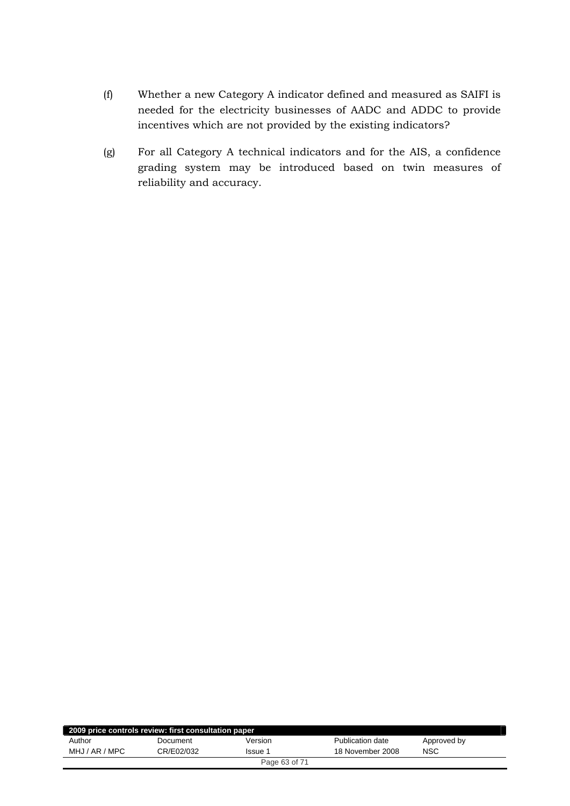- (f) Whether a new Category A indicator defined and measured as SAIFI is needed for the electricity businesses of AADC and ADDC to provide incentives which are not provided by the existing indicators?
- (g) For all Category A technical indicators and for the AIS, a confidence grading system may be introduced based on twin measures of reliability and accuracy.

| 2009 price controls review: first consultation paper |            |         |                  |             |  |
|------------------------------------------------------|------------|---------|------------------|-------------|--|
| Author                                               | Document   | Version | Publication date | Approved by |  |
| MHJ / AR / MPC                                       | CR/E02/032 | Issue 1 | 18 November 2008 | <b>NSC</b>  |  |
| Page 63 of 71                                        |            |         |                  |             |  |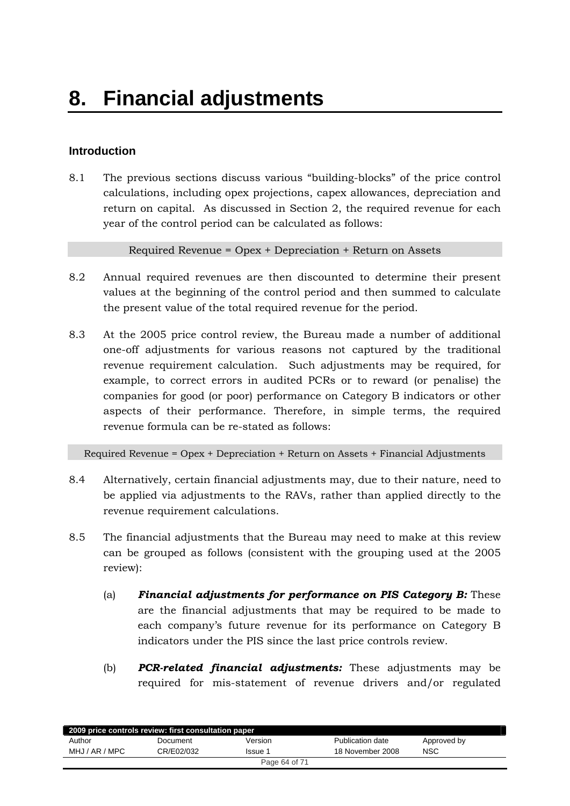# <span id="page-63-0"></span>**Introduction**

8.1 The previous sections discuss various "building-blocks" of the price control calculations, including opex projections, capex allowances, depreciation and return on capital. As discussed in Section 2, the required revenue for each year of the control period can be calculated as follows:

Required Revenue = Opex + Depreciation + Return on Assets

- 8.2 Annual required revenues are then discounted to determine their present values at the beginning of the control period and then summed to calculate the present value of the total required revenue for the period.
- 8.3 At the 2005 price control review, the Bureau made a number of additional one-off adjustments for various reasons not captured by the traditional revenue requirement calculation. Such adjustments may be required, for example, to correct errors in audited PCRs or to reward (or penalise) the companies for good (or poor) performance on Category B indicators or other aspects of their performance. Therefore, in simple terms, the required revenue formula can be re-stated as follows:

Required Revenue = Opex + Depreciation + Return on Assets + Financial Adjustments

- 8.4 Alternatively, certain financial adjustments may, due to their nature, need to be applied via adjustments to the RAVs, rather than applied directly to the revenue requirement calculations.
- 8.5 The financial adjustments that the Bureau may need to make at this review can be grouped as follows (consistent with the grouping used at the 2005 review):
	- (a) *Financial adjustments for performance on PIS Category B:* These are the financial adjustments that may be required to be made to each company's future revenue for its performance on Category B indicators under the PIS since the last price controls review.
	- (b) *PCR-related financial adjustments:* These adjustments may be required for mis-statement of revenue drivers and/or regulated

| 2009 price controls review: first consultation paper |            |               |                  |             |  |
|------------------------------------------------------|------------|---------------|------------------|-------------|--|
| Author                                               | Document   | Version       | Publication date | Approved by |  |
| MHJ / AR / MPC                                       | CR/E02/032 | Issue 1       | 18 November 2008 | NSC         |  |
|                                                      |            | Page 64 of 71 |                  |             |  |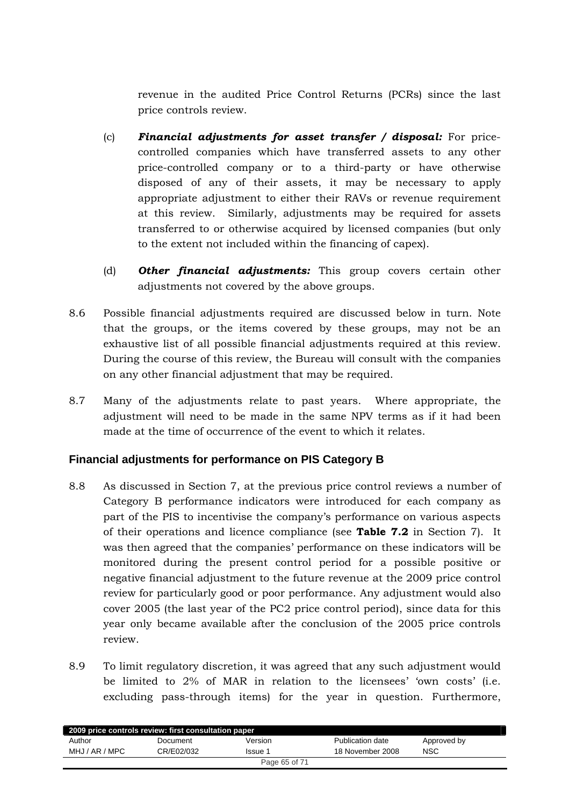<span id="page-64-0"></span>revenue in the audited Price Control Returns (PCRs) since the last price controls review.

- (c) *Financial adjustments for asset transfer / disposal:* For pricecontrolled companies which have transferred assets to any other price-controlled company or to a third-party or have otherwise disposed of any of their assets, it may be necessary to apply appropriate adjustment to either their RAVs or revenue requirement at this review. Similarly, adjustments may be required for assets transferred to or otherwise acquired by licensed companies (but only to the extent not included within the financing of capex).
- (d) *Other financial adjustments:* This group covers certain other adjustments not covered by the above groups.
- 8.6 Possible financial adjustments required are discussed below in turn. Note that the groups, or the items covered by these groups, may not be an exhaustive list of all possible financial adjustments required at this review. During the course of this review, the Bureau will consult with the companies on any other financial adjustment that may be required.
- 8.7 Many of the adjustments relate to past years. Where appropriate, the adjustment will need to be made in the same NPV terms as if it had been made at the time of occurrence of the event to which it relates.

# **Financial adjustments for performance on PIS Category B**

- 8.8 As discussed in Section 7, at the previous price control reviews a number of Category B performance indicators were introduced for each company as part of the PIS to incentivise the company's performance on various aspects of their operations and licence compliance (see **Table 7.2** in Section 7). It was then agreed that the companies' performance on these indicators will be monitored during the present control period for a possible positive or negative financial adjustment to the future revenue at the 2009 price control review for particularly good or poor performance. Any adjustment would also cover 2005 (the last year of the PC2 price control period), since data for this year only became available after the conclusion of the 2005 price controls review.
- 8.9 To limit regulatory discretion, it was agreed that any such adjustment would be limited to 2% of MAR in relation to the licensees' 'own costs' (i.e. excluding pass-through items) for the year in question. Furthermore,

| 2009 price controls review: first consultation paper |            |         |                  |             |  |
|------------------------------------------------------|------------|---------|------------------|-------------|--|
| Author                                               | Document   | Version | Publication date | Approved by |  |
| MHJ / AR / MPC                                       | CR/E02/032 | Issue 1 | 18 November 2008 | <b>NSC</b>  |  |
| Page 65 of 71                                        |            |         |                  |             |  |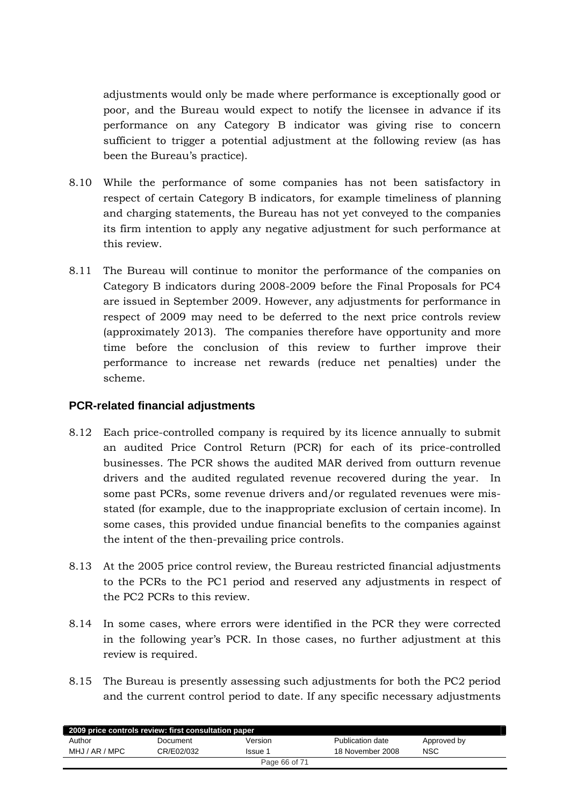<span id="page-65-0"></span>adjustments would only be made where performance is exceptionally good or poor, and the Bureau would expect to notify the licensee in advance if its performance on any Category B indicator was giving rise to concern sufficient to trigger a potential adjustment at the following review (as has been the Bureau's practice).

- 8.10 While the performance of some companies has not been satisfactory in respect of certain Category B indicators, for example timeliness of planning and charging statements, the Bureau has not yet conveyed to the companies its firm intention to apply any negative adjustment for such performance at this review.
- 8.11 The Bureau will continue to monitor the performance of the companies on Category B indicators during 2008-2009 before the Final Proposals for PC4 are issued in September 2009. However, any adjustments for performance in respect of 2009 may need to be deferred to the next price controls review (approximately 2013). The companies therefore have opportunity and more time before the conclusion of this review to further improve their performance to increase net rewards (reduce net penalties) under the scheme.

# **PCR-related financial adjustments**

- 8.12 Each price-controlled company is required by its licence annually to submit an audited Price Control Return (PCR) for each of its price-controlled businesses. The PCR shows the audited MAR derived from outturn revenue drivers and the audited regulated revenue recovered during the year. In some past PCRs, some revenue drivers and/or regulated revenues were misstated (for example, due to the inappropriate exclusion of certain income). In some cases, this provided undue financial benefits to the companies against the intent of the then-prevailing price controls.
- 8.13 At the 2005 price control review, the Bureau restricted financial adjustments to the PCRs to the PC1 period and reserved any adjustments in respect of the PC2 PCRs to this review.
- 8.14 In some cases, where errors were identified in the PCR they were corrected in the following year's PCR. In those cases, no further adjustment at this review is required.
- 8.15 The Bureau is presently assessing such adjustments for both the PC2 period and the current control period to date. If any specific necessary adjustments

| 2009 price controls review: first consultation paper |            |               |                  |             |  |
|------------------------------------------------------|------------|---------------|------------------|-------------|--|
| Author                                               | Document   | Version       | Publication date | Approved by |  |
| MHJ / AR / MPC                                       | CR/E02/032 | Issue 1       | 18 November 2008 | <b>NSC</b>  |  |
|                                                      |            | Page 66 of 71 |                  |             |  |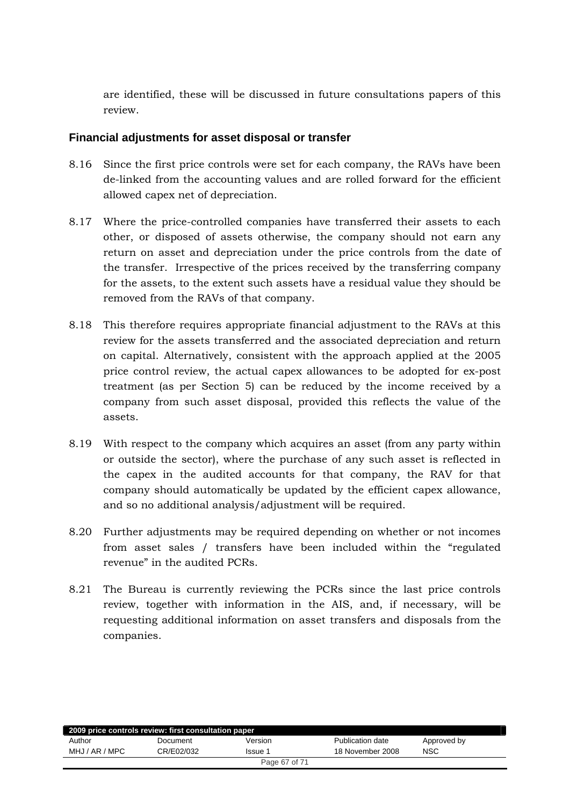<span id="page-66-0"></span>are identified, these will be discussed in future consultations papers of this review.

# **Financial adjustments for asset disposal or transfer**

- 8.16 Since the first price controls were set for each company, the RAVs have been de-linked from the accounting values and are rolled forward for the efficient allowed capex net of depreciation.
- 8.17 Where the price-controlled companies have transferred their assets to each other, or disposed of assets otherwise, the company should not earn any return on asset and depreciation under the price controls from the date of the transfer. Irrespective of the prices received by the transferring company for the assets, to the extent such assets have a residual value they should be removed from the RAVs of that company.
- 8.18 This therefore requires appropriate financial adjustment to the RAVs at this review for the assets transferred and the associated depreciation and return on capital. Alternatively, consistent with the approach applied at the 2005 price control review, the actual capex allowances to be adopted for ex-post treatment (as per Section 5) can be reduced by the income received by a company from such asset disposal, provided this reflects the value of the assets.
- 8.19 With respect to the company which acquires an asset (from any party within or outside the sector), where the purchase of any such asset is reflected in the capex in the audited accounts for that company, the RAV for that company should automatically be updated by the efficient capex allowance, and so no additional analysis/adjustment will be required.
- 8.20 Further adjustments may be required depending on whether or not incomes from asset sales / transfers have been included within the "regulated revenue" in the audited PCRs.
- 8.21 The Bureau is currently reviewing the PCRs since the last price controls review, together with information in the AIS, and, if necessary, will be requesting additional information on asset transfers and disposals from the companies.

| 2009 price controls review: first consultation paper |            |         |                  |             |  |
|------------------------------------------------------|------------|---------|------------------|-------------|--|
| Author                                               | Document   | Version | Publication date | Approved by |  |
| MHJ / AR / MPC                                       | CR/E02/032 | Issue 1 | 18 November 2008 | <b>NSC</b>  |  |
| Page 67 of 71                                        |            |         |                  |             |  |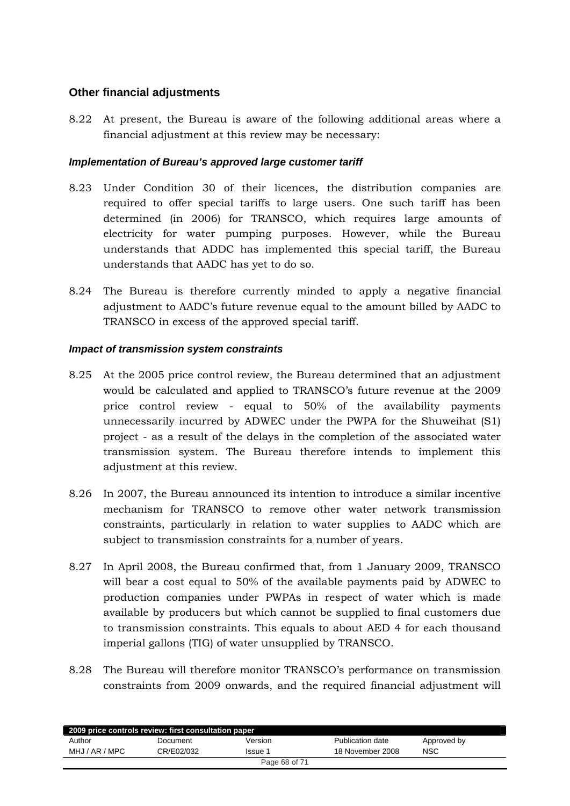# <span id="page-67-0"></span>**Other financial adjustments**

8.22 At present, the Bureau is aware of the following additional areas where a financial adjustment at this review may be necessary:

## *Implementation of Bureau's approved large customer tariff*

- 8.23 Under Condition 30 of their licences, the distribution companies are required to offer special tariffs to large users. One such tariff has been determined (in 2006) for TRANSCO, which requires large amounts of electricity for water pumping purposes. However, while the Bureau understands that ADDC has implemented this special tariff, the Bureau understands that AADC has yet to do so.
- 8.24 The Bureau is therefore currently minded to apply a negative financial adjustment to AADC's future revenue equal to the amount billed by AADC to TRANSCO in excess of the approved special tariff.

## *Impact of transmission system constraints*

- 8.25 At the 2005 price control review, the Bureau determined that an adjustment would be calculated and applied to TRANSCO's future revenue at the 2009 price control review - equal to 50% of the availability payments unnecessarily incurred by ADWEC under the PWPA for the Shuweihat (S1) project - as a result of the delays in the completion of the associated water transmission system. The Bureau therefore intends to implement this adjustment at this review.
- 8.26 In 2007, the Bureau announced its intention to introduce a similar incentive mechanism for TRANSCO to remove other water network transmission constraints, particularly in relation to water supplies to AADC which are subject to transmission constraints for a number of years.
- 8.27 In April 2008, the Bureau confirmed that, from 1 January 2009, TRANSCO will bear a cost equal to 50% of the available payments paid by ADWEC to production companies under PWPAs in respect of water which is made available by producers but which cannot be supplied to final customers due to transmission constraints. This equals to about AED 4 for each thousand imperial gallons (TIG) of water unsupplied by TRANSCO.
- 8.28 The Bureau will therefore monitor TRANSCO's performance on transmission constraints from 2009 onwards, and the required financial adjustment will

| 2009 price controls review: first consultation paper |            |         |                  |             |  |
|------------------------------------------------------|------------|---------|------------------|-------------|--|
| Author                                               | Document   | Version | Publication date | Approved by |  |
| MHJ / AR / MPC                                       | CR/E02/032 | Issue 1 | 18 November 2008 | <b>NSC</b>  |  |
| Page 68 of 71                                        |            |         |                  |             |  |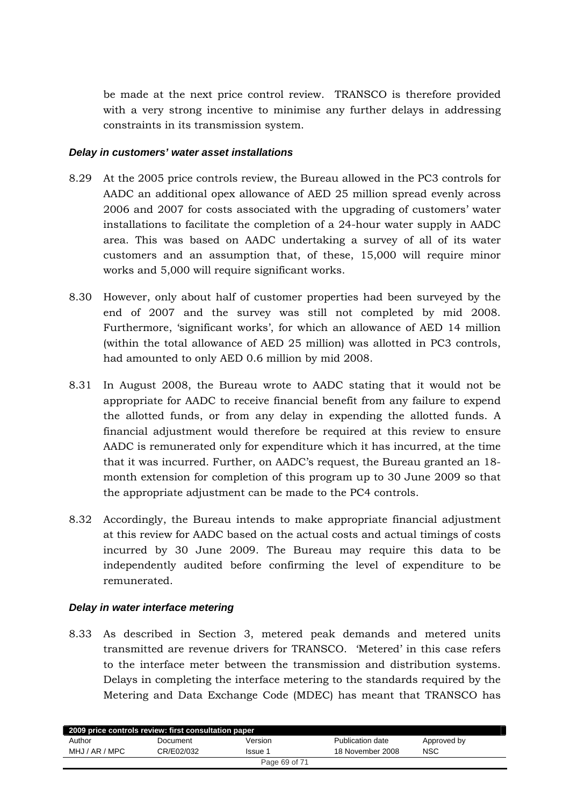be made at the next price control review. TRANSCO is therefore provided with a very strong incentive to minimise any further delays in addressing constraints in its transmission system.

#### *Delay in customers' water asset installations*

- 8.29 At the 2005 price controls review, the Bureau allowed in the PC3 controls for AADC an additional opex allowance of AED 25 million spread evenly across 2006 and 2007 for costs associated with the upgrading of customers' water installations to facilitate the completion of a 24-hour water supply in AADC area. This was based on AADC undertaking a survey of all of its water customers and an assumption that, of these, 15,000 will require minor works and 5,000 will require significant works.
- 8.30 However, only about half of customer properties had been surveyed by the end of 2007 and the survey was still not completed by mid 2008. Furthermore, 'significant works', for which an allowance of AED 14 million (within the total allowance of AED 25 million) was allotted in PC3 controls, had amounted to only AED 0.6 million by mid 2008.
- 8.31 In August 2008, the Bureau wrote to AADC stating that it would not be appropriate for AADC to receive financial benefit from any failure to expend the allotted funds, or from any delay in expending the allotted funds. A financial adjustment would therefore be required at this review to ensure AADC is remunerated only for expenditure which it has incurred, at the time that it was incurred. Further, on AADC's request, the Bureau granted an 18 month extension for completion of this program up to 30 June 2009 so that the appropriate adjustment can be made to the PC4 controls.
- 8.32 Accordingly, the Bureau intends to make appropriate financial adjustment at this review for AADC based on the actual costs and actual timings of costs incurred by 30 June 2009. The Bureau may require this data to be independently audited before confirming the level of expenditure to be remunerated.

#### *Delay in water interface metering*

8.33 As described in Section 3, metered peak demands and metered units transmitted are revenue drivers for TRANSCO. 'Metered' in this case refers to the interface meter between the transmission and distribution systems. Delays in completing the interface metering to the standards required by the Metering and Data Exchange Code (MDEC) has meant that TRANSCO has

| 2009 price controls review: first consultation paper |            |         |                  |             |  |
|------------------------------------------------------|------------|---------|------------------|-------------|--|
| Author                                               | Document   | Version | Publication date | Approved by |  |
| MHJ / AR / MPC                                       | CR/E02/032 | Issue 1 | 18 November 2008 | <b>NSC</b>  |  |
| Page 69 of 71                                        |            |         |                  |             |  |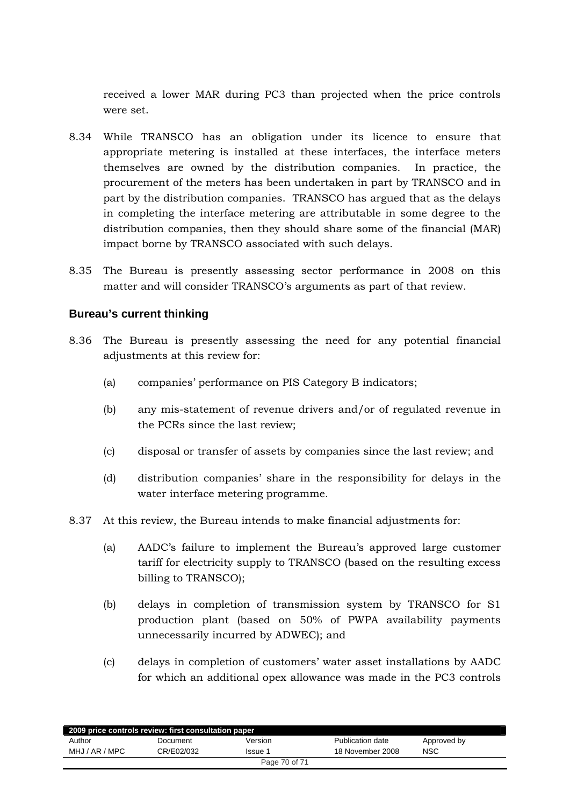<span id="page-69-0"></span>received a lower MAR during PC3 than projected when the price controls were set.

- 8.34 While TRANSCO has an obligation under its licence to ensure that appropriate metering is installed at these interfaces, the interface meters themselves are owned by the distribution companies. In practice, the procurement of the meters has been undertaken in part by TRANSCO and in part by the distribution companies. TRANSCO has argued that as the delays in completing the interface metering are attributable in some degree to the distribution companies, then they should share some of the financial (MAR) impact borne by TRANSCO associated with such delays.
- 8.35 The Bureau is presently assessing sector performance in 2008 on this matter and will consider TRANSCO's arguments as part of that review.

# **Bureau's current thinking**

- 8.36 The Bureau is presently assessing the need for any potential financial adjustments at this review for:
	- (a) companies' performance on PIS Category B indicators;
	- (b) any mis-statement of revenue drivers and/or of regulated revenue in the PCRs since the last review;
	- (c) disposal or transfer of assets by companies since the last review; and
	- (d) distribution companies' share in the responsibility for delays in the water interface metering programme.
- 8.37 At this review, the Bureau intends to make financial adjustments for:
	- (a) AADC's failure to implement the Bureau's approved large customer tariff for electricity supply to TRANSCO (based on the resulting excess billing to TRANSCO);
	- (b) delays in completion of transmission system by TRANSCO for S1 production plant (based on 50% of PWPA availability payments unnecessarily incurred by ADWEC); and
	- (c) delays in completion of customers' water asset installations by AADC for which an additional opex allowance was made in the PC3 controls

| 2009 price controls review: first consultation paper |            |         |                  |             |  |  |
|------------------------------------------------------|------------|---------|------------------|-------------|--|--|
| Author                                               | Document   | Version | Publication date | Approved by |  |  |
| MHJ / AR / MPC                                       | CR/E02/032 | Issue 1 | 18 November 2008 | NSC         |  |  |
| Page 70 of 71                                        |            |         |                  |             |  |  |